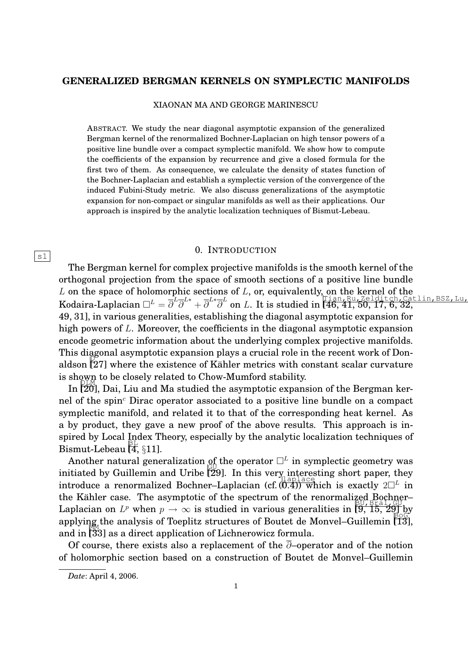### **GENERALIZED BERGMAN KERNELS ON SYMPLECTIC MANIFOLDS**

XIAONAN MA AND GEORGE MARINESCU

ABSTRACT. We study the near diagonal asymptotic expansion of the generalized Bergman kernel of the renormalized Bochner-Laplacian on high tensor powers of a positive line bundle over a compact symplectic manifold. We show how to compute the coefficients of the expansion by recurrence and give a closed formula for the first two of them. As consequence, we calculate the density of states function of the Bochner-Laplacian and establish a symplectic version of the convergence of the induced Fubini-Study metric. We also discuss generalizations of the asymptotic expansion for non-compact or singular manifolds as well as their applications. Our approach is inspired by the analytic localization techniques of Bismut-Lebeau.

#### 0. INTRODUCTION

The Bergman kernel for complex projective manifolds is the smooth kernel of the orthogonal projection from the space of smooth sections of a positive line bundle  $L$  on the space of holomorphic sections of  $L$ , or, equivalently, on the kernel of the  $\overline{A}$  on the space of Hotomorphian  $\overline{C}^L = \overline{\partial}^L \overline{\partial}^{L*} + \overline{\partial}^{L*} \overline{\partial}^L$  on L. It is studied in [46, 41, 50, 17, 6, 32, 49, 31], in various generalities, establishing the diagonal asymptotic expansion for high powers of L. Moreover, the coefficients in the diagonal asymptotic expansion encode geometric information about the underlying complex projective manifolds. This diagonal asymptotic expansion plays a crucial role in the recent work of Donaldson [27] where the existence of Kähler metrics with constant scalar curvature is shown to be closely related to Chow-Mumford stability.

In [20], Dai, Liu and Ma studied the asymptotic expansion of the Bergman kernel of the spin<sup> $c$ </sup> Dirac operator associated to a positive line bundle on a compact symplectic manifold, and related it to that of the corresponding heat kernel. As a by product, they gave a new proof of the above results. This approach is inspired by Local Index Theory, especially by the analytic localization techniques of Bismut-Lebeau [4, §11].

Another natural generalization <u>of</u> the operator  $\Box^L$  in symplectic geometry was initiated by Guillemin and Uribe  $\frac{1}{29}$ . In this very, interesting short paper, they introduce a renormalized Bochner–Laplacian (cf.  $(0.4)$ ) which is exactly  $2\Box^L$  in the Kähler case. The asymptotic of the spectrum of the renormalized Bochner– Laplacian on  $L^p$  when  $p \to \infty$  is studied in various generalities in  $\left[\overline{9}, \overline{15}, \overline{29}\right]$  by applying the analysis of Toeplitz structures of Boutet de Monvel–Guillemin [Ĩ3],  $\frac{\text{depth}}{\text{depth}}$  and in [33] as a direct application of Lichnerowicz formula.

Of course, there exists also a replacement of the  $\overline{\partial}$ –operator and of the notion of holomorphic section based on a construction of Boutet de Monvel–Guillemin

 $|s1|$ 

*Date*: April 4, 2006.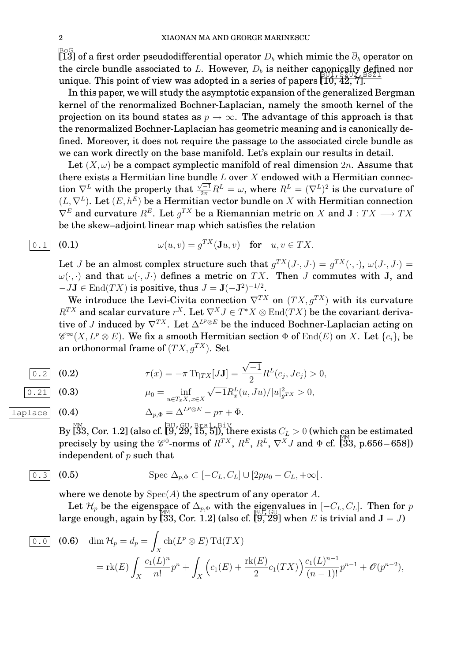$\frac{\mathbb{B}\odot\mathbb{G}}{\llbracket 13\rrbracket}$  of a first order pseudodifferential operator  $D_b$  which mimic the  $\overline{\partial}_b$  operator on the circle bundle associated to L. However,  $D_b$  is neither canonically defined nor unique. This point of view was adopted in a series of papers  $[1\overline{0}, \overline{4}\overline{2}, \overline{7}]$ .

In this paper, we will study the asymptotic expansion of the generalized Bergman kernel of the renormalized Bochner-Laplacian, namely the smooth kernel of the projection on its bound states as  $p \to \infty$ . The advantage of this approach is that the renormalized Bochner-Laplacian has geometric meaning and is canonically defined. Moreover, it does not require the passage to the associated circle bundle as we can work directly on the base manifold. Let's explain our results in detail.

Let  $(X, \omega)$  be a compact symplectic manifold of real dimension  $2n$ . Assume that there exists a Hermitian line bundle  $L$  over  $X$  endowed with a Hermitian connection  $\nabla^L$  with the property that  $\frac{\sqrt{-1}}{2\pi}R^L = \omega$ , where  $R^L = (\nabla^L)^2$  is the curvature of  $(L, \nabla^L)$ . Let  $(E, h^E)$  be a Hermitian vector bundle on X with Hermitian connection  $\nabla^E$  and curvature  $R^E$ . Let  $g^{TX}$  be a Riemannian metric on X and  $\mathbf{J} : TX \longrightarrow TX$ be the skew–adjoint linear map which satisfies the relation

$$
\overline{0.1} \quad (0.1) \qquad \qquad \omega(u,v) = g^{TX}(\mathbf{J}u,v) \quad \text{for} \quad u,v \in TX.
$$

Let J be an almost complex structure such that  $g^{TX}(J\cdot, J\cdot)=g^{TX}(\cdot, \cdot), \omega(J\cdot, J\cdot)=$  $\omega(\cdot, \cdot)$  and that  $\omega(\cdot, J \cdot)$  defines a metric on TX. Then J commutes with J, and  $-JJ \in \text{End}(TX)$  is positive, thus  $J = J(-J^2)^{-1/2}$ .

We introduce the Levi-Civita connection  $\nabla^{TX}$  on  $(TX, g^{TX})$  with its curvature  $R^{TX}$  and scalar curvature  $r^X$ . Let  $\nabla^X J \in T^*X \otimes \text{End}(TX)$  be the covariant derivative of J induced by  $\nabla^{TX}$ . Let  $\Delta^{L^p \otimes E}$  be the induced Bochner-Laplacian acting on  $\mathscr{C}^{\infty}(X, L^p \otimes E).$  We fix a smooth Hermitian section  $\Phi$  of  $\text{End}(E)$  on  $X.$  Let  $\{e_i\}_i$  be an orthonormal frame of  $(T X, q^{T X})$ . Set

$$
\begin{array}{ll}\n\boxed{0.2} & \text{(0.2)} \\
\hline\n\end{array}\n\qquad\n\begin{array}{ll}\n\tau(x) = -\pi \, \text{Tr}_{|TX}[J\mathbf{J}] = \frac{\sqrt{-1}}{2} R^L(e_j, Je_j) > 0,\n\end{array}
$$

$$
\overline{0.21} \quad \textbf{(0.3)} \qquad \qquad \mu_0 = \inf_{u \in T_x X, x \in X} \sqrt{-1} R_x^L(u, Ju) / |u|_{g^{TX}}^2 > 0,
$$

laplace  $(0.4)$ 

$$
\Delta_{p,\Phi} = \Delta^{L^p \otimes E} - p\tau + \Phi.
$$

By  $\left[\!\!\left[ \begin{smallmatrix} \mathbb{M} & \mathbb{M} \\ \mathbb{J} & \mathbb{J} \end{smallmatrix} \right]\right]$  (also cf.  $\left[\!\!\left[ \begin{smallmatrix} \mathbb{B} \mathbb{U}, \mathbb{G} \mathbb{U}, \mathbb{B} \mathbb{H} \mathbb{d} & \mathbb{L} \\ \mathbb{J} & \mathbb{J} & \mathbb{J} \end{smallmatrix} \right]\right],$  there exists  $C_L > 0$  (which can be estimated precisely by using the  $\mathcal{C}^0$ -norms of  $R^{TX}$ ,  $R^E$ ,  $R^L$ ,  $\nabla^X J$  and  $\Phi$  cf. [33, p.656–658]) independent of  $p$  such that

$$
\boxed{0.3} \quad \text{(0.5)} \qquad \qquad \text{Spec } \Delta_{p,\Phi} \subset [-C_L, C_L] \cup [2p\mu_0 - C_L, +\infty[.
$$

where we denote by  $Spec(A)$  the spectrum of any operator A.

Let  $\mathcal{H}_p$  be the eigenspace of  $\Delta_{p,\Phi}$  with the eigenvalues in  $[-C_L, C_L]$ . Then for p Let  $\ell_p$  be the eigenspace of  $\Delta_p$  when the substitutes in  $\ell_p \to L, \ell_p$ . Then for

$$
\begin{aligned}\n\boxed{0.0} \quad \text{(0.6)} \quad \dim \mathcal{H}_p &= d_p = \int_X \text{ch}(L^p \otimes E) \, \text{Td}(TX) \\
&= \text{rk}(E) \int_X \frac{c_1(L)^n}{n!} p^n + \int_X \left( c_1(E) + \frac{\text{rk}(E)}{2} c_1(TX) \right) \frac{c_1(L)^{n-1}}{(n-1)!} p^{n-1} + \mathcal{O}(p^{n-2}),\n\end{aligned}
$$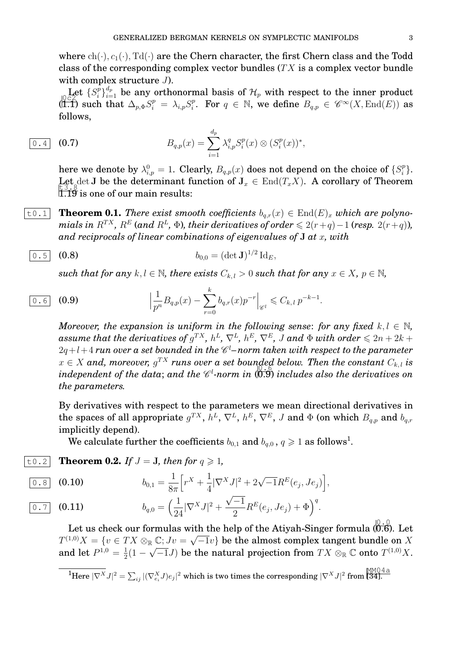where  $ch(\cdot), c_1(\cdot), Td(\cdot)$  are the Chern character, the first Chern class and the Todd class of the corresponding complex vector bundles  $(T X)$  is a complex vector bundle with complex structure  $J$ ).

Let  $\{S_i^p\}$ Let  $\{S_i^p\}_{i=1}^{d_p}$  be any orthonormal basis of  $\mathcal{H}_p$  with respect to the inner product  $\langle 1.1 \rangle$  such that  $\Delta_{p,\Phi} S_i^p = \lambda_{i,p} S_i^p$ <sup>p</sup><sub>i</sub>. For  $q \in \mathbb{N}$ , we define  $B_{q,p} \in \mathscr{C}^{\infty}(X, \text{End}(E))$  as follows,

$$
\boxed{0.4} \quad (0.7) \qquad \qquad B_{q,p}(x) = \sum_{i=1}^{d_p} \lambda_{i,p}^q S_i^p(x) \otimes (S_i^p(x))^*,
$$

here we denote by  $\lambda_{i,p}^0=1.$  Clearly,  $B_{q,p}(x)$  does not depend on the choice of  $\{S_i^p\}$  $_i^p\}.$ Let det J be the determinant function of  $J_x \in End(T_x X)$ . A corollary of Theorem  $\tilde{1}$ .  $\tilde{1}$  $\tilde{9}$  is one of our main results:

 $\boxed{\text{t0.1}}$  **Theorem 0.1.** *There exist smooth coefficients*  $b_{q,r}(x) \in \text{End}(E)_x$  *which are polyno* $mials$  in  $R^{TX}$ ,  $R^{E}$  (and  $R^{L}$ ,  $\Phi$ ), their derivatives of order  $\leqslant 2(r+q)-1$  (resp.  $2(r+q)$ ), *and reciprocals of linear combinations of eigenvalues of* J *at* x*, with*

$$
\boxed{0.5} \quad (0.8) \qquad \qquad b_{0,0} = (\det \mathbf{J})^{1/2} \, \mathrm{Id}_E,
$$

*such that for any*  $k, l \in \mathbb{N}$ , there exists  $C_{k,l} > 0$  *such that for any*  $x \in X$ ,  $p \in \mathbb{N}$ ,

$$
\frac{0.6}{0.6} \quad \textbf{(0.9)} \qquad \Big| \frac{1}{p^n} B_{q,p}(x) - \sum_{r=0}^k b_{q,r}(x) p^{-r} \Big|_{\mathscr{C}^l} \leqslant C_{k,l} \, p^{-k-1}.
$$

*Moreover, the expansion is uniform in the following sense: for any fixed*  $k, l \in \mathbb{N}$ ,  $\emph{assume that the derivatives of } g^{TX}, \, h^{L}, \, \nabla^{L}, \, h^{E}, \, \nabla^{E}, \, J \, \emph{and} \, \, \Phi \, \emph{with order} \leqslant 2n+2k+1$  $2q+l+4$   $\tau$ un over a set bounded in the  $\mathscr{C}^l$ –norm taken with respect to the parameter  $x \in X$  and, moreover,  $g^{TX}$  runs over a set bounded below. Then the constant  $C_{k,l}$  is  $\mathbb{R} \subseteq \Lambda$  and, moreover,  $\mathbb{S}$  and the  $\mathscr{C}^l$ -norm in  $(0.9)$  includes also the derivatives on independent of the data; and the  $\mathscr{C}^l$ -norm in  $(0.9)$  includes also the derivatives on *the parameters.*

By derivatives with respect to the parameters we mean directional derivatives in the spaces of all appropriate  $g^{TX},\,h^{L},\,\nabla^{L},\,h^{E},\,\nabla^{E},\,J$  and  $\Phi$  (on which  $B_{q,p}$  and  $b_{q,r}$ implicitly depend).

We calculate further the coefficients  $b_{0,1}$  and  $b_{q,0}$  ,  $q\geqslant 1$  as follows<sup>1</sup>.

 $\begin{bmatrix} \texttt{t0.2} \end{bmatrix}$  **Theorem 0.2.** If  $J = J$ , then for  $q \geq 1$ ,

$$
\boxed{0.8} \quad (0.10) \qquad \qquad b_{0,1} = \frac{1}{8\pi} \Big[ r^X + \frac{1}{4} |\nabla^X J|^2 + 2\sqrt{-1} R^E(e_j, Je_j) \Big],
$$

$$
\overline{0.7} \quad (0.11) \qquad \qquad b_{q,0} = \Big(\frac{1}{24}|\nabla^X J|^2 + \frac{\sqrt{-1}}{2}R^E(e_j, Je_j) + \Phi\Big)^q.
$$

Let us check our formulas with the help of the Atiyah-Singer formula  $\left(0.6\right)$ . Let  $T^{(1,0)}X = \{v \in TX \otimes_{\mathbb{R}} \mathbb{C}; Jv = \sqrt{-1}v\}$  be the almost complex tangent bundle on X and let  $P^{1,0} = \frac{1}{2}$  $\frac{1}{2}(1-\sqrt{-1}J)$  be the natural projection from  $TX\otimes_{\mathbb R}{\mathbb C}$  onto  $T^{(1,0)}X.$ 

 $\overline{^{1}\text{Here }|\nabla^{X}J|^{2}}= \sum_{ij}|(\nabla^{X}_{e_{i}}J)e_{j}|^{2}\text{ which is two times the corresponding }|\nabla^{X}J|^{2}\text{ from } \overline{\text{[34]}}.$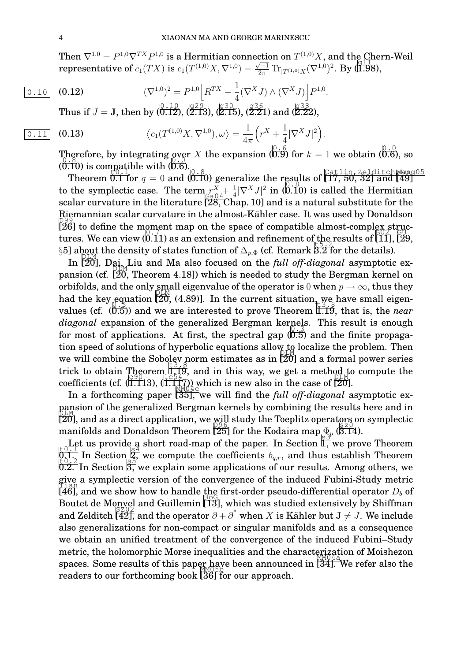Then  $\nabla^{1,0} = P^{1,0} \nabla^{TX} P^{1,0}$  is a Hermitian connection on  $T^{(1,0)}X$ , and the Chern-Weil  ${\bf representation of} \ c_1(TX) {\bf \ is \ } c_1(T^{(1,0)}X,\nabla^{1,0})=$  $\frac{\sqrt{-1}}{2\pi} \text{Tr}_{[T^{(1,0)}X]}(\nabla^{1,0})^2$ . By (1.98),

$$
\overline{0.10} \quad (0.12) \qquad (\nabla^{1,0})^2 = P^{1,0} \Big[ R^{TX} - \frac{1}{4} (\nabla^X J) \wedge (\nabla^X J) \Big] P^{1,0}.
$$

 $\text{Thus if } J = \text{J, then by } (0.10, 0.12), (2.13), (2.15), (2.21) \text{ and } (2.22),$ 

$$
\boxed{0.11} \quad \textbf{(0.13)} \qquad \qquad \left\langle c_1(T^{(1,0)}X,\nabla^{1,0}),\omega\right\rangle = \frac{1}{4\pi} \Big(r^X + \frac{1}{4}|\nabla^X J|^2\Big).
$$

Therefore, by integrating over X the expansion  $\left( \begin{matrix} 0.6 \\ 0.9 \end{matrix} \right)$  for  $k = 1$  we obtain  $\left( \begin{matrix} 0.0 \\ 0.6 \end{matrix} \right)$ , so  $(0.10)$  is compatible with  $(0.6)$ .

Theorem 0.1 for  $q = 0$  and  $(0.10)$  generalize the results of  $\left[\overbrace{17, 50, 32}^{Cat1} \right]$  and  $\left[\overline{49}\right]$ to the symplectic case. The term  $r_{\text{c o }0}^X + \frac{1}{4}$  $\int_{\mathbb{G}\in\mathbb{Q}^4} \frac{r^X + \frac{1}{4}|\nabla^X J|^2}{r^4}$  in (0.10) is called the Hermitian scalar curvature in the literature [28, Chap. 10] and is a natural substitute for the Riemannian scalar curvature in the almost-Kähler case. It was used by Donaldson<br>D99  $[26]$  to define the moment map on the space of compatible almost-complex structures. We can view  $(0.11)$  as an extension and refinement of the results of  $[11]$ ,  $[29]$ states. We can view (s.11) as an extension and remement of  $\Delta_{p,\Phi}$  (cf. Remark 5.2 for the details).

In [20], Dai<sub>z</sub>, Liu and Ma also focused on the *full off-diagonal* asymptotic expansion (cf.  $[20,$  Theorem 4.18]) which is needed to study the Bergman kernel on orbifolds, and the only small eigenvalue of the operator is  $0$  when  $p \to \infty$ , thus they had the key equation  $[20, (4.89)]$ . In the current situation we have small eigenvalues (cf.  $(0.5)$ ) and we are interested to prove Theorem I.I9, that is, the *near* diagonal expansion of the generalized Bergman kernels. This result is enough for most of applications. At first, the spectral gap  $(0.5)$  and the finite propagation speed of solutions of hyperbolic equations allow to localize the problem. Then we will combine the Sobolev norm estimates as in  $\frac{100}{20}$  and a formal power series trick to obtain Theorem  $\frac{1}{1}, \frac{1}{2}, \frac{3}{2}$  and in this way, we get a method to compute the coefficients (cf.  $($ I.113),  $($ I.117<sub>7</sub>)) which is new also in the case of [20].

In a forthcoming paper [35], we will find the *full off-diagonal* asymptotic expansion of the generalized Bergman kernels by combining the results here and in  $[2\overline{0}]$ , and as a direct application, we will study the Toeplitz operators on symplectic manifolds and Donaldson Theorem [25] for the Kodaira map  $\Phi_p \to 0$  (3.14).

Let us provide a short road-map of the paper. In Section  $\mathbb{E} \mathbb{E} \mathbb{E} \mathbb{E}$ , we prove Theorem  $\frac{1}{2}$ . In Section  $\frac{1}{2}$ , we compute the coefficients  $b_{q,r}$ , and thus establish Theorem  $\frac{1}{2}$ .  $\overline{0.2}$ . In Section  $\overline{3}$ , we explain some applications of our results. Among others, we give a symplectic version of the convergence of the induced Fubini-Study metric  $[46]$ , and we show how to handle the first-order pseudo-differential operator  $D_b$  of Boutet de Monvel and Guillemin  $\left[\overline{13}\right]$ , which was studied extensively by Shiffman  $\alpha$  and  $\alpha$  is  $\frac{1}{2}$  and  $\alpha$  annemin [10], which was station catensively by binning and Zelditch [42], and the operator  $\overline{\partial} + \overline{\partial}^*$  when X is Kähler but  $J \neq J$ . We include also generalizations for non-compact or singular manifolds and as a consequence we obtain an unified treatment of the convergence of the induced Fubini–Study metric, the holomorphic Morse inequalities and the characterization of Moishezon spaces. Some results of this paper have been announced in [34]. We refer also the  $r_{\text{p}}$  readers to our forthcoming book  $[36]$  for our approach.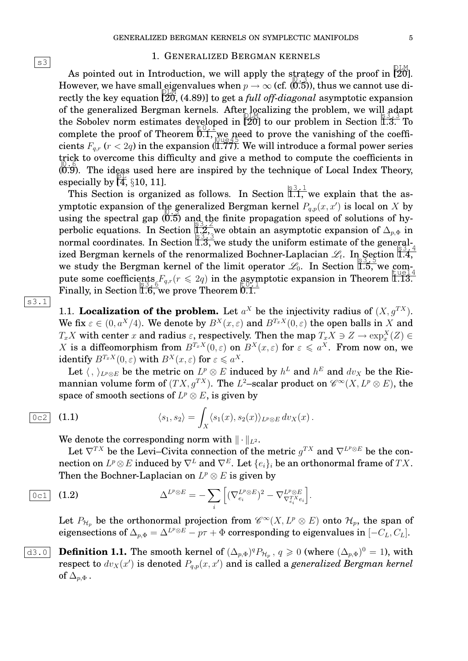#### 1. GENERALIZED BERGMAN KERNELS

As pointed out in Introduction, we will apply the strategy of the proof in  $\begin{bmatrix} 20 \\ 20 \end{bmatrix}$ . However, we have small eigenvalues when  $p\rightarrow\infty$  (cf. (0.5)), thus we cannot use directly the key equation  $\frac{616}{20}$ , (4.89)] to get a *full off-diagonal* asymptotic expansion of the generalized Bergman kernels. After localizing the problem, we will adapt the Sobolev norm estimates developed in  $\left[2\overline{0}\right]$  to our problem in Section  $\overline{1.3}$ . To complete the proof of Theorem  $0.1$ , we need to prove the vanishing of the coefficomprese the proof of Theorem (3.1,  $\frac{1}{100}$  and the expansion (1.77). We will introduce a formal power series trick to overcome this difficulty and give a method to compute the coefficients in ( 0.9). The ideas used here are inspired by the technique of Local Index Theory, especially by  $\left[\frac{B}{4}, \frac{5}{3}, 10, 11\right]$ .

This Section is organized as follows. In Section  $\overline{1.1}$ , we explain that the asymptotic expansion of the generalized Bergman kernel  $P_{q,p}(x, x')$  is local on X by using the spectral gap ( 0.5) and the finite propagation speed of solutions of hyperbolic equations. In Section  $\frac{1}{k}$ , we obtain an asymptotic expansion of  $\Delta_{p,\Phi}$  in persone equations. In Section  $\frac{133}{13}$ , we study the uniform estimate of the general-<br>normal coordinates. In Section 1.3, we study the uniform estimate of the generalized Bergman kernels of the renormalized Bochner-Laplacian  $\mathcal{L}_t$ . In Section 1.4, we study the Bergman kernel of the limit operator  $\mathcal{L}_0$ . In Section 1.5, we compute some coefficients  $F_{q,r}(r \leq 2q)$  in the asymptotic expansion in Theorem 1.13. Finally, in Section 1.6, we prove Theorem 0.1.

s3.1

1.1. **Localization of the problem.** Let  $a^X$  be the injectivity radius of  $(X, g^{TX})$ . We fix  $\varepsilon \in (0, a^X/4)$ . We denote by  $B^X(x, \varepsilon)$  and  $B^{T_x X}(0, \varepsilon)$  the open balls in X and  $T_xX$  with center  $x$  and radius  $\varepsilon,$  respectively. Then the map  $T_xX\ni Z\rightarrow \exp_x^X(Z)\in$ X is a diffeomorphism from  $B^{T_x X}(0, \varepsilon)$  on  $B^{X}(x, \varepsilon)$  for  $\varepsilon \leqslant a^X$ . From now on, we identify  $B^{T_xX}(0,\varepsilon)$  with  $B^X(x,\varepsilon)$  for  $\varepsilon \leqslant a^X.$ 

Let  $\langle\,,\,\rangle_{L^p\otimes E}$  be the metric on  $L^p\otimes E$  induced by  $h^L$  and  $h^E$  and  $dv_X$  be the Riemannian volume form of  $(TX,g^{TX})$ . The  $L^2-$ scalar product on  $\mathscr{C}^\infty(X,L^p\otimes E),$  the space of smooth sections of  $L^p \otimes E$ , is given by

$$
\boxed{0c2} \quad \textbf{(1.1)} \qquad \qquad \langle s_1, s_2 \rangle = \int_X \langle s_1(x), s_2(x) \rangle_{L^p \otimes E} \, dv_X(x) \, .
$$

We denote the corresponding norm with  $\|\cdot\|_{L^2}$ .

Let  $\nabla^{TX}$  be the Levi–Civita connection of the metric  $g^{TX}$  and  $\nabla^{L^p\otimes E}$  be the connection on  $L^p\otimes E$  induced by  $\nabla^L$  and  $\nabla^E.$  Let  $\{e_i\}_i$  be an orthonormal frame of  $TX.$ Then the Bochner-Laplacian on  $L^p \otimes E$  is given by

$$
\boxed{0 \text{cl}} \quad (1.2) \qquad \Delta^{L^p \otimes E} = -\sum_i \Big[ (\nabla_{e_i}^{L^p \otimes E})^2 - \nabla_{\nabla_{e_i}^{T X} e_i}^{L^p \otimes E} \Big].
$$

Let  $P_{\mathcal{H}_p}$  be the orthonormal projection from  $\mathscr{C}^{\infty}(X, L^p \otimes E)$  onto  $\mathcal{H}_p$ , the span of eigensections of  $\Delta_{p,\Phi} = \Delta^{L^p \otimes E} - p\tau + \Phi$  corresponding to eigenvalues in  $[-C_L, C_L].$ 

 $\overline{\text{d3.0}}$  **Definition 1.1.** The smooth kernel of  $(\Delta_{p,\Phi})^q P_{\mathcal{H}_p}$ ,  $q \geq 0$  (where  $(\Delta_{p,\Phi})^0 = 1$ ), with respect to  $dv_X(x')$  is denoted  $P_{q,p}(x,x')$  and is called a *generalized Bergman kernel* of  $\Delta_{p,\Phi}$  .

 $|s3|$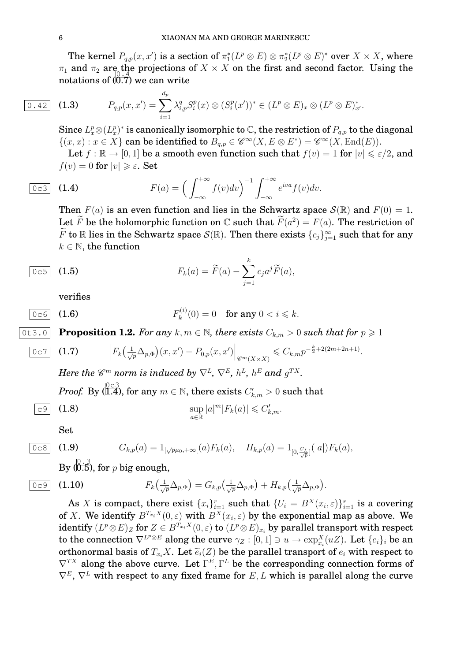The kernel  $P_{q,p}(x,x')$  is a section of  $\pi_1^*(L^p\otimes E)\otimes \pi_2^*(L^p\otimes E)^*$  over  $X\times X,$  where  $\pi_1$  and  $\pi_2$  are the projections of  $X \times X$  on the first and second factor. Using the notations of  $(0.7)$  we can write

$$
\boxed{0.42}
$$

 $\overline{0.42}$  (1.3)  $P_{q,p}(x,x') = \sum$  $i=1$  $\lambda_{i,p}^q S_i^p$  $\binom{p}{i}(x) \otimes (S_i^p)$  $(i^{p}(x'))^{*} \in (L^{p} \otimes E)_{x} \otimes (L^{p} \otimes E)_{x'}^{*}.$ 

Since  $L_{x}^{p}\otimes(L_{x}^{p})^{\ast}$  is canonically isomorphic to  $\mathbb{C},$  the restriction of  $P_{q,p}$  to the diagonal  $\{(x, x) : x \in X\}$  can be identified to  $B_{q,p} \in \mathscr{C}^{\infty}(X, E \otimes E^*) = \mathscr{C}^{\infty}(X, \text{End}(E)).$ 

Let  $f : \mathbb{R} \to [0,1]$  be a smooth even function such that  $f(v) = 1$  for  $|v| \leq \varepsilon/2$ , and  $f(v) = 0$  for  $|v| \geq \varepsilon$ . Set

$$
\begin{array}{cc}\n\hline\n0 \text{c3} & \text{(1.4)} \\
\hline\n\end{array}\n\qquad F(a) = \left(\int_{-\infty}^{+\infty} f(v) dv\right)^{-1} \int_{-\infty}^{+\infty} e^{iva} f(v) dv.
$$

 $d_{p}$ 

Then  $F(a)$  is an even function and lies in the Schwartz space  $\mathcal{S}(\mathbb{R})$  and  $F(0) = 1$ . Let  $\widetilde{F}$  be the holomorphic function on  $\mathbb{C}$  such that  $\widetilde{F}(a^2) = F(a)$ . The restriction of  $\widetilde{F}$  to  $\mathbb R$  lies in the Schwartz space  $\mathcal S(\mathbb R).$  Then there exists  $\{c_j\}_{j=1}^\infty$  such that for any  $k \in \mathbb{N}$ , the function

$$
\boxed{0c5} \quad \textbf{(1.5)} \qquad \qquad F_k(a) = \widetilde{F}(a) - \sum_{j=1}^k c_j a^j \widetilde{F}(a),
$$

verifies

$$
\overline{0 \circ 6} \quad \textbf{(1.6)} \qquad \qquad F_k^{(i)}(0) = 0 \quad \textbf{for any } 0 < i \leq k.
$$

0t3.0 **Proposition 1.2.** For any k,  $m \in \mathbb{N}$ , there exists  $C_{k,m} > 0$  such that for  $p \geq 1$ 

$$
\overline{0\,c7}\quad \textbf{(1.7)}\qquad \Big|F_k\big(\tfrac{1}{\sqrt{p}}\Delta_{p,\Phi}\big)(x,x')-P_{0,p}(x,x')\Big|_{\mathscr{C}^m(X\times X)}\leqslant C_{k,m}p^{-\frac{k}{2}+2(2m+2n+1)}.
$$

Here the  $\mathscr{C}^m$  norm is induced by  $\nabla^L$ ,  $\nabla^E$ ,  $h^L$ ,  $h^E$  and  $g^{TX}$ .

 $Proof. \,\, \text{By} \,\bigoplus^{\mathbb{O} \in \mathbb{3}}_{\mathbb{C} \times \mathbb{C}^2} , \,\, \text{for any} \,\, m \in \mathbb{N}, \,\, \text{there exists} \,\, C'_{k,m} > 0 \,\, \text{such that}$ 

$$
\sup_{a\in\mathbb{R}}|a|^m|F_k(a)|\leqslant C'_{k,m}.
$$

Set

$$
\begin{array}{ll}\n\hline\n0 \text{c8} & (1.9) \\
\hline\nG_{k,p}(a) = 1_{\left[\sqrt{p}\mu_0, +\infty\right]}(a)F_k(a), \quad H_{k,p}(a) = 1_{\left[0, \frac{C_L}{\sqrt{p}}\right]}(|a|)F_k(a),\n\end{array}
$$

By  $(\stackrel{[0,.3]}{0.5}),$  for  $p$  big enough,

$$
\begin{array}{|c|c|c|} \hline 0 & c9 \\ \hline \end{array}
$$
 (1)

$$
\overline{0\, \infty 9} \quad \textbf{(1.10)} \qquad \qquad F_k\left(\frac{1}{\sqrt{p}}\Delta_{p,\Phi}\right) = G_{k,p}\left(\frac{1}{\sqrt{p}}\Delta_{p,\Phi}\right) + H_{k,p}\left(\frac{1}{\sqrt{p}}\Delta_{p,\Phi}\right).
$$

As X is compact, there exist  $\{x_i\}_{i=1}^r$  such that  $\{U_i = B^X(x_i, \varepsilon)\}_{i=1}^r$  is a covering of X. We identify  $B^{T_{x_i}X}(0,\varepsilon)$  with  $B^{X}(x_i,\varepsilon)$  by the exponential map as above. We  $\text{identity}\ (L^p\!\otimes\! E)_Z$  for  $Z\in B^{T_{x_i}X}(0,\varepsilon)$  to  $(L^p\!\otimes\! E)_{x_i}$  by parallel transport with respect to the connection  $\nabla^{L^p\otimes E}$  along the curve  $\gamma_Z:[0,1]\ni u\to \exp^X_{x_i}(uZ)$ . Let  $\{e_i\}_i$  be an orthonormal basis of  $T_{x_i}X$ . Let  $\widetilde{e}_i(Z)$  be the parallel transport of  $e_i$  with respect to  $\nabla^{TX}$  along the above curve. Let  $\Gamma^{E}, \Gamma^{L}$  be the corresponding connection forms of  $\nabla^E$ ,  $\nabla^L$  with respect to any fixed frame for E, L which is parallel along the curve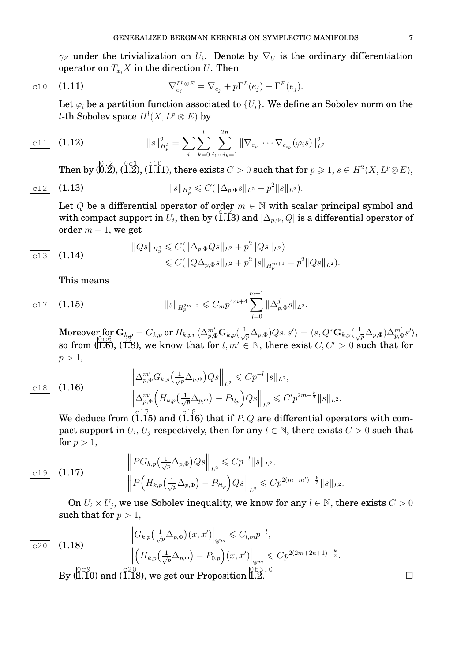$\gamma_Z$  under the trivialization on  $U_i$ . Denote by  $\nabla_U$  is the ordinary differentiation operator on  $T_{x_i}X$  in the direction U. Then

$$
\overline{\text{c10}} \quad (1.11) \qquad \qquad \nabla_{e_j}^{L^p \otimes E} = \nabla_{e_j} + p\Gamma^L(e_j) + \Gamma^E(e_j).
$$

Let  $\varphi_i$  be a partition function associated to  $\{U_i\}$ . We define an Sobolev norm on the l-th Sobolev space  $H^l(X, L^p \otimes E)$  by

$$
\boxed{\text{c11}} \quad \textbf{(1.12)} \qquad \qquad ||s||^2_{H^l_p} = \sum_i \sum_{k=0}^l \sum_{i_1 \cdots i_k=1}^{2n} ||\nabla_{e_{i_1}} \cdots \nabla_{e_{i_k}} (\varphi_i s)||^2_{L^2}
$$

Then by  $\langle \begin{matrix} 0.2\ 0.2 \end{matrix}, \langle \begin{matrix} 0\in 1\ 1.1 \end{matrix} \rangle,$  (i.i.l), there exists  $C>0$  such that for  $p\geqslant 1,$   $s\in H^2(X,L^p\otimes E),$ 

$$
\boxed{c12} \quad (1.13) \qquad \qquad ||s||_{H_p^2} \leqslant C(||\Delta_{p,\Phi}s||_{L^2} + p^2 ||s||_{L^2}).
$$

Let Q be a differential operator of order  $m \in \mathbb{N}$  with scalar principal symbol and with compact support in  $U_i$ , then by (I.T3) and  $[\Delta_{p,\Phi},Q]$  is a differential operator of order  $m + 1$ , we get

$$
\text{(1.14)} \quad \|\text{Qs}\|_{H_p^2} \leqslant C(\|\Delta_{p,\Phi}Qs\|_{L^2} + p^2 \|Qs\|_{L^2}) \\
\leqslant C(\|Q\Delta_{p,\Phi}s\|_{L^2} + p^2 \|s\|_{H_p^{m+1}} + p^2 \|Qs\|_{L^2}).
$$

This means

$$
\boxed{c17} \quad \textbf{(1.15)} \qquad \qquad \|\textbf{s}\|_{H_p^{2m+2}} \leqslant C_m p^{4m+4} \sum_{j=0}^{m+1} \|\Delta_{p,\Phi}^j \textbf{s}\|_{L^2}.
$$

 $\text{Moreover for } \mathbf{G}_{k,p} = G_{k,p} \text{ or } H_{k,p}, \langle \Delta_{p,\Phi}^{m'} \mathbf{G}_{k,p}(\frac{1}{\sqrt{p}} \Delta_{p,\Phi})Q_s, s' \rangle = \langle s, Q^* \mathbf{G}_{k,p}(\frac{1}{\sqrt{p}} \Delta_{p,\Phi})\Delta_{p,\Phi}^{m'} s' \rangle,$ so from  $(\overline{1.6})$ ,  $(\overline{1.8})$ , we know that for  $l, m' \in \mathbb{N}$ , there exist  $C, C' > 0$  such that for  $p > 1$ ,

$$
\frac{\left\|\Delta_{p,\Phi}^{m'}G_{k,p}\left(\frac{1}{\sqrt{p}}\Delta_{p,\Phi}\right)Qs\right\|_{L^{2}}}{\left\|\Delta_{p,\Phi}^{m'}\left(H_{k,p}\left(\frac{1}{\sqrt{p}}\Delta_{p,\Phi}\right)-P_{\mathcal{H}_{p}}\right)Qs\right\|_{L^{2}}}\leqslant C'p^{2m-\frac{k}{2}}\|s\|_{L^{2}}.
$$
\n(1.16)

We deduce from  $(\overline{1.15})$  and  $(\overline{1.16})$  that if  $P,Q$  are differential operators with compact support in  $U_i$ ,  $U_j$  respectively, then for any  $l \in \mathbb{N}$ , there exists  $C > 0$  such that for  $p > 1$ ,

$$
\frac{\|PG_{k,p}\left(\frac{1}{\sqrt{p}}\Delta_{p,\Phi}\right)Qs\|_{L^{2}}}{\|P\left(H_{k,p}\left(\frac{1}{\sqrt{p}}\Delta_{p,\Phi}\right)-P_{\mathcal{H}_{p}}\right)Qs\|_{L^{2}}}\leqslant Cp^{2(m+m')-\frac{k}{2}}\|s\|_{L^{2}}.
$$

On  $U_i \times U_j$ , we use Sobolev inequality, we know for any  $l \in \mathbb{N}$ , there exists  $C > 0$ such that for  $p > 1$ ,

$$
\begin{array}{ll}\n\left|G_{k,p}\left(\frac{1}{\sqrt{p}}\Delta_{p,\Phi}\right)(x,x')\right|_{\mathscr{C}^m} \leqslant C_{l,m}p^{-l},\\
\left|\left(H_{k,p}\left(\frac{1}{\sqrt{p}}\Delta_{p,\Phi}\right)-P_{0,p}\right)(x,x')\right|_{\mathscr{C}^m} \leqslant Cp^{2(2m+2n+1)-\frac{k}{2}}.\n\end{array}
$$
\nBy  $\left|\begin{array}{l}\n\frac{0\text{ }c\text{ }9}{1.10}\n\end{array}\right|$  and  $\left|\begin{array}{l}\n\frac{c\text{ }20}{1.18}\n\end{array}\right|$ , we get our Proposition I.2.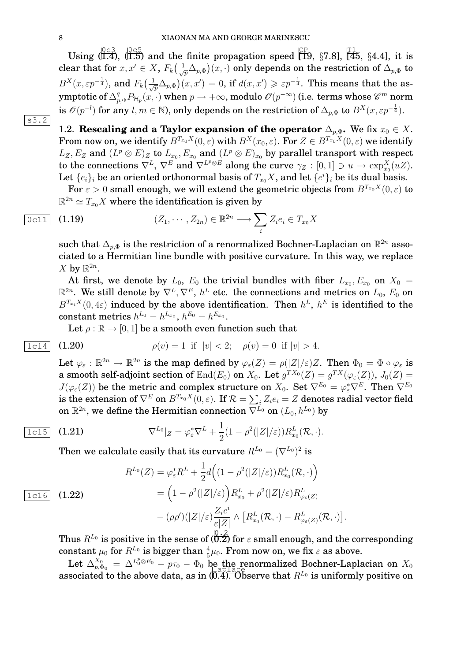Using  $(1.4)$ ,  $(1.5)$  and the finite propagation speed  $\Xi$  [19, §7.8],  $\Xi$  [45, §4.4], it is clear that for  $x,x'\in X$ ,  $F_k\big(\frac{1}{\sqrt{p}}\Delta_{p,\Phi}\big)(x,\cdot)$  only depends on the restriction of  $\Delta_{p,\Phi}$  to  $B^X(x, \varepsilon p^{-\frac{1}{4}})$ , and  $F_k(\frac{1}{\sqrt{p}}\Delta_{p, \Phi})(x, x') = 0$ , if  $d(x, x') \geqslant \varepsilon p^{-\frac{1}{4}}$ . This means that the asymptotic of  $\Delta^q_{p,\Phi}P_{\mathcal{H}_p}(x,\cdot)$  when  $p\to +\infty,$  modulo  $\mathscr{O}(p^{-\infty})$  (i.e. terms whose  $\mathscr{C}^m$  norm is  $\mathscr{O}(p^{-l})$  for any  $l,m\in\mathbb{N}$ ), only depends on the restriction of  $\Delta_{p,\Phi}$  to  $B^X(x,\varepsilon p^{-\frac{1}{4}}).$ 

 $|s3.2|$ 

1.2. **Rescaling and a Taylor expansion of the operator**  $\Delta_{p,\Phi}$ . We fix  $x_0 \in X$ . From now on, we identify  $B^{T_{x_0}X}(0, \varepsilon)$  with  $B^{X}(x_0, \varepsilon)$ . For  $Z \in B^{T_{x_0}X}(0, \varepsilon)$  we identify  $L_Z, E_Z$  and  $(L^p\otimes E)_Z$  to  $L_{x_0}, E_{x_0}$  and  $(L^p\otimes E)_{x_0}$  by parallel transport with respect to the connections  $\nabla^L$ ,  $\nabla^E$  and  $\nabla^{L^p\otimes E}$  along the curve  $\gamma_Z:[0,1]\ni u\to \exp_{x_0}^X(uZ).$ Let  $\{e_i\}_i$  be an oriented orthonormal basis of  $T_{x_0}X$ , and let  $\{e^i\}_i$  be its dual basis.

For  $\varepsilon > 0$  small enough, we will extend the geometric objects from  $B^{T_{x_0}X}(0,\varepsilon)$  to  $\mathbb{R}^{2n} \simeq T_{x_0}X$  where the identification is given by

$$
\underbrace{0c11} \quad (1.19) \qquad (Z_1, \cdots, Z_{2n}) \in \mathbb{R}^{2n} \longrightarrow \sum_i Z_i e_i \in T_{x_0} X
$$

such that  $\Delta_{p, \Phi}$  is the restriction of a renormalized Bochner-Laplacian on  $\mathbb{R}^{2n}$  associated to a Hermitian line bundle with positive curvature. In this way, we replace X by  $\mathbb{R}^{2n}$ .

At first, we denote by  $L_0$ ,  $E_0$  the trivial bundles with fiber  $L_{x_0}, E_{x_0}$  on  $X_0 =$  $\mathbb{R}^{2n}.$  We still denote by  $\nabla^L,\nabla^E,\,h^L$  etc. the connections and metrics on  $L_0,$   $E_0$  on  $B^{T_{x_i}X}(0, 4\varepsilon)$  induced by the above identification. Then  $h^L$ ,  $h^E$  is identified to the  $\text{constant metrics } h^{L_0} = h^{L_{x_0}}, \, h^{E_0} = h^{E_{x_0}}.$ 

Let  $\rho : \mathbb{R} \to [0, 1]$  be a smooth even function such that

$$
\boxed{1c14} \quad \textbf{(1.20)} \qquad \qquad \rho(v) = 1 \quad \text{if} \quad |v| < 2; \quad \rho(v) = 0 \quad \text{if} \quad |v| > 4.
$$

Let  $\varphi_{\varepsilon}: \mathbb{R}^{2n} \to \mathbb{R}^{2n}$  is the map defined by  $\varphi_{\varepsilon}(Z) = \rho(|Z|/\varepsilon)Z$ . Then  $\Phi_0 = \Phi \circ \varphi_{\varepsilon}$  is a smooth self-adjoint section of  $\rm{End}(\it{E}_{0})$  on  $X_{0}.$  Let  $g^{TX_{0}}(Z)=g^{TX}(\varphi_{\varepsilon}(Z)),$   $J_{0}(Z)=$  $J(\varphi_\varepsilon(Z))$  be the metric and complex structure on  $X_0$ . Set  $\nabla^{E_0}=\varphi_\varepsilon^*\nabla^E.$  Then  $\nabla^{E_0}$ is the extension of  $\nabla^E$  on  $B^{T_{x_0}X}(0,\varepsilon).$  If  $\mathcal{R}=\sum_i Z_ie_i=Z$  denotes radial vector field on  $\mathbb{R}^{2n}$ , we define the Hermitian connection  $\nabla^{\dot{L}_0}$  on  $(L_0, h^{L_0})$  by

$$
\overline{1c15} \quad (1.21) \qquad \nabla^{L_0}|_Z = \varphi_\varepsilon^* \nabla^L + \frac{1}{2} (1 - \rho^2(|Z|/\varepsilon)) R_{x_0}^L(\mathcal{R}, \cdot).
$$

Then we calculate easily that its curvature  $R^{L_0} = (\nabla^{L_0})^2$  is

$$
R^{L_0}(Z) = \varphi_{\varepsilon}^* R^L + \frac{1}{2} d\Big( (1 - \rho^2(|Z|/\varepsilon)) R_{x_0}^L(\mathcal{R}, \cdot) \Big)
$$
  
\n
$$
= \left( 1 - \rho^2(|Z|/\varepsilon) \right) R_{x_0}^L + \rho^2(|Z|/\varepsilon) R_{\varphi_{\varepsilon}(Z)}^L
$$
  
\n
$$
- (\rho \rho')(|Z|/\varepsilon) \frac{Z_i e^i}{\varepsilon |Z|} \wedge \left[ R_{x_0}^L(\mathcal{R}, \cdot) - R_{\varphi_{\varepsilon}(Z)}^L(\mathcal{R}, \cdot) \right]
$$

Thus  $R^{L_0}$  is positive in the sense of  $\overbrace {\bm \kappa}^{[0],2}_{}$  for  $\varepsilon$  small enough, and the corresponding  $\text{constant} \ \mu_0 \ \text{for} \ R^{L_0} \ \text{is bigger than} \ \frac{4}{5} \mu_0. \ \text{From now on, we fix} \ \varepsilon \ \text{as above}.$ 

.

Let  $\Delta_{p,\Phi_0}^{X_0} = \Delta^{L_0^p \otimes E_0} - p\tau_0 - \Phi_0$  be the renormalized Bochner-Laplacian on  $X_0$ associated to the above data, as in  $(0.4)$ . Observe that  $R^{L_0}$  is uniformly positive on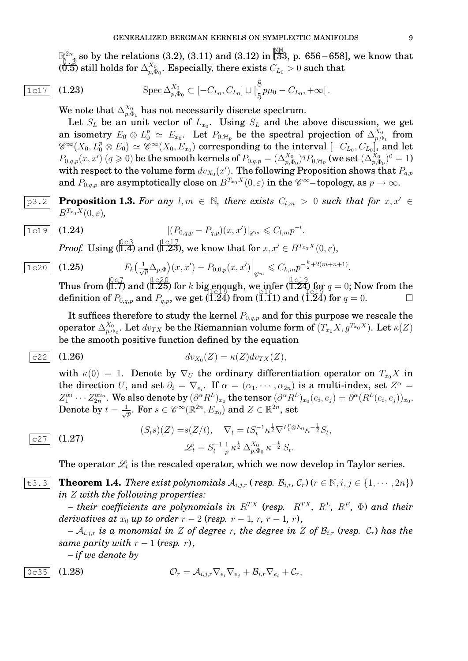$\mathbb{R}^{2n}$  so by the relations (3.2), (3.11) and (3.12) in  $\overline{[33]}$ , p. 656–658], we know that  $\begin{pmatrix} 0 & 3 \\ 0 & 0 \end{pmatrix}$  still holds for  $\Delta_{n,d}^{X_0}$  $_{p,\Phi_{0}}^{\chi_{0}}.$  Especially, there exists  $C_{L_{0}}>0$  such that

1c17 (1.23) 
$$
\text{Spec } \Delta_{p,\Phi_0}^{X_0} \subset [-C_{L_0}, C_{L_0}] \cup [\frac{8}{5}p\mu_0 - C_{L_0}, +\infty[.
$$

We note that  $\Delta^{X_0}_{n, \Phi}$  $\frac{\lambda_0}{p,\Phi_0}$  has not necessarily discrete spectrum.

Let  $S_L$  be an unit vector of  $L_{x_0}$ . Using  $S_L$  and the above discussion, we get an isometry  $E_0 \otimes L_0^p \simeq E_{x_0}$ . Let  $P_{0,\mathcal{H}_p}$  be the spectral projection of  $\Delta_{p,0}^{X_0}$  $\frac{X_{0}}{p,\Phi_{0}}$  from  $\mathscr{C}^\infty(X_0,L_0^p\otimes E_0)\simeq \mathscr{C}^\infty(X_0,E_{x_0})$  corresponding to the interval  $[-C_{L_0},C_{L_0}]$ , and let  $P_{0,q,p}(x,x')\ (q\geqslant 0)$  be the smooth kernels of  $P_{0,q,p}=(\Delta_{p,\Phi_0}^{X_0})^qP_{0,\mathcal{H}_p}$  (we set  $(\Delta_{p,\Phi_0}^{X_0})^0=1)$ with respect to the volume form  $dv_{X_0}(x')$ . The following Proposition shows that  $P_{q,p}$ and  $P_{0,q,p}$  are asymptotically close on  $B^{T_{x_0}X}(0,\varepsilon)$  in the  $\mathscr{C}^{\infty}-$ topology, as  $p\to\infty.$ 

p3.2 **Proposition 1.3.** For any  $l, m \in \mathbb{N}$ , there exists  $C_{l,m} > 0$  such that for  $x, x' \in$  $B^{T_{x_0}X}(0,\varepsilon)$ ,

$$
\frac{1c19}{(1.24)} (1.24) \qquad |(P_{0,q,p} - P_{q,p})(x,x')|_{\mathscr{C}^m} \leq C_{l,m} p^{-l}.
$$

*Proof.* Using (1.4) and (1.23), we know that for  $x, x' \in B^{T_{x_0}X}(0, \varepsilon)$ ,

$$
\frac{1\text{c20}}{1\text{c20}} \quad (1.25) \qquad \qquad \left| F_k\left(\frac{1}{\sqrt{p}} \Delta_{p,\Phi}\right)(x,x') - P_{0,0,p}(x,x') \right|_{\mathscr{C}^m} \leqslant C_{k,m} p^{-\frac{k}{2} + 2(m+n+1)}.
$$

Thus from  $(0.7)$  and  $(1.25)$  for k big enough, we infer  $(1.24)$  for  $q = 0$ ; Now from the definition of  $P_{0,q,p}$  and  $P_{q,p}$ , we get  $(\overrightarrow{1.24})$  from  $(\overrightarrow{1.11})$  and  $(\overrightarrow{1.24})$  for  $q=0$ .

It suffices therefore to study the kernel  $P_{0,q,p}$  and for this purpose we rescale the operator  $\Delta^{X_0}_{n,\Phi}$  $_{p,\Phi_0}^{X_0}.$  Let  $dv_{TX}$  be the Riemannian volume form of  $(T_{x_0}X,g^{T_{x_0}X}).$  Let  $\kappa(Z)$ be the smooth positive function defined by the equation

$$
\text{c22} \quad \text{(1.26)} \qquad \qquad dv_{X_0}(Z) = \kappa(Z) dv_{TX}(Z),
$$

with  $\kappa(0) = 1$ . Denote by  $\nabla_U$  the ordinary differentiation operator on  $T_{x_0}X$  in the direction U, and set  $\partial_i = \nabla_{e_i}$ . If  $\alpha = (\alpha_1, \dots, \alpha_{2n})$  is a multi-index, set  $Z^{\alpha} =$  $Z_1^{\alpha_1}\cdots Z_{2n}^{\alpha_{2n}}.$  We also denote by  $(\partial^\alpha R^L)_{x_0}$  the tensor  $(\partial^\alpha R^L)_{x_0}(e_i,e_j)=\partial^\alpha(R^L(e_i,e_j))_{x_0}.$ Denote by  $t=\frac{1}{\sqrt{p}}.$  For  $s\in\mathscr{C}^\infty(\mathbb{R}^{2n},E_{x_0})$  and  $Z\in\mathbb{R}^{2n},$  set

(1.27) 
$$
(S_t s)(Z) = s(Z/t), \quad \nabla_t = t S_t^{-1} \kappa^{\frac{1}{2}} \nabla^{L_0^p \otimes E_0} \kappa^{-\frac{1}{2}} S_t, \mathcal{L}_t = S_t^{-1} \frac{1}{p} \kappa^{\frac{1}{2}} \Delta_{p, \Phi_0}^{X_0} \kappa^{-\frac{1}{2}} S_t.
$$

The operator  $\mathscr{L}_t$  is the rescaled operator, which we now develop in Taylor series.

t3.3 **Theorem 1.4.** *There exist polynomials*  $A_{i,j,r}$  (*resp.*  $B_{i,r}$ ,  $C_r$ ) ( $r \in \mathbb{N}, i, j \in \{1, \cdots, 2n\}$ ) *in* Z *with the following properties:*

 $-$  their coefficients are polynomials in  $R^{TX}$  (resp.  $R^{TX}$ ,  $R^{L}$ ,  $R^{E}$ ,  $\Phi$ ) and their *derivatives at*  $x_0$  *up to order*  $r - 2$  (*resp.*  $r - 1$ *,*  $r$ *,*  $r - 1$ *,*  $r$ *),* 

*–*  $\mathcal{A}_{i,j,r}$  *is a monomial in Z of degree r, the degree in Z of*  $\mathcal{B}_{i,r}$  (*resp.*  $\mathcal{C}_r$ ) *has the same parity with*  $r - 1$  (*resp.*  $r$ ),

*– if we denote by*

$$
\begin{array}{c|c}\n0c35 & (1.28) & \mathcal{O}_r = \mathcal{A}_{i,j,r} \nabla_{e_i} \nabla_{e_j} + \mathcal{B}_{i,r} \nabla_{e_i} + \mathcal{C}_r,\n\end{array}
$$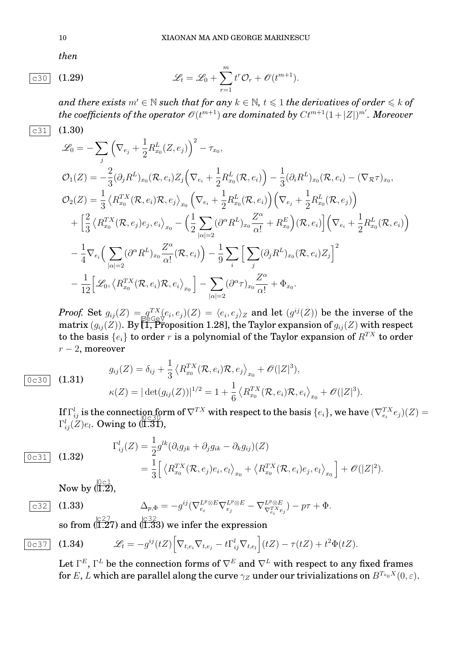*then*

$$
\mathcal{L}_t = \mathcal{L}_0 + \sum_{r=1}^m t^r \mathcal{O}_r + \mathcal{O}(t^{m+1}).
$$

*and there exists*  $m' \in \mathbb{N}$  *such that for any*  $k \in \mathbb{N}$ ,  $t \leq 1$  *the derivatives of order*  $\leq k$  *of*  $the\ coefficients of the\ operator\ \mathscr{O}(t^{m+1})$  are dominated by  $C t^{m+1}(1+|Z|)^{m'}$ . Moreover  $\overline{c31}$  (1.30)

$$
\mathcal{L}_{0} = -\sum_{j} \left( \nabla_{e_{j}} + \frac{1}{2} R_{x_{0}}^{L}(Z, e_{j}) \right)^{2} - \tau_{x_{0}},
$$
\n
$$
\mathcal{O}_{1}(Z) = -\frac{2}{3} (\partial_{j} R^{L})_{x_{0}} (\mathcal{R}, e_{i}) Z_{j} \left( \nabla_{e_{i}} + \frac{1}{2} R_{x_{0}}^{L}(\mathcal{R}, e_{i}) \right) - \frac{1}{3} (\partial_{i} R^{L})_{x_{0}} (\mathcal{R}, e_{i}) - (\nabla_{\mathcal{R}} \tau)_{x_{0}},
$$
\n
$$
\mathcal{O}_{2}(Z) = \frac{1}{3} \left\langle R_{x_{0}}^{TX}(\mathcal{R}, e_{i}) \mathcal{R}, e_{j} \right\rangle_{x_{0}} \left( \nabla_{e_{i}} + \frac{1}{2} R_{x_{0}}^{L}(\mathcal{R}, e_{i}) \right) \left( \nabla_{e_{j}} + \frac{1}{2} R_{x_{0}}^{L}(\mathcal{R}, e_{j}) \right)
$$
\n
$$
+ \left[ \frac{2}{3} \left\langle R_{x_{0}}^{TX}(\mathcal{R}, e_{j}) e_{j}, e_{i} \right\rangle_{x_{0}} - \left( \frac{1}{2} \sum_{|\alpha|=2} (\partial^{\alpha} R^{L})_{x_{0}} \frac{Z^{\alpha}}{\alpha!} + R_{x_{0}}^{E} \right) (\mathcal{R}, e_{i}) \right] \left( \nabla_{e_{i}} + \frac{1}{2} R_{x_{0}}^{L}(\mathcal{R}, e_{i}) \right)
$$
\n
$$
- \frac{1}{4} \nabla_{e_{i}} \left( \sum_{|\alpha|=2} (\partial^{\alpha} R^{L})_{x_{0}} \frac{Z^{\alpha}}{\alpha!}(\mathcal{R}, e_{i}) \right) - \frac{1}{9} \sum_{i} \left[ \sum_{j} (\partial_{j} R^{L})_{x_{0}} (\mathcal{R}, e_{i}) Z_{j} \right]^{2}
$$
\n
$$
- \frac{1}{12} \left[ \mathcal{L}_{0}, \left\langle R_{x_{0}}^{TX}(\mathcal{R}, e_{i}) \mathcal{R}, e_{i} \right\rangle_{x_{0}} \right] - \sum_{|\alpha|=2} (\partial^
$$

*Proof.* Set  $g_{ij}(Z) = g_{\text{Cov}}^{TX}(e_i, e_j)(Z) = \langle e_i, e_j \rangle_Z$  and let  $(g^{ij}(Z))$  be the inverse of the matrix  $(g_{ij}(Z))$ . By  $\prod_{j=1}^{\lfloor \frac{N}{2} \rfloor}$ ,  $\prod_{j=1}^{\lfloor \frac{N}{2} \rfloor}$ ,  $\prod_{j=1}^{\lfloor \frac{N}{2} \rfloor}$ , the Taylor expansion of  $g_{ij}(Z)$  with respect to the basis  $\{e_i\}$  to order r is a polynomial of the Taylor expansion of  $R^{TX}$  to order  $r - 2$ , moreover

 $\boxed{0c30}$  (1.31)

$$
g_{ij}(Z) = \delta_{ij} + \frac{1}{3} \left\langle R_{x_0}^{TX}(\mathcal{R}, e_i) \mathcal{R}, e_j \right\rangle_{x_0} + \mathscr{O}(|Z|^3),
$$
  

$$
\kappa(Z) = |\det(g_{ij}(Z))|^{1/2} = 1 + \frac{1}{6} \left\langle R_{x_0}^{TX}(\mathcal{R}, e_i) \mathcal{R}, e_i \right\rangle_{x_0} + \mathscr{O}(|Z|^3).
$$

 $\text{If } \Gamma_{ij}^l \text{ is the connection form of } \nabla^{TX} \text{ with respect to the basis } \{e_i\}, \text{ we have } (\nabla^{TX}_{e_i} e_j)(Z) =$  $\Gamma_{ij}^l(Z)e_l$ . Owing to  $(\breve{\text{I.3I}}),$ 

$$
\begin{aligned}\n\Gamma_{ij}^l(Z) &= \frac{1}{2} g^{lk} (\partial_i g_{jk} + \partial_j g_{ik} - \partial_k g_{ij}) (Z) \\
&= \frac{1}{3} \Big[ \left\langle R_{x_0}^{TX}(\mathcal{R}, e_j) e_i, e_l \right\rangle_{x_0} + \left\langle R_{x_0}^{TX}(\mathcal{R}, e_i) e_j, e_l \right\rangle_{x_0} \Big] + \mathcal{O}(|Z|^2).\n\end{aligned}
$$

Now by  $\sqrt{0c1}$ ,

$$
\begin{array}{c}\n \fbox{0.32} \\
 \hline\n \text{0.33}\n \end{array}
$$

$$
\overline{c32} \quad (1.33) \qquad \Delta_{p,\Phi} = -g^{ij} (\nabla_{e_i}^{L^p \otimes E} \nabla_{e_j}^{L^p \otimes E} - \nabla_{\nabla_{e_i}^{T^X e_j}}^{L^p \otimes E}) - p\tau + \Phi.
$$

so from  $\left(\frac{|c27}{1.27}\right)$  and  $\left(\frac{|c32}{1.33}\right)$  we infer the expression

1

$$
\overline{0c37} \quad (1.34) \qquad \mathscr{L}_t = -g^{ij}(tZ) \Big[ \nabla_{t,e_i} \nabla_{t,e_j} - t \Gamma_{ij}^l \nabla_{t,e_l} \Big] (tZ) - \tau(tZ) + t^2 \Phi(tZ).
$$

Let  $\Gamma^E,\Gamma^L$  be the connection forms of  $\nabla^E$  and  $\nabla^L$  with respect to any fixed frames for E, L which are parallel along the curve  $\gamma_Z$  under our trivializations on  $B^{T_{x_0}X}(0,\varepsilon)$ .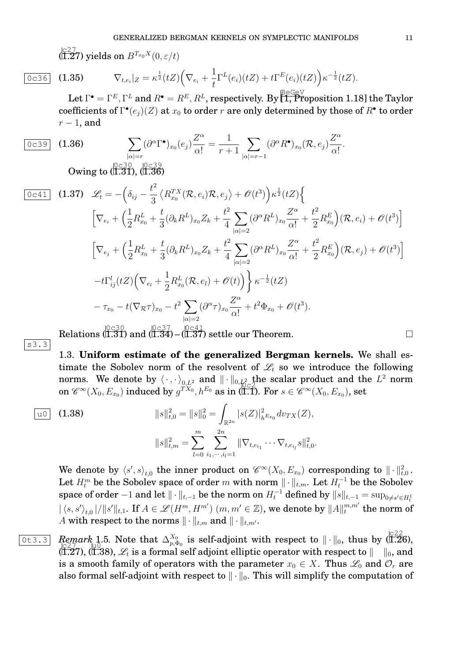$\sqrt{\left(\frac{c}{c}\right)^2}$  (1.27) yields on  $B^{T_{x_0}X}(0,\varepsilon/t)$ 

s3.3

$$
\overline{0c36} \quad (1.35) \qquad \nabla_{t,e_i}|_Z = \kappa^{\frac{1}{2}}(tZ) \Big( \nabla_{e_i} + \frac{1}{t} \Gamma^L(e_i)(tZ) + t \Gamma^E(e_i)(tZ) \Big) \kappa^{-\frac{1}{2}}(tZ).
$$

Let  $\Gamma^\bullet=\Gamma^E,\Gamma^L$  and  $R^\bullet=R^E,R^L,$  respectively. By  $\overline{[1,$  Proposition 1.18] the Taylor coefficients of  $\Gamma^\bullet(e_j)(Z)$  at  $x_0$  to order  $r$  are only determined by those of  $R^\bullet$  to order  $r-1$ , and

$$
\boxed{0c39} \quad \textbf{(1.36)} \qquad \sum_{|\alpha|=r} (\partial^{\alpha} \Gamma^{\bullet})_{x_0}(e_j) \frac{Z^{\alpha}}{\alpha!} = \frac{1}{r+1} \sum_{|\alpha|=r-1} (\partial^{\alpha} R^{\bullet})_{x_0}(\mathcal{R}, e_j) \frac{Z^{\alpha}}{\alpha!}.
$$

Owing to  $\frac{{}^{10}_{\sim} {}^{30}_{\sim} {}^{00}_{\sim} {}^{39}_{\sim} }{{}^{11.30}_{\sim} {}^{10}_{\sim} {}^{136}_{\sim} }$ 

$$
\begin{array}{ll}\n\boxed{0c41} & \text{(1.37)} \quad \mathcal{L}_t = -\left(\delta_{ij} - \frac{t^2}{3} \left\langle R_{x_0}^{TX}(\mathcal{R}, e_i)\mathcal{R}, e_j \right\rangle + \mathcal{O}(t^3)\right) \kappa^{\frac{1}{2}}(tZ) \left\{ \\
& \left[\nabla_{e_i} + \left(\frac{1}{2} R_{x_0}^L + \frac{t}{3} (\partial_k R^L)_{x_0} Z_k + \frac{t^2}{4} \sum_{|\alpha|=2} (\partial^\alpha R^L)_{x_0} \frac{Z^\alpha}{\alpha!} + \frac{t^2}{2} R_{x_0}^E \right) (\mathcal{R}, e_i) + \mathcal{O}(t^3)\right] \\
& \left[\nabla_{e_j} + \left(\frac{1}{2} R_{x_0}^L + \frac{t}{3} (\partial_k R^L)_{x_0} Z_k + \frac{t^2}{4} \sum_{|\alpha|=2} (\partial^\alpha R^L)_{x_0} \frac{Z^\alpha}{\alpha!} + \frac{t^2}{2} R_{x_0}^E \right) (\mathcal{R}, e_j) + \mathcal{O}(t^3)\right] \\
&- t\Gamma_{ij}^l(tZ) \left(\nabla_{e_l} + \frac{1}{2} R_{x_0}^L(\mathcal{R}, e_l) + \mathcal{O}(t)\right) \left\langle \kappa^{-\frac{1}{2}}(tZ) \right. \\
& \left. - \tau_{x_0} - t(\nabla_{\mathcal{R}} \tau)_{x_0} - t^2 \sum_{|\alpha|=2} (\partial^\alpha \tau)_{x_0} \frac{Z^\alpha}{\alpha!} + t^2 \Phi_{x_0} + \mathcal{O}(t^3).\n\end{array}
$$
\n\text{Relations (I.31) and (I.34) – (I.37) settle our Theorem.

Relations (  $\tilde{1.31}$ ) and (  $1.34$ ) – (

1.3. **Uniform estimate of the generalized Bergman kernels.** We shall estimate the Sobolev norm of the resolvent of  $\mathscr{L}_t$  so we introduce the following norms. We denote by  $\langle\,\cdot\,,\cdot\,\rangle_{0,L^2}$  and  $\|\cdot\|_{0,\mathcal{H}^2_\Omega}$  the scalar product and the  $L^2$  norm on  $\mathscr{C}^{\infty}(X_0, E_{x_0})$  induced by  $g^{TX_0}, h^{E_0}$  as in (1.1). For  $s \in \mathscr{C}^{\infty}(X_0, E_{x_0})$ , set

$$
\text{u0} \quad \text{(1.38)} \qquad \qquad ||s||_{t,0}^2 = ||s||_0^2 = \int_{\mathbb{R}^{2n}} |s(Z)|_{h^{Ex_0}}^2 dv_{TX}(Z),
$$
\n
$$
||s||_{t,m}^2 = \sum_{l=0}^m \sum_{i_1,\cdots,i_l=1}^{2n} ||\nabla_{t,e_{i_1}} \cdots \nabla_{t,e_{i_l}} s||_{t,0}^2.
$$

We denote by  $\braket{s',s}_{t,0}$  the inner product on  $\mathscr{C}^\infty(X_0,E_{x_0})$  corresponding to  $\|\cdot\|^2_{t,0}$ . Let  $H_t^m$  be the Sobolev space of order  $m$  with norm  $\|\cdot\|_{t,m}.$  Let  $H_t^{-1}$  be the Sobolev space of order  $-1$  and let  $\|\cdot\|_{t,-1}$  be the norm on  $H_t^{-1}$  defined by  $\|s\|_{t,-1}=\sup_{0\neq s'\in H_t^1}$  $\|\langle s,s'\rangle_{t,0}\|/\|s'\|_{t,1}.$  If  $A\in \mathscr{L}(H^m,H^{m'})$   $(m,m'\in\mathbb{Z}),$  we denote by  $\|A\|_{t}^{m,m'}$  the norm of  $t^{m,m'}$  the norm of A with respect to the norms  $\|\cdot\|_{t,m}$  and  $\|\cdot\|_{t,m}$ .

0t3.3 *Remark* 1.5. Note that  $\Delta_{n,d}^{X_0}$ Remark 1.5. Note that  $\Delta_{p,\Phi_0}^{X_0}$  is self-adjoint with respect to  $\|\cdot\|_0$ , thus by  $\left(\frac{|c^2/2}{1.26}\right)$ , (I.27), (I.38),  $\mathscr{L}_t$  is a formal self adjoint elliptic operator with respect to  $\|\quad\|_0,$  and is a smooth family of operators with the parameter  $x_0 \in X$ . Thus  $\mathscr{L}_0$  and  $\mathcal{O}_r$  are also formal self-adjoint with respect to  $\|\cdot\|_0$ . This will simplify the computation of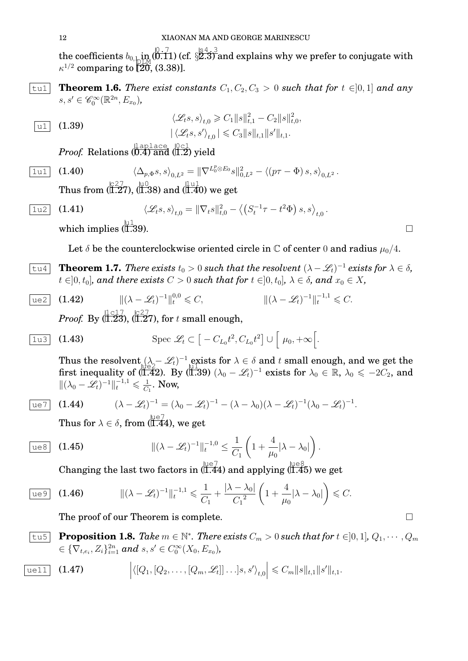the coefficients  $b_{0,\pm}$  in  $(\stackrel{[0,.7]}{0.11})$  (cf.  $\S^{4,.3}_{2.3}$  and explains why we prefer to conjugate with  $\kappa^{1/2}$  comparing to [20, (3.38)].

,

 $|\text{tul}|\;$  **Theorem 1.6.** *There exist constants*  $C_1, C_2, C_3 > 0$  *such that for*  $t \in ]0,1]$  *and any*  $s, s' \in \mathscr{C}_0^{\infty}(\mathbb{R}^{2n}, E_{x_0}),$ 

$$
\frac{\langle \mathcal{L}_t s, s \rangle_{t,0} \geq C_1 \| s \|_{t,1}^2 - C_2 \| s \|_{t,0}^2}{|\langle \mathcal{L}_t s, s' \rangle_{t,0}| \leq C_3 \| s \|_{t,1} \| s' \|_{t,1}}.
$$

 $Proof.$  Relations  $\overline{0.4}$  and  $\overline{0.2}$  yield

$$
\boxed{1\text{u1}} \quad (1.40) \qquad \langle \Delta_{p,\Phi} s, s \rangle_{0,L^2} = \|\nabla^{L_0^p \otimes E_0} s\|_{0,L^2}^2 - \langle (p\tau - \Phi) s, s \rangle_{0,L^2}.
$$

Thus from  $\langle \overline{1.2}^{27} \overline{7}7 \rangle$ ,  $\langle \overline{1.38} \rangle$  and  $\langle \overline{1.40} \rangle$  we get

$$
\boxed{1\text{u2}} \quad \textbf{(1.41)} \qquad \langle \mathcal{L}_t s, s \rangle_{t,0} = \|\nabla_t s\|_{t,0}^2 - \langle \left(S_t^{-1}\tau - t^2\Phi\right)s, s \rangle_{t,0}.
$$
\nwhich implies (II.39).

which implies  $(\prod_{i=1}^{\lfloor \frac{n}{2} \rfloor}$ 

Let  $\delta$  be the counterclockwise oriented circle in  $\mathbb C$  of center 0 and radius  $\mu_0/4$ .

 $\overline{\text{true}}$  **Theorem 1.7.** *There exists*  $t_0 > 0$  *such that the resolvent*  $(\lambda - \mathscr{L}_t)^{-1}$  *exists for*  $\lambda \in \delta$ *,*  $t \in ]0, t_0]$ *, and there exists*  $C > 0$  *such that for*  $t \in ]0, t_0]$ *,*  $\lambda \in \delta$ *, and*  $x_0 \in X$ *,* 

$$
\boxed{\text{ue2}} \quad (1.42) \qquad ||(\lambda - \mathcal{L}_t)^{-1}||_t^{0,0} \leq C, \qquad ||(\lambda - \mathcal{L}_t)^{-1}||_t^{-1,1} \leq C.
$$
\nProof. By

\n
$$
\left(\frac{1 \cdot 17}{1.23}, \frac{1 \cdot 27}{1.27}, \text{ for } t \text{ small enough,}\right)
$$

$$
\boxed{1\text{u3}} \quad \textbf{(1.43)} \qquad \qquad \text{Spec } \mathscr{L}_t \subset \big[-C_{L_0}t^2, C_{L_0}t^2\big] \cup \big[\mu_0, +\infty\big].
$$

Thus the resolvent  $(\lambda - \mathcal{L}_t)^{-1}$  exists for  $\lambda \in \delta$  and t small enough, and we get the first inequality of (1.42). By ( $\sharp$  (1.39)  $(\lambda_0 - \mathcal{L}_t)^{-1}$  exists for  $\lambda_0 \in \mathbb{R}$ ,  $\lambda_0 \leq -2C_2$ , and  $\|(\lambda_0 - \mathcal{L}_t)^{-1}\|_t^{-1,1} \leq \frac{1}{C}$  $\frac{1}{C_1}$ . Now,

$$
ue7
$$

ue7 (1.44)  $(\lambda - \mathcal{L}_t)^{-1} = (\lambda_0 - \mathcal{L}_t)^{-1} - (\lambda - \lambda_0)(\lambda - \mathcal{L}_t)^{-1}(\lambda_0 - \mathcal{L}_t)^{-1}.$ 

Thus for  $\lambda \in \delta,$  from  $(\stackrel{\text{ue}7}{\text{1.44}})$ , we get

$$
\text{ues} \quad (1.45) \qquad \qquad ||(\lambda - \mathcal{L}_t)^{-1}||_t^{-1,0} \leq \frac{1}{C_1} \left( 1 + \frac{4}{\mu_0} |\lambda - \lambda_0| \right).
$$

Changing the last two factors in  $\frac{\text{ue}7}{(1.44)}$  and applying  $\frac{\text{ue}8}{(1.45)}$  we get

$$
\frac{\text{ue9}}{\text{u} \cdot \text{v1}} \quad (1.46) \qquad \qquad \| (\lambda - \mathcal{L}_t)^{-1} \|_{t}^{-1,1} \leq \frac{1}{C_1} + \frac{|\lambda - \lambda_0|}{C_1^2} \left( 1 + \frac{4}{\mu_0} |\lambda - \lambda_0| \right) \leq C.
$$

The proof of our Theorem is complete.  $\Box$ 

**Proposition 1.8.** Take  $m \in \mathbb{N}^*$ . There exists  $C_m > 0$  such that for  $t \in ]0,1]$ ,  $Q_1, \cdots, Q_m$  $\in \{\nabla_{t,e_i}, Z_i\}_{i=1}^{2n}$  and  $s, s' \in C_0^{\infty}(X_0, E_{x_0})$ ,

$$
\boxed{\text{uell}} \quad (1.47) \qquad \qquad \Big| \langle [Q_1, [Q_2, \ldots, [Q_m, \mathscr{L}_t]] \ldots] s, s' \rangle_{t,0} \Big| \leqslant C_m \|s\|_{t,1} \|s'\|_{t,1}.
$$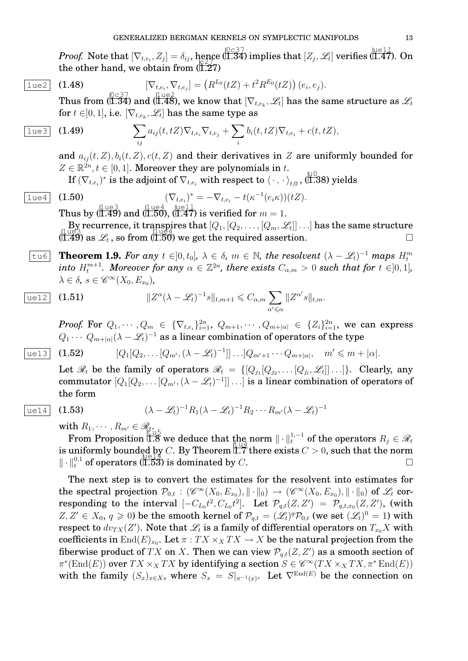*Proof.* Note that  $[\nabla_{t,e_i}, Z_j] = \delta_{ij}$ , hence  $(\overline{1.34})$  implies that  $[Z_j, \mathscr{L}_t]$  verifies  $(\overline{1.47})$ . On the other hand, we obtain from  $(\tilde{I}.\tilde{Z}7)$ 

$$
\boxed{1 \text{ue2}} \quad \textbf{(1.48)} \qquad \qquad [\nabla_{t,e_i}, \nabla_{t,e_j}] = \left( R^{L_0}(tZ) + t^2 R^{E_0}(tZ) \right) (e_i, e_j).
$$

Thus from (1.34) and ( $\frac{1\log 2}{1.48}$ ), we know that  $[\nabla_{t,e_k},\mathscr{L}_t]$  has the same structure as  $\mathscr{L}_t$ for  $t\in ]0,1],$  i.e.  $[\nabla_{t,e_k},\mathscr{L}_t]$  has the same type as

$$
\boxed{1 \text{ue3}} \quad \textbf{(1.49)} \qquad \qquad \sum_{ij} a_{ij}(t, tZ) \nabla_{t, e_i} \nabla_{t, e_j} + \sum_i b_i(t, tZ) \nabla_{t, e_i} + c(t, tZ),
$$

and  $a_{ij}(t, Z), b_i(t, Z), c(t, Z)$  and their derivatives in Z are uniformly bounded for  $Z \in \mathbb{R}^{2n}, t \in [0, 1]$ . Moreover they are polynomials in t.

 $\text{If } (\nabla_{t,e_i})^* \text{ is the adjoint of } \nabla_{t,e_i} \text{ with respect to } \langle \cdot \, , \, \cdot \rangle_{t,0} \text{, } (\text{$1.38$}) \text{ yields }$ 

$$
\overline{1 \text{ue}4} \quad \text{(1.50)} \qquad (\nabla_{t,e_i})^* = -\nabla_{t,e_i} - t(\kappa^{-1}(e_i \kappa))(tZ).
$$
\n
$$
\text{Thus by } (\overline{1.49}) \text{ and } (\overline{1.50}), (\overline{1.47}) \text{ is verified for } m = 1.
$$

 $\mathrm{By\, recurrence},$  it transpires that  $[Q_1,[Q_2,\ldots,[Q_m,\mathscr{L}_t]]\ldots]$  has the same structure  $(1.49)$  as  $\mathscr{L}_t$ , so from  $(1.50)$  we get the required assertion.

 $\overline{\text{true}}$  **Theorem 1.9.** For any  $t \in ]0, t_0]$ ,  $\lambda \in \delta$ ,  $m \in \mathbb{N}$ , the resolvent  $(\lambda - \mathscr{L}_t)^{-1}$  maps  $H_t^m$  $\tilde{H}$  into  $H_t^{m+1}$ . Moreover for any  $\alpha \in \mathbb{Z}^{2n}$ , there exists  $C_{\alpha,m} > 0$  such that for  $t \in ]0,1]$ ,  $\lambda \in \delta$ ,  $s \in \mathscr{C}^{\infty}(X_0, E_{x_0})$ ,

$$
\text{ue12} \quad \text{(1.51)} \qquad \qquad ||Z^{\alpha}(\lambda - \mathscr{L}_t)^{-1} s||_{t,m+1} \leq C_{\alpha,m} \sum_{\alpha' \leq \alpha} ||Z^{\alpha'} s||_{t,m}.
$$

*Proof.* For  $Q_1, \cdots, Q_m$   $\in$   $\{\nabla_{t,e_i}\}_{i=1}^{2n}, \ Q_{m+1}, \cdots, Q_{m+|\alpha|}$   $\in$   $\{Z_i\}_{i=1}^{2n},$  we can express  $Q_1 \cdots \; Q_{m+|\alpha|} (\lambda-\mathscr{L}_t)^{-1}$  as a linear combination of operators of the type

$$
\text{ue13} \quad \text{(1.52)} \qquad [Q_1[Q_2,\ldots [Q_{m'},(\lambda-\mathscr{L}_t)^{-1}]]\ldots]Q_{m'+1}\cdots Q_{m+|\alpha|}, \quad m' \leq m+|\alpha|.
$$

Let  $\mathscr{R}_t$  be the family of operators  $\mathscr{R}_t$  =  $\{[Q_{j_1}[Q_{j_2},\dots [Q_{j_l},\mathscr{L}_t]]\dots]\}.$  Clearly, any commutator  $[Q_1 [Q_2, \dots [Q_{m'}, (\lambda - \mathscr{L}_t)^{-1}]] \dots]$  is a linear combination of operators of the form

$$
|ue14|
$$

 $(1.53)$ 

$$
(\lambda - \mathscr{L}_t)^{-1} R_1 (\lambda - \mathscr{L}_t)^{-1} R_2 \cdots R_{m'} (\lambda - \mathscr{L}_t)^{-1}
$$

with  $R_1, \cdots, R_{m'} \in \mathscr{R}_{t}$ 

From Proposition 1.8 we deduce that the norm  $\|\cdot\|_{t}^{1,-1}$  of the operators  $R_j \in \mathcal{R}_t$ is uniformly bounded by C. By Theorem  $\mathbb{I}$ . There exists  $C > 0$ , such that the norm  $\|\cdot\|_{t}^{0,1}$  of operators  $(\overline{1.53})$  is dominated by C.

The next step is to convert the estimates for the resolvent into estimates for the spectral projection  $\mathcal{P}_{0,t}$  :  $(\mathscr{C}^{\infty}(X_0, E_{x_0}), \|\cdot\|_0) \to (\mathscr{C}^{\infty}(X_0, E_{x_0}), \|\cdot\|_0)$  of  $\mathscr{L}_t$  corresponding to the interval  $[-C_{L_0}t^2, C_{L_0}t^2]$ . Let  $\mathcal{P}_{q,t}(Z,Z') = \mathcal{P}_{q,t,x_0}(Z,Z')$ , (with  $Z, Z' \in X_0, q \geq 0$ ) be the smooth kernel of  $\mathcal{P}_{q,t} = (\mathscr{L}_t)^q \mathcal{P}_{0,t}$  (we set  $(\mathscr{L}_t)^0 = 1$ ) with respect to  $dv_{TX}(Z')$ . Note that  $\mathscr{L}_t$  is a family of differential operators on  $T_{x_0}X$  with coefficients in  $\mathrm{End}(E)_{x_0}.$  Let  $\pi: TX\times_X TX\to X$  be the natural projection from the fiberwise product of  $TX$  on  $X$ . Then we can view  $\mathcal{P}_{q,t}(Z,Z')$  as a smooth section of  $\pi^*(\text{End}(E))$  over  $TX \times_X TX$  by identifying a section  $S \in \mathscr{C}^\infty(TX \times_X TX, \pi^* \text{End}(E))$ with the family  $(S_x)_{x\in X}$ , where  $S_x = S|_{\pi^{-1}(x)}$ . Let  $\nabla^{\text{End}(E)}$  be the connection on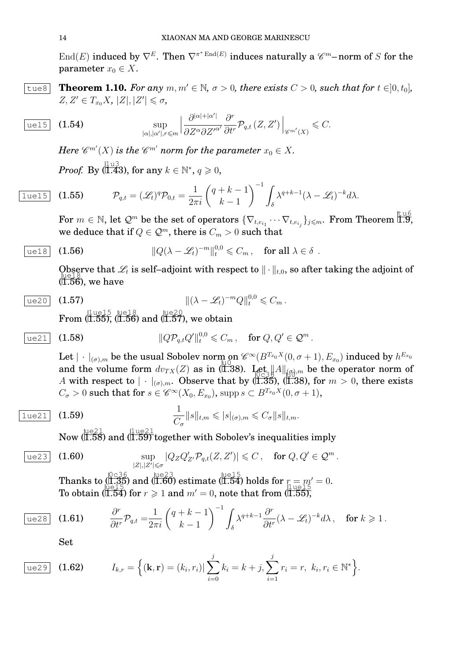$\mathrm{End}(E)$  induced by  $\nabla^E$ . Then  $\nabla^{\pi^*\mathrm{End}(E)}$  induces naturally a  $\mathscr{C}^m\text{-norm}$  of  $S$  for the parameter  $x_0 \in X$ .

 $|\text{true8}|$  **Theorem 1.10.** For any  $m, m' \in \mathbb{N}$ ,  $\sigma > 0$ , there exists  $C > 0$ , such that for  $t \in ]0, t_0]$ ,  $Z, Z' \in T_{x_0}X, |Z|, |Z'| \leq \sigma$ ,

$$
\text{ue15} \quad \textbf{(1.54)} \qquad \sup_{|\alpha|, |\alpha'|, r \leqslant m} \left| \frac{\partial^{|\alpha|+|\alpha'|}}{\partial Z^{\alpha} \partial Z'^{\alpha'}} \frac{\partial^r}{\partial t^r} \mathcal{P}_{q,t}(Z, Z') \right|_{\mathscr{C}^{m'}(X)} \leqslant C.
$$

Here  $\mathscr{C}^{m'}(X)$  is the  $\mathscr{C}^{m'}$  norm for the parameter  $x_0\in X.$  $Proof. \ \mathrm{By} \, (\stackrel{\text{[1\,u3]}}{\text{1.43}}), \, \text{for any} \, \, k \in \mathbb{N}^*, \, q \geqslant 0,$ 

$$
\boxed{1 \text{ue} 15} \quad \textbf{(1.55)} \qquad \mathcal{P}_{q,t} = (\mathscr{L}_t)^q \mathcal{P}_{0,t} = \frac{1}{2\pi i} \left( \begin{array}{c} q+k-1 \\ k-1 \end{array} \right)^{-1} \int_{\delta} \lambda^{q+k-1} (\lambda - \mathscr{L}_t)^{-k} d\lambda.
$$

 $\text{For } m \in \mathbb{N}, \text{ let } \mathcal{Q}^m \text{ be the set of operators } \{\nabla_{t,e_{i_1}}\cdots\nabla_{t,e_{i_j}}\}_{j\leqslant m}. \text{ From Theorem I.9,}$ we deduce that if  $Q \in \mathcal{Q}^m$ , there is  $C_m > 0$  such that

$$
\text{ue18} \quad (1.56) \qquad \qquad ||Q(\lambda - \mathcal{L}_t)^{-m}||_t^{0,0} \leq C_m \,, \quad \text{for all } \lambda \in \delta \, .
$$

Observe that  $\mathscr{L}_t$  is self-adjoint with respect to  $\|\cdot\|_{t,0}$ , so after taking the adjoint of  $\begin{array}{c}\n\sqrt{28} \\
\sqrt{1.56}\n\end{array}$ , we have

$$
\text{ue20} \quad (1.57) \qquad \qquad ||(\lambda - \mathcal{L}_t)^{-m} Q||_t^{0,0} \leq C_m \, .
$$

 $\operatorname{From} \,(\stackrel{\text{level } 5}{\text{1.55}}\stackrel{\text{level } 8}{\text{1.56}}) \text{ and } (\stackrel{\text{level } 2}{\text{1.57}}\text{), we obtain}$ 

$$
\text{ue21} \quad (1.58) \quad \qquad \qquad ||Q\mathcal{P}_{q,t}Q'||_t^{0,0} \leqslant C_m \,, \quad \text{for } Q,Q' \in \mathcal{Q}^m \,.
$$

Let  $|\,\cdot\,|_{(\sigma),m}$  be the usual Sobolev norm on  $\mathscr{C}^{\infty}(B^{T_{x_0}X}(0,\sigma+1),E_{x_0})$  induced by  $h^{E_{x_0}}$ and the volume form  $dv_{TX}(Z)$  as in (1.38). Let  $||A||_{(G),m}$  be the operator norm of u0 A with respect to  $|\cdot|_{(\sigma),m}$ . Observe that by (I.35), (I.38), for  $m > 0$ , there exists  $C_{\sigma} > 0$  such that for  $s \in \mathscr{C}^{\infty}(X_0,E_{x_0}),$  supp $s \subset B^{T_{x_0}X}(0,\sigma+1),$ 

$$
\frac{1}{C_{\sigma}}\|s\|_{t,m} \leqslant |s|_{(\sigma),m} \leqslant C_{\sigma}\|s\|_{t,m}.
$$

Now (1.58) and (1.59) together with Sobolev's inequalities imply

$$
\text{ue23} \quad \text{(1.60)} \qquad \qquad \sup_{|Z|,|Z'| \leq \sigma} |Q_Z Q'_{Z'} \mathcal{P}_{q,t}(Z,Z')| \leqslant C \,, \quad \text{for } Q,Q' \in \mathcal{Q}^m \,.
$$

Thanks to  $(1.35)$  and  $(1.60)$  estimate  $(1.54)$  holds for  $r = m' = 0$ . To obtain  $(\overline{1.54})$  for  $r \geq 1$  and  $m' = 0$ , note that from  $(\overline{1.55})$ ,

$$
\boxed{\text{ue28}} \quad (1.61) \qquad \frac{\partial^r}{\partial t^r} \mathcal{P}_{q,t} = \frac{1}{2\pi i} \left( \frac{q+k-1}{k-1} \right)^{-1} \int_{\delta} \lambda^{q+k-1} \frac{\partial^r}{\partial t^r} (\lambda - \mathcal{L}_t)^{-k} d\lambda, \quad \text{for } k \geq 1.
$$

Set

ue29 (1.62) 
$$
I_{k,r} = \left\{ (\mathbf{k}, \mathbf{r}) = (k_i, r_i) | \sum_{i=0}^{j} k_i = k + j, \sum_{i=1}^{j} r_i = r, k_i, r_i \in \mathbb{N}^* \right\}.
$$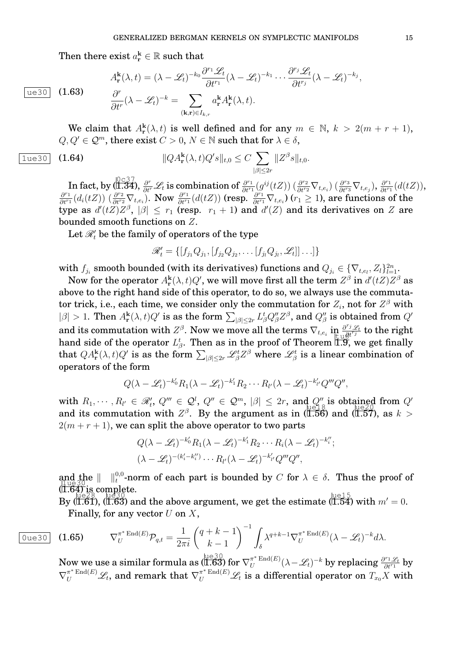Then there exist  $a_{\mathbf{r}}^{\mathbf{k}} \in \mathbb{R}$  such that

 $ue30 | (1.63)$ 

$$
A_{\mathbf{r}}^{\mathbf{k}}(\lambda, t) = (\lambda - \mathcal{L}_t)^{-k_0} \frac{\partial^{r_1} \mathcal{L}_t}{\partial t^{r_1}} (\lambda - \mathcal{L}_t)^{-k_1} \cdots \frac{\partial^{r_j} \mathcal{L}_t}{\partial t^{r_j}} (\lambda - \mathcal{L}_t)^{-k_j},
$$
  

$$
\frac{\partial^r}{\partial t^r} (\lambda - \mathcal{L}_t)^{-k} = \sum_{(\mathbf{k}, \mathbf{r}) \in I_{k,r}} a_{\mathbf{r}}^{\mathbf{k}} A_{\mathbf{r}}^{\mathbf{k}}(\lambda, t).
$$

We claim that  $A_{\mathbf{r}}^{k}(\lambda, t)$  is well defined and for any  $m \in \mathbb{N}$ ,  $k > 2(m + r + 1)$ ,  $Q, Q' \in \mathcal{Q}^m$ , there exist  $C > 0$ ,  $N \in \mathbb{N}$  such that for  $\lambda \in \delta$ ,

$$
\boxed{1 \text{ue30}} \quad \textbf{(1.64)} \qquad \qquad \qquad ||QA^{\mathbf{k}}_{\mathbf{r}}(\lambda, t)Q's||_{t,0} \leq C \sum_{|\beta| \leq 2r} ||Z^{\beta}s||_{t,0}.
$$

In fact, by (1.34),  $\frac{\partial^r}{\partial t^r}\mathscr{L}_t$  is combination of  $\frac{\partial^{r_1}}{\partial t^r}$  $\frac{\partial^{r_1}}{\partial t^{r_1}}(g^{ij}(tZ))\left(\frac{\partial^{r_2}}{\partial t^{r_2}}\nabla_{t,e_i}\right)\left(\frac{\partial^{r_3}}{\partial t^{r_3}}\nabla_{t,e_j}\right),\frac{\partial^{r_1}}{\partial t^{r_1}}$  $\frac{\partial^{r_1}}{\partial t^{r_1}}(d(tZ)),$  $\partial^{r_1}$  $\frac{\partial^{r_1}}{\partial t^{r_1}}(d_i(tZ))$   $(\frac{\partial^{r_2}}{\partial t^{r_2}}\nabla_{t,e_i})$ . Now  $\frac{\partial^{r_1}}{\partial t^{r_1}}$  $\frac{\partial^{r_1}}{\partial t^{r_1}}(d(tZ))$  (resp.  $\frac{\partial^{r_1}}{\partial t^{r_1}}\nabla_{t,e_i}$ ) ( $r_1 \geq 1$ ), are functions of the type as  $d'(tZ)Z^{\beta}$ ,  $|\beta| \leq r_1$  (resp.  $r_1 + 1$ ) and  $d'(Z)$  and its derivatives on Z are bounded smooth functions on Z.

Let  $\mathscr{R}'_t$  be the family of operators of the type

$$
\mathscr{R}'_t = \{ [f_{j_1}Q_{j_1}, [f_{j_2}Q_{j_2}, \dots [f_{j_l}Q_{j_l}, \mathscr{L}_t]] \dots ] \}
$$

with  $f_{j_i}$  smooth bounded (with its derivatives) functions and  $Q_{j_i} \in \{\nabla_{t,e_l},Z_l\}_{l=1}^{2n}.$ 

Now for the operator  $A_{\bf r}^{\bf k}(\lambda,t)Q'$ , we will move first all the term  $Z^{\beta}$  in  $d'(tZ)Z^{\beta}$  as above to the right hand side of this operator, to do so, we always use the commutator trick, i.e., each time, we consider only the commutation for  $Z_i$ , not for  $Z^\beta$  with  $|\beta| > 1$ . Then  $A_r^{\bf k}(\lambda, t)Q'$  is as the form  $\sum_{|\beta| \leq 2r} L_{\beta}^t Q''_{\beta} Z^{\beta}$ , and  $Q''_{\beta}$  is obtained from  $Q'$ and its commutation with  $Z^{\beta}$ . Now we move all the terms  $\nabla_{t,e_i}$  in  $\frac{\partial^{r_j} \mathcal{L}_t}{\partial t^{r_j}}$  to the right hand side of the operator  $L^t_{\beta}$ . Then as in the proof of Theorem  $\widecheck{1.9}$ , we get finally that  $QA^{\bf k}_{{\bf r}}(\lambda,t)Q'$  is as the form  $\sum_{|\beta|\leq 2r}\mathscr{L}^t_\beta Z^\beta$  where  $\mathscr{L}^t_\beta$  is a linear combination of operators of the form

$$
Q(\lambda-\mathscr{L}_t)^{-k'_0}R_1(\lambda-\mathscr{L}_t)^{-k'_1}R_2\cdots R_{l'}(\lambda-\mathscr{L}_t)^{-k'_{l'}}Q'''Q'',
$$

with  $R_1, \dots, R_{l'} \in \mathcal{R}'_t$ ,  $Q''' \in \mathcal{Q}^l$ ,  $Q'' \in \mathcal{Q}^m$ ,  $|\beta| \leq 2r$ , and  $Q''$  is obtained from  $Q'$ and its commutation with  $Z^{\beta}$ . By the argument as in (1.56) and (1.57), as  $k >$  $2(m + r + 1)$ , we can split the above operator to two parts

$$
Q(\lambda - \mathcal{L}_t)^{-k'_0} R_1(\lambda - \mathcal{L}_t)^{-k'_1} R_2 \cdots R_i(\lambda - \mathcal{L}_t)^{-k''_i};
$$
  

$$
(\lambda - \mathcal{L}_t)^{-(k'_i - k''_i)} \cdots R_{l'}(\lambda - \mathcal{L}_t)^{-k'_{l'}} Q''' Q'',
$$

and the  $\|\cdot\|_{t}^{0,0}$ -norm of each part is bounded by C for  $\lambda \in \delta$ . Thus the proof of  $(\tilde{1.64})$  is complete.

 $\text{By (1.61), (1.63)}$  and the above argument, we get the estimate (1.54) with  $m' = 0$ . Finally, for any vector  $U$  on  $X$ ,

$$
\text{(1.65)} \quad \nabla_U^{\pi^* \operatorname{End}(E)} \mathcal{P}_{q,t} = \frac{1}{2\pi i} \left( \frac{q+k-1}{k-1} \right)^{-1} \int_{\delta} \lambda^{q+k-1} \nabla_U^{\pi^* \operatorname{End}(E)} (\lambda - \mathcal{L}_t)^{-k} d\lambda.
$$

Now we use a similar formula as  $(\overline{1.63})$  for  $\nabla^{\pi^*}_U\bm{\mathrm{End}}(E)$  $\frac{\pi^*\operatorname{End}(E)}{U}(\lambda-\mathscr{L}_t)^{-k}$  by replacing  $\frac{\partial^{r_1}\mathscr{L}_t}{\partial t^{r_1}}$  by  $\nabla^{\pi^*\operatorname{End}(E)}_U \mathscr{L}_t$ , and remark that  $\nabla^{\pi^*\operatorname{End}(E)}_U \mathscr{L}_t$  is a differential operator on  $T_{x_0}X$  with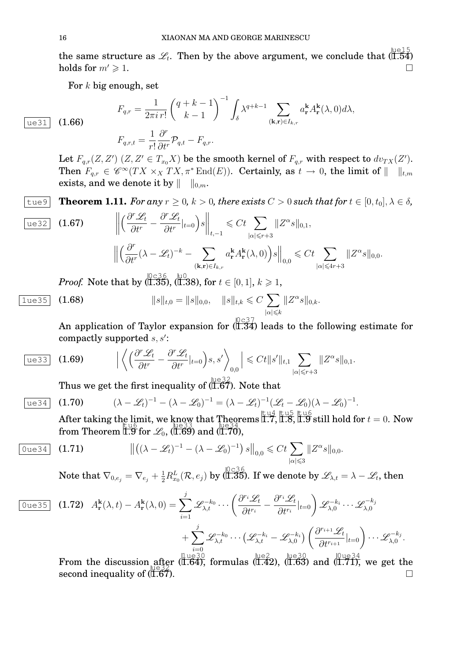the same structure as  $\mathscr{L}_t$ . Then by the above argument, we conclude that  $(\overline{1.54})$ holds for  $m' \geq 1$ .

For  $k$  big enough, set

$$
F_{q,r} = \frac{1}{2\pi i r!} \begin{pmatrix} q+k-1\\ k-1 \end{pmatrix}^{-1} \int_{\delta} \lambda^{q+k-1} \sum_{(\mathbf{k},\mathbf{r}) \in I_{k,r}} a_{\mathbf{r}}^{\mathbf{k}} A_{\mathbf{r}}^{\mathbf{k}}(\lambda,0) d\lambda,
$$

$$
\boxed{\text{ue31}} \quad (1.66)
$$

$$
F_{q,r,t} = \frac{1}{r!} \frac{\partial^r}{\partial t^r} \mathcal{P}_{q,t} - F_{q,r}.
$$

Let  $F_{q,r}(Z,Z')$   $(Z,Z' \in T_{x_0}X)$  be the smooth kernel of  $F_{q,r}$  with respect to  $dv_{TX}(Z').$ Then  $F_{q,r} \in \mathscr{C}^{\infty}(TX \times_X TX, \pi^* \text{End}(E)).$  Certainly, as  $t \to 0$ , the limit of  $|| \quad ||_{t,m}$ exists, and we denote it by  $|| \t||_{0,m}$ .

**Theorem 1.11.** For any  $r \geq 0$ ,  $k > 0$ , there exists  $C > 0$  such that for  $t \in [0, t_0]$ ,  $\lambda \in \delta$ ,

$$
\begin{array}{ll}\n\text{ue32} & (1.67) & \left\| \left( \frac{\partial^r \mathcal{L}_t}{\partial t^r} - \frac{\partial^r \mathcal{L}_t}{\partial t^r} |_{t=0} \right) s \right\|_{t,-1} \leqslant Ct \sum_{|\alpha| \leqslant r+3} \| Z^{\alpha} s \|_{0,1}, \\
& \left\| \left( \frac{\partial^r}{\partial t^r} (\lambda - \mathcal{L}_t)^{-k} - \sum_{(\mathbf{k}, \mathbf{r}) \in I_{k,r}} a_{\mathbf{r}}^{\mathbf{k}} A_{\mathbf{r}}^{\mathbf{k}}(\lambda, 0) \right) s \right\|_{0,0} \leqslant Ct \sum_{|\alpha| \leqslant 4r+3} \| Z^{\alpha} s \|_{0,0}.\n\end{array}
$$

 $Proof. \ \ \text{Note that by (}\substack{0 < 36 \ (1.35), \ (1.38), \text{ for } t \in [0,1], \, k \geqslant 1,}$ 

$$
\boxed{1 \text{ue35}} \quad (1.68) \qquad \qquad ||s||_{t,0} = ||s||_{0,0}, \quad ||s||_{t,k} \leq C \sum_{|\alpha| \leq k} ||Z^{\alpha} s||_{0,k}.
$$

An application of Taylor expansion for  $(0.37)$  leads to the following estimate for compactly supported  $s, s'$ :

$$
\frac{\text{ue33}}{\text{ue33}} \quad \textbf{(1.69)} \qquad \Big|\left\langle \left(\frac{\partial^r \mathscr{L}_t}{\partial t^r} - \frac{\partial^r \mathscr{L}_t}{\partial t^r}|_{t=0}\right)s, s'\right\rangle_{0,0}\Big| \leqslant Ct \|s'\|_{t,1} \sum_{|\alpha| \leqslant r+3} \|Z^{\alpha}s\|_{0,1}.
$$

Thus we get the first inequality of  $(\overline{1.67})$ . Note that

(λ − Lt) <sup>−</sup><sup>1</sup> − (λ − L0) <sup>−</sup><sup>1</sup> = (λ − Lt) −1 (L<sup>t</sup> − L0)(λ − L0) −1 ue34 (1.70) .

After taking the limit, we know that Theorems 1.7, 1.8, 1.9 still hold for  $t=0$ . Now From Theorem  $1.9$  for  $\mathcal{L}_0$ ,  $(1.69)$  and  $(1.70)$ ,

$$
\text{Oue34} \quad \text{(1.71)} \qquad \qquad \left\| \left( (\lambda - \mathcal{L}_t)^{-1} - (\lambda - \mathcal{L}_0)^{-1} \right) s \right\|_{0,0} \leqslant Ct \sum_{|\alpha| \leqslant 3} \| Z^{\alpha} s \|_{0,0}.
$$

Note that  $\nabla_{0,e_j}=\nabla_{e_j}+\frac{1}{2}R^L_{x_0}(\mathcal{R},e_j)$  by (1.35). If we denote by  $\mathscr{L}_{\lambda,t}=\lambda-\mathscr{L}_t,$  then

$$
\begin{array}{ll}\n\hline\n\text{Oue35} & \text{(1.72)} \quad A_{\mathbf{r}}^{\mathbf{k}}(\lambda, t) - A_{\mathbf{r}}^{\mathbf{k}}(\lambda, 0) = \sum_{i=1}^{j} \mathscr{L}_{\lambda, t}^{-k_0} \cdots \left( \frac{\partial^{r_i} \mathscr{L}_t}{\partial t^{r_i}} - \frac{\partial^{r_i} \mathscr{L}_t}{\partial t^{r_i}} |_{t=0} \right) \mathscr{L}_{\lambda, 0}^{-k_i} \cdots \mathscr{L}_{\lambda, 0}^{-k_j} \\
&+ \sum_{i=0}^{j} \mathscr{L}_{\lambda, t}^{-k_0} \cdots \left( \mathscr{L}_{\lambda, t}^{-k_i} - \mathscr{L}_{\lambda, 0}^{-k_i} \right) \left( \frac{\partial^{r_{i+1}} \mathscr{L}_t}{\partial t^{r_{i+1}}} |_{t=0} \right) \cdots \mathscr{L}_{\lambda, 0}^{-k_j}.\n\end{array}
$$
\n11.119–30

\n11.119–30

\n11.119–30

\n11.119–30

\n11.119–30

From the discussion after  $\frac{11 \text{ kg }30}{(1.64)}$  formulas  $\frac{\text{ke2}}{(1.42)}$ ,  $\frac{\text{ke30}}{(1.63)}$  and  $\frac{\text{0ue34}}{(1.71)}$ , we get the  $\frac{u \cos \theta}{\cos 2\theta}$  second inequality of  $(1.67)$  $\frac{1.67}{1.67}$ .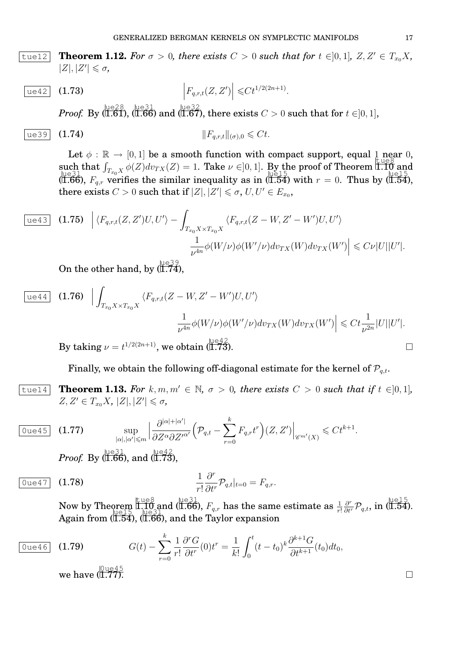**Theorem 1.12.** For  $\sigma > 0$ , there exists  $C > 0$  such that for  $t \in ]0,1]$ ,  $Z, Z' \in T_{x_0}X$ ,  $|Z|, |Z'| \leq \sigma$ ,

$$
\begin{array}{|l|l|}\n\hline \text{ue42} & \textbf{(1.73)} \\
\hline\n\end{array}
$$
\n
$$
\left|F_{q,r,t}(Z,Z')\right| \leq C t^{1/2(2n+1)}.
$$

 $Proof.$  By  $(\overline{1.61}),$   $(\overline{1.66})$  and  $(\overline{1.67}),$  there exists  $C > 0$  such that for  $t \in ]0,1],$ 

$$
\text{ue39} \quad \text{(1.74)} \qquad \qquad \mathbf{||} F_{q,r,t} ||_{(\sigma),0} \leqslant Ct.
$$

Let  $\phi : \mathbb{R} \to [0, 1]$  be a smooth function with compact support, equal 1 near 0, such that  $\int_{T_{x_0}X} \phi(Z)dv_{TX}(Z) = 1$ . Take  $\nu \in ]0,1]$ . By the proof of Theorem 1.10 and (i.66),  $F_{q,r}$  verifies the similar inequality as in (i.54) with  $r = 0$ . Thus by (i.54), there exists  $C > 0$  such that if  $|Z|, |Z'| \leq \sigma$ ,  $U, U' \in E_{x_0}$ ,

$$
\begin{aligned}\n\boxed{\text{ue43}} \quad \textbf{(1.75)} \quad \Big| \langle F_{q,r,t}(Z,Z')U,U' \rangle - \int_{T_{x_0}X \times T_{x_0}X} \langle F_{q,r,t}(Z-W,Z'-W')U,U' \rangle \\
&\quad \frac{1}{\nu^{4n}} \phi(W/\nu) \phi(W'/\nu) dv_{TX}(W) dv_{TX}(W') \Big| \leqslant C\nu |U||U'|.\n\end{aligned}
$$

On the other hand, by  $(\overline{1.74})$ ,

$$
\begin{array}{ll}\n\boxed{\text{ue44}} & \textbf{(1.76)} \quad \Big| \int_{T_{x_0}X \times T_{x_0}X} \langle F_{q,r,t}(Z-W,Z'-W')U,U' \rangle \\
& \frac{1}{\nu^{4n}} \phi(W/\nu) \phi(W'/\nu) dv_{TX}(W) dv_{TX}(W') \Big| \leq C t \frac{1}{\nu^{2n}} |U||U'|.\n\end{array}
$$

By taking  $\nu = t^{1/2(2n+1)}$ , we obtain  $(\overline{1.73})$ .

Finally, we obtain the following off-diagonal estimate for the kernel of  $\mathcal{P}_{q,t}$ .

 $\begin{bmatrix} \text{true14} & \text{Theorem 1.13.} \end{bmatrix}$  *For*  $k, m, m' \in \mathbb{N}$ ,  $\sigma > 0$ , there exists  $C > 0$  such that if  $t \in ]0,1]$ ,  $Z, Z' \in T_{x_0}X, |Z|, |Z'| \leq \sigma$ ,

$$
\boxed{0 \text{ue45}} \quad (1.77) \qquad \sup_{|\alpha|, |\alpha'| \leq m} \left| \frac{\partial^{|\alpha|+|\alpha'|}}{\partial Z^{\alpha} \partial Z'^{\alpha'}} \Big( \mathcal{P}_{q,t} - \sum_{r=0}^{k} F_{q,r} t^r \Big) (Z, Z') \right|_{\mathscr{C}^{m'}(X)} \leqslant C t^{k+1}.
$$

*Proof.* By (1.66), and (1.73),

$$
\boxed{0 \text{ue47}} \quad \textbf{(1.78)} \qquad \qquad \frac{1}{r!} \frac{\partial^r}{\partial t^r} \mathcal{P}_{q,t}|_{t=0} = F_{q,r}.
$$

Now by Theorem  $\prod_{p=1}^{\text{true8}}$  and (1.66),  $F_{q,r}$  has the same estimate as  $\frac{1}{r!}$ **Prem I.IO and (I.66)**,  $F_{q,r}$  has the same estimate as  $\frac{1}{r!} \frac{\partial^r}{\partial t^r} \mathcal{P}_{q,t}$ , in (I.54). Again from (I.54), (I.66), and the Taylor expansion

$$
\boxed{\text{Oue46}} \quad (1.79) \qquad G(t) - \sum_{r=0}^{k} \frac{1}{r!} \frac{\partial^r G}{\partial t^r} (0) t^r = \frac{1}{k!} \int_0^t (t - t_0)^k \frac{\partial^{k+1} G}{\partial t^{k+1}} (t_0) dt_0,
$$
\nwe have  $\left( \prod_{i=0}^{k} \frac{1}{r} \right)^{k+1} \frac{\partial^r G}{\partial t^k}$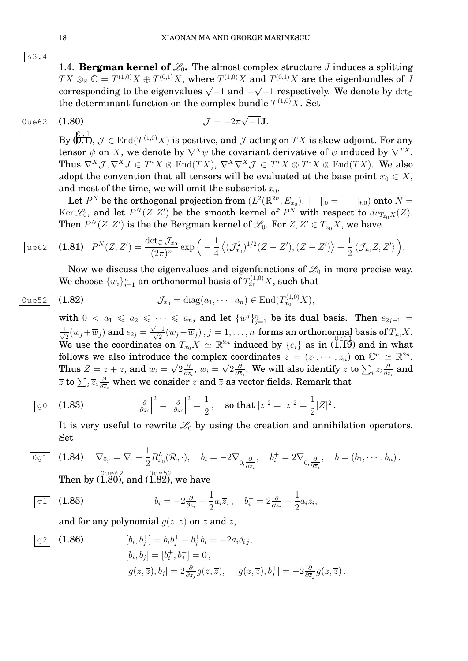s3.4

1.4. **Bergman kernel of**  $\mathcal{L}_0$ . The almost complex structure *J* induces a splitting  $TX \otimes_{\mathbb{R}} \mathbb{C} = T^{(1,0)}X \oplus T^{(0,1)}X$ , where  $T^{(1,0)}X$  and  $T^{(0,1)}X$  are the eigenbundles of J  $T A \otimes_{\mathbb{R}} \mathbb{C} = T^{\otimes n} A \oplus T^{\otimes n} A$ , where  $T^{\otimes n} A$  and  $T^{\otimes n} A$  are the eigenvalues of  $J$  corresponding to the eigenvalues  $\sqrt{-1}$  and  $-\sqrt{-1}$  respectively. We denote by  $\det_{\mathbb{C}}$ the determinant function on the complex bundle  $T^{(1,0)}X$ . Set

√

 $\mathcal{J}=-2\pi$ 

## 0ue62 (1.80)  $J = -2\pi \sqrt{-1}J$ .

 $\overline{\phantom{a}}$ 

 $\mathrm{By} \,(\stackrel{0}{\textbf{0}}\stackrel{.}{,}\overline{\textbf{1}},\, \mathcal{J}\in \mathrm{End}(T^{(1,0)}X)$  is positive, and  $\mathcal J$  acting on  $TX$  is skew-adjoint. For any tensor  $\psi$  on X, we denote by  $\nabla^{X}\psi$  the covariant derivative of  $\psi$  induced by  $\nabla^{TX}$ . Thus  $\nabla^X \mathcal{J}, \nabla^X J \in T^*X \otimes \text{End}(TX)$ ,  $\nabla^X \nabla^X \mathcal{J} \in T^*X \otimes T^*X \otimes \text{End}(TX)$ . We also adopt the convention that all tensors will be evaluated at the base point  $x_0 \in X$ , and most of the time, we will omit the subscript  $x_0$ .

Let  $P^N$  be the orthogonal projection from  $(L^2(\mathbb{R}^{2n}, E_{x_0}), \|\_ \|_0 = \| \_ \|_{t,0})$  onto  $N =$  $\text{Ker } \mathscr{L}_0$ , and let  $P^N(Z,Z')$  be the smooth kernel of  $P^N$  with respect to  $dv_{T_{x_0}X}(Z)$ . Then  $P^N(Z,Z^\prime)$  is the the Bergman kernel of  $\mathscr{L}_0.$  For  $Z,Z^\prime\in T_{x_0}X,$  we have

$$
\overline{\text{ue62}} \quad \textbf{(1.81)} \quad P^N(Z,Z') = \frac{\det_{\mathbb{C}} \mathcal{J}_{x_0}}{(2\pi)^n} \exp\Big(-\frac{1}{4}\big\langle (\mathcal{J}_{x_0}^2)^{1/2}(Z-Z'), (Z-Z')\big\rangle + \frac{1}{2}\big\langle \mathcal{J}_{x_0}Z, Z'\big\rangle\Big).
$$

Now we discuss the eigenvalues and eigenfunctions of  $\mathcal{L}_0$  in more precise way. We choose  $\{w_i\}_{i=1}^n$  an orthonormal basis of  $T^{(1,0)}_{x_0}X,$  such that

$$
\boxed{0 \text{ue52}} \quad \textbf{(1.82)} \qquad \qquad \mathcal{J}_{x_0} = \text{diag}(a_1, \cdots, a_n) \in \text{End}(T_{x_0}^{(1,0)}X),
$$

with  $0 < a_1 \leq a_2 \leq \cdots \leq a_n$ , and let  $\{w^j\}_{j=1}^n$  be its dual basis. Then  $e_{2j-1}$  $\frac{1}{\sqrt{2}}$  $\overline{\overline{2}}(w_j\!+\!\overline{w}_j)$  and  $e_{2j}=$  $\frac{\sqrt{-1}}{\sqrt{2}}(w_j-\overline{w}_j), j=1,\ldots,n$  forms an orthonormal basis of  $T_{x_0}X$ . We use the coordinates on  $T_{x_0}X \simeq \mathbb{R}^{2n}$  induced by  $\{e_i\}$  as in (1.19) and in what follows we also introduce the complex coordinates  $z = (z_1, \dots, z_n)$  on  $\mathbb{C}^n \simeq \mathbb{R}^{2n}$ . Thus  $Z = z + \overline{z}$ , and  $w_i = \sqrt{2} \frac{\partial}{\partial z}$  $\frac{\partial}{\partial z_i},\,\overline{w}_i=\sqrt{2}\frac{\partial}{\partial\overline{z}}$  $\frac{\partial}{\partial \overline{z}_i}.$  We will also identify  $z$  to  $\sum_i z_i \frac{\partial}{\partial z_i}$  $\frac{\partial}{\partial z_i}$  and  $\overline{z}$  to  $\sum_i \overline{z}_i \frac{\partial}{\partial \overline{z}}$  $\frac{\partial}{\partial \overline{z}_i}$  when we consider  $z$  and  $\overline{z}$  as vector fields. Remark that

$$
\boxed{90} \quad \textbf{(1.83)} \qquad \qquad \left|\frac{\partial}{\partial z_i}\right|^2 = \left|\frac{\partial}{\partial \overline{z}_i}\right|^2 = \frac{1}{2}, \quad \text{so that } |z|^2 = |\overline{z}|^2 = \frac{1}{2}|Z|^2 \,.
$$

It is very useful to rewrite  $\mathcal{L}_0$  by using the creation and annihilation operators. Set

$$
\overline{0g1} \quad \textbf{(1.84)} \quad \nabla_{0,\cdot} = \nabla_{\cdot} + \frac{1}{2} R_{x_0}^L(\mathcal{R},\cdot), \quad b_i = -2\nabla_{0,\frac{\partial}{\partial z_i}}, \quad b_i^+ = 2\nabla_{0,\frac{\partial}{\partial \overline{z}_i}}, \quad b = (b_1,\cdots,b_n) \, .
$$

Then by ( $\frac{{\vert}0\,{\rm u}e62}{{\vert}1.80}$ ), and ( $\frac{{\vert}0\,{\rm u}e52}{{\vert}1.82}$ ), we have

$$
\boxed{g1} \quad \textbf{(1.85)} \qquad \qquad b_i = -2 \tfrac{\partial}{\partial z_i} + \frac{1}{2} a_i \overline{z}_i \,, \quad b_i^+ = 2 \tfrac{\partial}{\partial \overline{z}_i} + \frac{1}{2} a_i z_i,
$$

and for any polynomial  $q(z, \overline{z})$  on z and  $\overline{z}$ ,

$$
\begin{aligned}\n\boxed{g2} \quad (1.86) \qquad & [b_i, b_j^+] = b_i b_j^+ - b_j^+ b_i = -2a_i \delta_{ij}, \\
& [b_i, b_j] = [b_i^+, b_j^+] = 0, \\
& [g(z, \overline{z}), b_j] = 2 \frac{\partial}{\partial z_j} g(z, \overline{z}), \quad [g(z, \overline{z}), b_j^+] = -2 \frac{\partial}{\partial \overline{z}_j} g(z, \overline{z}).\n\end{aligned}
$$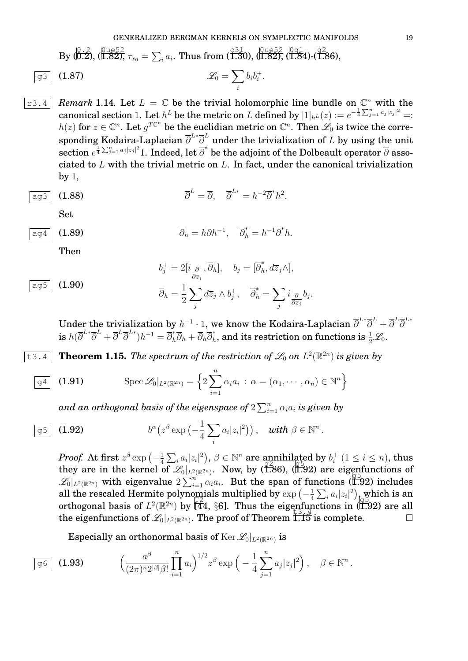$\frac{+}{i}$  .

 $\mathrm{By} \ ( \overline{0.2} ), \overline{0.2} \ \overline{0.2} ), \ \overline{\tau}_{x_0} = \sum_i a_i. \ \mathrm{Thus} \ \mathrm{from} \ (\overline{1.30}), \overline{0.82} , \overline{0.2} , \overline{0.3} \ \overline{1.84} ) \textrm{-} \overline{0.86} ),$ 

$$
\boxed{g3} \quad (1.87) \qquad \qquad \mathscr{L}_0 = \sum_i b_i b_i^+
$$

 $\overline{r^3 \cdot 4}$  *Remark* 1.14. Let  $L = \mathbb{C}$  be the trivial holomorphic line bundle on  $\mathbb{C}^n$  with the  ${\rm canonical\ section\ 1.\ Let\ } h^L\ {\rm be\ the\ metric\ on\ }L\ {\rm defined\ by}\ |1|_{h^L}(z):=e^{-\frac{1}{4}\sum_{j=1}^na_j|z_j|^2}=:$  $h(z)$  for  $z \in \mathbb{C}^n$ . Let  $g^{T\mathbb{C}^n}$  be the euclidian metric on  $\mathbb{C}^n$ . Then  $\mathscr{L}_0$  is twice the corresponding Kodaira-Laplacian  ${\overline{\partial}}^{L*}{\overline{\partial}}^L$  under the trivialization of  $L$  by using the unit section  $e^{\frac{1}{4}\sum_{j=1}^n a_j |z_j|^2}$  1. Indeed, let  $\overline{\partial}^*$  be the adjoint of the Dolbeault operator  $\overline{\partial}$  associated to  $L$  with the trivial metric on  $L$ . In fact, under the canonical trivialization by 1,

$$
\overline{\partial}^L = \overline{\partial}, \quad \overline{\partial}^{L*} = h^{-2} \overline{\partial}^* h^2.
$$

Set

$$
\overline{\partial}_h = h \overline{\partial} h^{-1}, \quad \overline{\partial}_h^* = h^{-1} \overline{\partial}^* h.
$$

Then

ag5  $(1.90)$ 

$$
b_j^+ = 2[i_{\frac{\partial}{\partial \overline{z}_j}}, \overline{\partial}_h], \quad b_j = [\overline{\partial}_h^*, d\overline{z}_j \wedge],
$$

$$
\overline{\partial}_h = \frac{1}{2} \sum_j d\overline{z}_j \wedge b_j^+, \quad \overline{\partial}_h^* = \sum_j i_{\frac{\partial}{\partial \overline{z}_j}} b_j.
$$

Under the trivialization by  $h^{-1}\cdot 1,$  we know the Kodaira-Laplacian  $\overline{\partial}^{L*}\overline{\partial}^L+\overline{\partial}^L\overline{\partial}^{L*}$  $\mathrm{i} \mathbf{s} \; h (\overline{\partial}^{L*} \overline{\partial}^L + \overline{\partial}^L \overline{\partial}^{L*}) h^{-1} = \overline{\partial}_h^* \overline{\partial}_h + \overline{\partial}_h \overline{\partial}_h^*$  $\hat{h}_h^*$ , and its restriction on functions is  $\frac{1}{2}\mathscr{L}_0.$ 

**Theorem 1.15.** The spectrum of the restriction of  $\mathscr{L}_0$  on  $L^2(\mathbb{R}^{2n})$  is given by

$$
\overline{g4} \quad \textbf{(1.91)} \qquad \qquad \text{Spec } \mathscr{L}_0|_{L^2(\mathbb{R}^{2n})} = \left\{ 2 \sum_{i=1}^n \alpha_i a_i \, : \, \alpha = (\alpha_1, \cdots, \alpha_n) \in \mathbb{N}^n \right\}
$$

and an orthogonal basis of the eigenspace of  $2\sum_{i=1}^n\alpha_ia_i$  is given by

$$
\boxed{g5} \quad (1.92) \qquad \qquad b^{\alpha}(z^{\beta} \exp\left(-\frac{1}{4} \sum_{i} a_{i} |z_{i}|^{2}\right)), \quad with \ \beta \in \mathbb{N}^{n}
$$

*Proof.* At first  $z^{\beta}$   $\exp\left(-\frac{1}{4}\right)$  $\frac{1}{4} \sum_i a_i |z_i|^2$ ,  $\beta \in \mathbb{N}^n$  are annihilated by  $b_i^+$  $i_i^+$   $(1 \leq i \leq n)$ , thus they are in the kernel of  $\mathcal{L}_0|_{L^2(\mathbb{R}^{2n})}$ . Now, by (1.86), (1.92) are eigenfunctions of  $\mathscr{L}_0|_{L^2(\mathbb{R}^{2n})}$  with eigenvalue  $2\sum_{i=1}^n\alpha_i a_i$ . But the span of functions (1.92) includes all the rescaled Hermite polynomials multiplied by  $\exp\left(-\frac{1}{4}\right)$ mials multiplied by  $\exp\left(-\frac{1}{4}\sum_i a_i |z_i|^2\right)$  which is an orthogonal basis of  $L^2(\mathbb{R}^{2n})$  by  $\left[\frac{4}{44}, \frac{6}{8}\right]$ . Thus the eigenfunctions in (1.92) are all the eigenfunctions of  $\mathscr{L}_0|_{L^2(\mathbb{R}^{2n})}$ . The proof of Theorem  $\overrightarrow{1.15}$  is complete.

.

Especially an orthonormal basis of  $\mathrm{Ker} \,\mathscr{L}_0|_{L^2(\mathbb{R}^{2n})}$  is

$$
\boxed{96} \quad (1.93) \qquad \left(\frac{a^{\beta}}{(2\pi)^{n}2^{|\beta|}\beta!} \prod_{i=1}^{n} a_{i}\right)^{1/2} z^{\beta} \exp\left(-\frac{1}{4} \sum_{j=1}^{n} a_{j} |z_{j}|^{2}\right), \quad \beta \in \mathbb{N}^{n}.
$$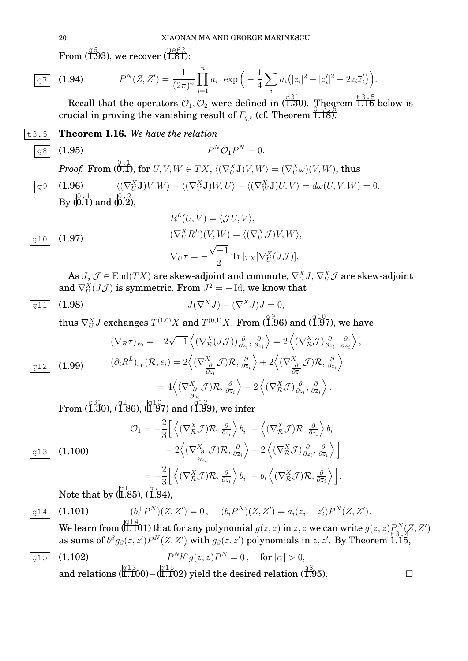From (1.93), we recover (1.81):

$$
\overline{g7} \quad (1.94) \qquad P^N(Z, Z') = \frac{1}{(2\pi)^n} \prod_{i=1}^n a_i \exp\Big(-\frac{1}{4} \sum_i a_i (|z_i|^2 + |z'_i|^2 - 2z_i \overline{z}'_i)\Big).
$$

Recall that the operators  $\mathcal{O}_1$ ,  $\mathcal{O}_2$  were defined in (1.30). Theorem 1.16 below is crucial in proving the vanishing result of  $F_{q,r}$  (cf. Theorem 1.18).

t3.5 **Theorem 1.16.** *We have the relation*

 $\boxed{98}$  (1.95)

 ${}^N\mathcal{O}_1 P^N = 0.$ 

 $\bm{Proof.} \ \ \pmb{\text{From (}}{0.1}^{0.1}\text{), for }U,V,W\in TX,\ \langle (\nabla ^{X}_{U}\mathbf{J})V,W\rangle =(\nabla ^{X}_{U}\omega )(V,W), \text{thus}$  $\boxed{99}$  (1.96)  $\langle U_U^X \mathbf{J} \rangle V, W \rangle + \langle (\nabla_V^X \mathbf{J}) W, U \rangle + \langle (\nabla_W^X \mathbf{J}) U, V \rangle = d\omega(U, V, W) = 0.$ By  $\langle 0.1 \overline{0.1} \rangle$  and  $\langle 0.2 \overline{2} \rangle$ ,

 $\overline{I}$   $\overline{I}$   $\overline{I}$   $\overline{I}$   $\overline{I}$   $\overline{I}$   $\overline{I}$   $\overline{I}$   $\overline{I}$   $\overline{I}$   $\overline{I}$   $\overline{I}$   $\overline{I}$   $\overline{I}$   $\overline{I}$   $\overline{I}$   $\overline{I}$   $\overline{I}$   $\overline{I}$   $\overline{I}$   $\overline{I}$   $\overline{I}$   $\overline{I}$   $\overline{I}$   $\overline{$ 

$$
R^{L}(U, V) = \langle \mathcal{J}U, V \rangle,
$$
  
\n
$$
(\nabla_{U}^{X} R^{L})(V, W) = \langle (\nabla_{U}^{X} \mathcal{J})V, W \rangle,
$$
  
\n
$$
\nabla_{U} \tau = -\frac{\sqrt{-1}}{2} \text{Tr} |_{TX} [\nabla_{U}^{X} (J\mathcal{J})].
$$

As  $J,\,{\cal J}\in {\rm End}(TX)$  are skew-adjoint and commute,  $\nabla ^{X}_U J,\,\nabla ^{X}_U {\cal J}$  are skew-adjoint and  $\nabla^X_U(J\mathcal{J})$  is symmetric. From  $J^2=-\operatorname{Id},$  we know that

$$
\overline{g11} \quad (1.98) \qquad \qquad J(\nabla^X J) + (\nabla^X J)J = 0,
$$

thus  $\nabla^X_U J$  exchanges  $T^{(1,0)}X$  and  $T^{(0,1)}X$ . From (1.96) and (1.97), we have

(1.99) 
$$
(\nabla_{\mathcal{R}} \tau)_{x_0} = -2\sqrt{-1} \left\langle (\nabla_{\mathcal{R}}^X (J\mathcal{J})) \frac{\partial}{\partial z_i}, \frac{\partial}{\partial \overline{z}_i} \right\rangle = 2 \left\langle (\nabla_{\mathcal{R}}^X \mathcal{J}) \frac{\partial}{\partial z_i}, \frac{\partial}{\partial \overline{z}_i} \right\rangle
$$

$$
= 2 \left\langle (\nabla_{\frac{\partial}{\partial z_i}}^X \mathcal{J}) \mathcal{R}, \frac{\partial}{\partial \overline{z}_i} \right\rangle + 2 \left\langle (\nabla_{\frac{\partial}{\partial z_i}}^X \mathcal{J}) \mathcal{R}, \frac{\partial}{\partial \overline{z}_i} \right\rangle
$$

$$
= 4 \left\langle (\nabla_{\frac{\partial}{\partial z_i}}^X \mathcal{J}) \mathcal{R}, \frac{\partial}{\partial \overline{z}_i} \right\rangle - 2 \left\langle (\nabla_{\mathcal{R}}^X \mathcal{J}) \frac{\partial}{\partial z_i}, \frac{\partial}{\partial \overline{z}_i} \right\rangle.
$$

From  $\langle 1.31 \rangle$ ,  $\langle 1.86 \rangle$ ,  $\langle 1.97 \rangle$  and  $\langle 1.99 \rangle$ , we infer

$$
\mathcal{O}_{1} = -\frac{2}{3} \Big[ \Big\langle (\nabla_{\mathcal{R}}^{X} \mathcal{J}) \mathcal{R}, \frac{\partial}{\partial z_{i}} \Big\rangle b_{i}^{+} - \Big\langle (\nabla_{\mathcal{R}}^{X} \mathcal{J}) \mathcal{R}, \frac{\partial}{\partial \overline{z}_{i}} \Big\rangle b_{i}
$$
\n
$$
+ 2 \Big\langle (\nabla_{\mathcal{R}}^{X} \mathcal{J}) \mathcal{R}, \frac{\partial}{\partial \overline{z}_{i}} \Big\rangle + 2 \Big\langle (\nabla_{\mathcal{R}}^{X} \mathcal{J}) \frac{\partial}{\partial z_{i}}, \frac{\partial}{\partial \overline{z}_{i}} \Big\rangle \Big]
$$
\n
$$
= -\frac{2}{3} \Big[ \Big\langle (\nabla_{\mathcal{R}}^{X} \mathcal{J}) \mathcal{R}, \frac{\partial}{\partial z_{i}} \Big\rangle b_{i}^{+} - b_{i} \Big\langle (\nabla_{\mathcal{R}}^{X} \mathcal{J}) \mathcal{R}, \frac{\partial}{\partial \overline{z}_{i}} \Big\rangle \Big].
$$
\nNote that by  $\mathcal{R} = \mathcal{R} \Big[ \mathcal{R} \Big]$ 

Note that by (1.85), (1.94),

# $\boxed{914}$  (1.101)

$$
(b_i^+ P^N)(Z, Z') = 0, \quad (b_i P^N)(Z, Z') = a_i(\overline{z}_i - \overline{z}'_i) P^N(Z, Z').
$$

We learn from (  $1.101$  ) that for any polynomial  $g(z,\overline{z})$  in  $z,\overline{z}$  we can write  $g(z,\overline{z})P^N_{\gamma}(Z,Z')$ we can not the  $g(z, z)$  may be any polynomial  $g(z, z)$  in  $z, z$  we can write  $g(z, z)$   $\frac{1}{12}$ ,  $\frac{1}{2}$  as sums of  $b^{\beta}g_{\beta}(z, \overline{z}')P^N(Z, Z')$  with  $g_{\beta}(z, \overline{z}')$  polynomials in  $z, \overline{z}'$ . By Theorem 1.15,

$$
\boxed{g15} \quad (1.102) \qquad P^N b^\alpha g(z, \overline{z}) P^N = 0 \,, \quad \text{for } |\alpha| > 0, \\
 \text{and relations } (\overline{1.100}) - (\overline{1.102}) \text{ yield the desired relation } (\overline{1.95}). \qquad \Box
$$

,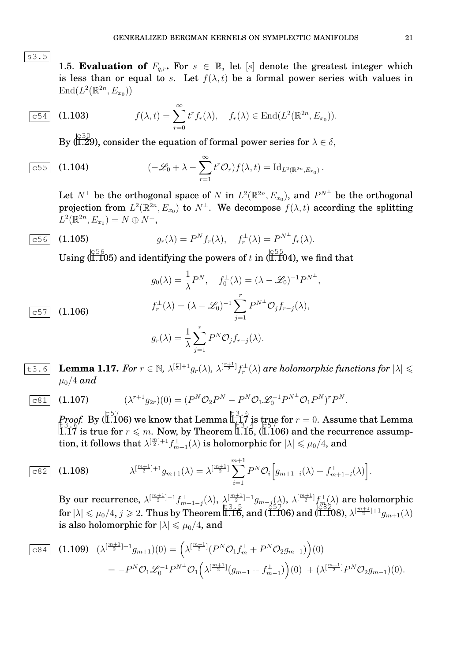$|s3.5|$ 

1.5. **Evaluation of**  $F_{q,r}$ . For  $s \in \mathbb{R}$ , let  $[s]$  denote the greatest integer which is less than or equal to s. Let  $f(\lambda, t)$  be a formal power series with values in  $\text{End}(L^2(\mathbb{R}^{2n}, E_{x_0}))$ 

$$
\boxed{\mathtt{c54}} \quad \textbf{(1.103)} \qquad \qquad f(\lambda, t) = \sum_{r=0}^{\infty} t^r f_r(\lambda), \quad f_r(\lambda) \in \mathrm{End}(L^2(\mathbb{R}^{2n}, E_{x_0})).
$$

By (1.29), consider the equation of formal power series for  $\lambda \in \delta,$ 

$$
\boxed{c55} \quad \textbf{(1.104)} \qquad \qquad (-\mathscr{L}_0 + \lambda - \sum_{r=1}^{\infty} t^r \mathcal{O}_r) f(\lambda, t) = \text{Id}_{L^2(\mathbb{R}^{2n}, E_{x_0})} \, .
$$

Let  $N^{\perp}$  be the orthogonal space of N in  $L^2(\mathbb{R}^{2n},E_{x_0})$ , and  $P^{N^{\perp}}$  be the orthogonal projection from  $L^2(\mathbb{R}^{2n}, E_{x_0})$  to  $N^{\perp}$ . We decompose  $f(\lambda, t)$  according the splitting  $L^2(\mathbb{R}^{2n}, E_{x_0}) = N \oplus N^{\perp},$ 

$$
\boxed{\text{c56}} \quad \textbf{(1.105)} \qquad \qquad g_r(\lambda) = P^N f_r(\lambda), \quad f_r^{\perp}(\lambda) = P^{N^{\perp}} f_r(\lambda).
$$

Using ( $\stackrel{c56}{\text{(1.105)}}$  and identifying the powers of  $t$  in ( $\stackrel{c55}{\text{(1.104)}}$ , we find that

$$
g_0(\lambda) = \frac{1}{\lambda} P^N, \quad f_0^{\perp}(\lambda) = (\lambda - \mathcal{L}_0)^{-1} P^{N^{\perp}},
$$
  

$$
f_r^{\perp}(\lambda) = (\lambda - \mathcal{L}_0)^{-1} \sum_{j=1}^r P^{N^{\perp}} \mathcal{O}_j f_{r-j}(\lambda),
$$
  

$$
g_r(\lambda) = \frac{1}{\lambda} \sum_{j=1}^r P^N \mathcal{O}_j f_{r-j}(\lambda).
$$

 $c57$  (1.106)

**Lemma 1.17.** For 
$$
r \in \mathbb{N}
$$
,  $\lambda^{\left[\frac{r}{2}\right]+1}g_r(\lambda)$ ,  $\lambda^{\left[\frac{r+1}{2}\right]}f_r^{\perp}(\lambda)$  are holomorphic functions for  $|\lambda| \leq \mu_0/4$  and

$$
\boxed{c81} \quad (1.107) \qquad (\lambda^{r+1}g_{2r})(0) = (P^N \mathcal{O}_2 P^N - P^N \mathcal{O}_1 \mathcal{L}_0^{-1} P^{N\perp} \mathcal{O}_1 P^N)^r P^N.
$$

*Proof.* By ( $\stackrel{[c57]}{\textbf{(1.106)}}$  we know that Lemma  $\stackrel{[c3,c6]}{\textbf{1.17}}$  is true for  $r=0.$  Assume that Lemma  $t_3$ ,  $t_4$ ,  $t_5$ ,  $t_6$ ,  $t_7$ ,  $t_8$ ,  $t_9$ ,  $t_1$ ,  $t_2$ ,  $t_3$ ,  $t_4$ ,  $t_5$ ,  $t_6$ ,  $t_7$ ,  $t_8$ ,  $t_9$ ,  $t_1$ ,  $t_2$ ,  $t_3$ ,  $t_4$ ,  $t_5$ ,  $t_6$ ,  $t_7$ ,  $t_8$ ,  $t_9$ ,  $t_9$ ,  $t_1$ ,  $t_2$ ,  $t_3$ ,  $t_4$ ,  $t_7$ ,  $t_8$  ${\rm tion},\, {\rm it \, follows\ that} \ \lambda^{[\frac{m}{2}]+1} f_{m+1}^\perp(\lambda) \ \hbox{is\ holomorphic \, for\ } |\lambda| \leqslant \mu_0/4, \ \hbox{and}$ 

$$
\boxed{\text{c82}} \quad \textbf{(1.108)} \qquad \lambda^{\left[\frac{m+1}{2}\right]+1} g_{m+1}(\lambda) = \lambda^{\left[\frac{m+1}{2}\right]} \sum_{i=1}^{m+1} P^N \mathcal{O}_i \Big[ g_{m+1-i}(\lambda) + f_{m+1-i}^{\perp}(\lambda) \Big].
$$

By our recurrence,  $\lambda^{[\frac{m+1}{2}]-1} f_{m+1-j}^{\perp}(\lambda), \ \lambda^{[\frac{m+1}{2}]-1}_{\pm g_{m-j}(\lambda)}, \ \lambda^{[\frac{m+1}{2}]} f_{m}^{\perp}(\lambda)$  are holomorphic  $f(x) \le \mu_0/4, j \ge 2$ . Thus by Theorem 1.16, and (1.106) and (1.108),  $\lambda^{[\frac{m+1}{2}]+1}g_{m+1}(\lambda)$ is also holomorphic for  $|\lambda| \le \mu_0/4$ , and

$$
\begin{split} \n\frac{1}{12} \mathcal{L}^{2} \left( 1.109 \right) \quad & \left( \lambda^{\left[ \frac{m+1}{2} \right] + 1} g_{m+1} \right) (0) = \left( \lambda^{\left[ \frac{m+1}{2} \right]} (P^N \mathcal{O}_1 f_m^{\perp} + P^N \mathcal{O}_2 g_{m-1}) \right) (0) \\ \n&= -P^N \mathcal{O}_1 \mathcal{L}_0^{-1} P^{N^{\perp}} \mathcal{O}_1 \left( \lambda^{\left[ \frac{m+1}{2} \right]} (g_{m-1} + f_{m-1}^{\perp}) \right) (0) \n&+ \left( \lambda^{\left[ \frac{m+1}{2} \right]} P^N \mathcal{O}_2 g_{m-1} \right) (0). \n\end{split}
$$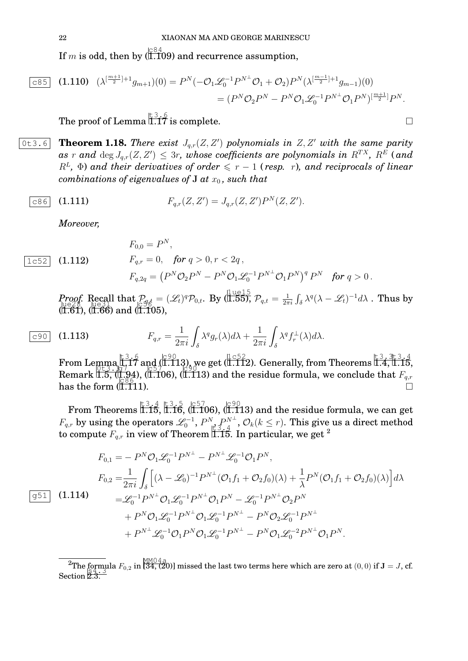If  $m$  is odd, then by (  $\overline{11.109}$  ) and recurrence assumption,

$$
\begin{aligned} \boxed{\text{c85}} \quad \text{(1.110)} \quad (\lambda^{\left[\frac{m+1}{2}\right]+1} g_{m+1})(0) &= P^N (-\mathcal{O}_1 \mathcal{L}_0^{-1} P^{N\perp} \mathcal{O}_1 + \mathcal{O}_2) P^N (\lambda^{\left[\frac{m-1}{2}\right]+1} g_{m-1})(0) \\ &= (P^N \mathcal{O}_2 P^N - P^N \mathcal{O}_1 \mathcal{L}_0^{-1} P^{N\perp} \mathcal{O}_1 P^N)^{\left[\frac{m+1}{2}\right]} P^N. \end{aligned}
$$

The proof of Lemma  $\stackrel{\dagger}{\text{1.17}}$  is complete.

 $\overline{0 \texttt{t3.6}}$  **Theorem 1.18.** There exist  $J_{q,r}(Z, Z')$  polynomials in  $Z, Z'$  with the same parity  $a$ s  $r$  and  $\deg J_{q,r}(Z,Z') \leq 3r$ , whose coefficients are polynomials in  $R^{TX}$ ,  $R^{E}$  (and  $R^L$ ,  $\Phi$ ) and their derivatives of order  $\leqslant r - 1$  (resp. r), and reciprocals of linear *combinations of eigenvalues of* **J** *at*  $x_0$ *, such that* 

$$
\boxed{c86} \quad (1.111) \qquad \qquad F_{q,r}(Z,Z') = J_{q,r}(Z,Z')P^N(Z,Z').
$$

*Moreover,*

 $|1c52|$  (1.112)

 $\overline{\phantom{a}}$ 

g51 (1.114)

$$
F_{0,0} = P^N,
$$
  
\n
$$
F_{q,r} = 0, \text{ for } q > 0, r < 2q,
$$
  
\n
$$
F_{q,2q} = (P^N \mathcal{O}_2 P^N - P^N \mathcal{O}_1 \mathcal{L}_0^{-1} P^{N \perp} \mathcal{O}_1 P^N)^q P^N \text{ for } q > 0.
$$

*Proof.* Recall that  $P_{\text{ref}} = (L_t)^q \mathcal{P}_{0,t}$ . By  $(\overline{1.55})$ ,  $\mathcal{P}_{q,t} = \frac{1}{2\pi}$  $\mathcal{P}_{\text{roof}}$ . Recall that  $\mathcal{P}_{g,t} = (\mathscr{L}_t)^q \mathcal{P}_{0,t}$ . By  $(\overline{1.555})$ ,  $\mathcal{P}_{q,t} = \frac{1}{2\pi i} \int_{\delta} \lambda^q (\lambda - \mathscr{L}_t)^{-1} d\lambda$ . Thus by  $($ I.61),  $($ I.66) and  $($ I.105),

$$
\overline{c90} \quad \textbf{(1.113)} \qquad \qquad F_{q,r} = \frac{1}{2\pi i} \int_{\delta} \lambda^q g_r(\lambda) d\lambda + \frac{1}{2\pi i} \int_{\delta} \lambda^q f_r^{\perp}(\lambda) d\lambda.
$$

From Lemma  $\left[\begin{array}{c} 1.3.6 \\ 1.17 \end{array}\right]$  and  $\left[\begin{array}{c} 1.652 \\ 1.112 \end{array}\right]$ , Generally, from Theorems 1.4, 1.15, Remark 1.5, (1.94), (1.106), (1.113) and the residue formula, we conclude that  $F_{q,r}$ has the form  $(\tilde{I}, \tilde{I}11)$ .  $\frac{1}{1.111}$ ).

From Theorems  $\overleftrightarrow{1.15},\overleftrightarrow{1.16},\overleftrightarrow{1.106}),\overleftrightarrow{1.113})$  and the residue formula, we can get  $F_{q,r}$  by using the operators  $\mathscr{L}_0^{-1}$ ,  $P^N_{\mu^2}$ ,  $P^{N^\perp}_{A}$ ,  $\mathcal{O}_k(k\leq r)$ . This give us a direct method to compute  $F_{q,r}$  in view of Theorem 1.15. In particular, we get <sup>2</sup>

$$
F_{0,1} = -P^{N}\mathcal{O}_{1}\mathcal{L}_{0}^{-1}P^{N^{\perp}} - P^{N^{\perp}}\mathcal{L}_{0}^{-1}\mathcal{O}_{1}P^{N},
$$
  
\n
$$
F_{0,2} = \frac{1}{2\pi i} \int_{\delta} \left[ (\lambda - \mathcal{L}_{0})^{-1} P^{N^{\perp}} (\mathcal{O}_{1}f_{1} + \mathcal{O}_{2}f_{0})(\lambda) + \frac{1}{\lambda} P^{N} (\mathcal{O}_{1}f_{1} + \mathcal{O}_{2}f_{0})(\lambda) \right] d\lambda
$$
  
\n
$$
= \mathcal{L}_{0}^{-1} P^{N^{\perp}} \mathcal{O}_{1}\mathcal{L}_{0}^{-1} P^{N^{\perp}} \mathcal{O}_{1} P^{N} - \mathcal{L}_{0}^{-1} P^{N^{\perp}} \mathcal{O}_{2} P^{N}
$$
  
\n
$$
+ P^{N} \mathcal{O}_{1}\mathcal{L}_{0}^{-1} P^{N^{\perp}} \mathcal{O}_{1}\mathcal{L}_{0}^{-1} P^{N^{\perp}} - P^{N} \mathcal{O}_{2}\mathcal{L}_{0}^{-1} P^{N^{\perp}}
$$
  
\n
$$
+ P^{N^{\perp}} \mathcal{L}_{0}^{-1} \mathcal{O}_{1} P^{N} \mathcal{O}_{1}\mathcal{L}_{0}^{-1} P^{N^{\perp}} - P^{N} \mathcal{O}_{1}\mathcal{L}_{0}^{-2} P^{N^{\perp}} \mathcal{O}_{1} P^{N}.
$$

$$
\overline{}
$$

The formula  $F_{0,2}$  in [34, (20)] missed the last two terms here which are zero at  $(0,0)$  if  $\mathbf{J} = J$ , cf. Section 2.3.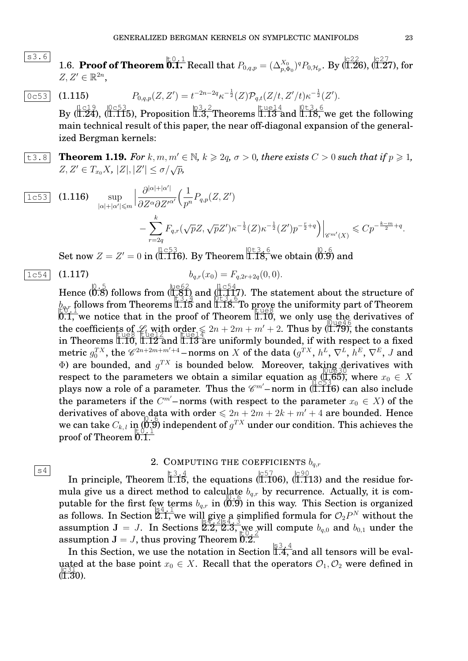- s3.6 1.6. **Proof of Theorem 0.1.** Recall that  $P_{0,q,p} = (\Delta_{p,\Phi_0}^{X_0})^q P_{0,\mathcal{H}_p}$ . By (1.26), (1.27), for  $Z, Z' \in \mathbb{R}^{2n}$ ,
- $\overline{0 \in 53}$  (1.115)  $P_{0,q,p}(Z,Z') = t^{-2n-2q} \kappa^{-\frac{1}{2}}(Z) \mathcal{P}_{q,t}(Z/t, Z'/t) \kappa^{-\frac{1}{2}}(Z').$ By  $\frac{1-c19}{1.24}$ ,  $\frac{0-c53}{1.115}$ ), Proposition  $\frac{13}{1.3}$ , Theorems 1.13 and 1.18, we get the following main technical result of this paper, the near off-diagonal expansion of the generalized Bergman kernels:
- $\text{t3.8}$  **Theorem 1.19.** For k, m,  $m' \in \mathbb{N}$ ,  $k \geq 2q$ ,  $\sigma > 0$ , there exists  $C > 0$  such that if  $p \geq 1$ ,  $Z, Z' \in T_{x_0}X, |Z|, |Z'| \leq \sigma/\sqrt{p},$

$$
\begin{array}{lll}\n\boxed{1c53} & \textbf{(1.116)} & \sup_{|\alpha|+|\alpha'| \leq m} \left| \frac{\partial^{|\alpha|+|\alpha'|}}{\partial Z^{\alpha} \partial Z'^{\alpha'}} \left( \frac{1}{p^n} P_{q,p}(Z, Z') \right) \right| & & \\
& \left. - \sum_{r=2q}^k F_{q,r} (\sqrt{p} Z, \sqrt{p} Z') \kappa^{-\frac{1}{2}} (Z) \kappa^{-\frac{1}{2}} (Z') p^{-\frac{r}{2}+q} \right) \right|_{\mathscr{C}^{m'}(X)} \leqslant C p^{-\frac{k-m}{2}+q}.\n\end{array}
$$

 $\operatorname{Set}$  now  $Z=Z'=0$  in  $(\overline{1.116})$ . By Theorem  $\overline{1.18}$ , we obtain  $(\overline{0.9})$  and

$$
\overline{1c54} \quad (1.117) \qquad \qquad b_{q,r}(x_0) = F_{q,2r+2q}(0,0).
$$

 $|s4|$ 

$$
b_{q,r}(x_0) = F_{q,2r+2q}(0,0).
$$

Hence  $(0.5)$  follows from  $(1.81)$  and  $(1.117)$ . The statement about the structure of  $b_{\text{c}}$  follows from Theorems 1.15 and 1.18. To prove the uniformity part of Theorem to the unit of the uniformity part of theorem  $\frac{1000 \text{ N}}{10.1}$ , we notice that in the proof of Theorem 1.10, we only use the derivatives of the coefficients of  $\mathcal{L}_t$  with order  $\leq 2n + 2m + m' + 2$ . Thus by (1.79), the constants in Theorems 1.10,  $\frac{1.12}{1.12}$  and  $\frac{1.13}{1.13}$  are uniformly bounded, if with respect to a fixed metric  $g_0^{TX}$ , the  $\mathscr{C}^{2n+2m+m'+4}$  – norms on  $X$  of the data  $(g^{TX},\,h^{L},\,\nabla^{L},\,h^{E},\,\nabla^{E},\,J$  and  $\Phi$ ) are bounded, and  $g^{TX}$  is bounded below. Moreover, taking derivatives with respect to the parameters we obtain a similar equation as  $(1.65)$ , where  $x_0 \in X$ plays now a role of a parameter. Thus the  $\mathscr{C}^{m'}$ –norm in (1.116) can also include the parameters if the  $C^{m'}$ –norms (with respect to the parameter  $x_0 \in X$ ) of the derivatives of above data with order  $\leq 2n + 2m + 2k + m' + 4$  are bounded. Hence we can take  $C_{k,l}$  in  $(0,9)$  independent of  $g^{TX}$  under our condition. This achieves the proof of Theorem 0.1.

# 2. COMPUTING THE COEFFICIENTS  $b_{ax}$

In principle, Theorem 1.15, the equations (1.106), ( $\frac{{\binom{C}{57}}{{\binom{1.113}}}}$  and the residue formula give us a direct method to calculate  $b_{q,r}$  by recurrence. Actually, it is computable for the first few terms  $b_{q,r}$  in (0.9) in this way. This Section is organized as follows. In Section  $\frac{1}{2}$ ,  $\frac{1}{2}$ , we will give a simplified formula for  $\mathcal{O}_2P^N$  without the assumption  $J = J$ . In Sections  $2.2$ ,  $2.3$ , we will compute  $b_{q,0}$  and  $b_{0,1}$  under the assumption  ${\bf J}=J,$  thus proving Theorem 0.2.

In this Section, we use the notation in Section  $\frac{\sqrt{3} \cdot 4}{1.4}$  and all tensors will be evaluated at the base point  $x_0 \in X$ . Recall that the operators  $\mathcal{O}_1, \mathcal{O}_2$  were defined in  $(1.30)$ .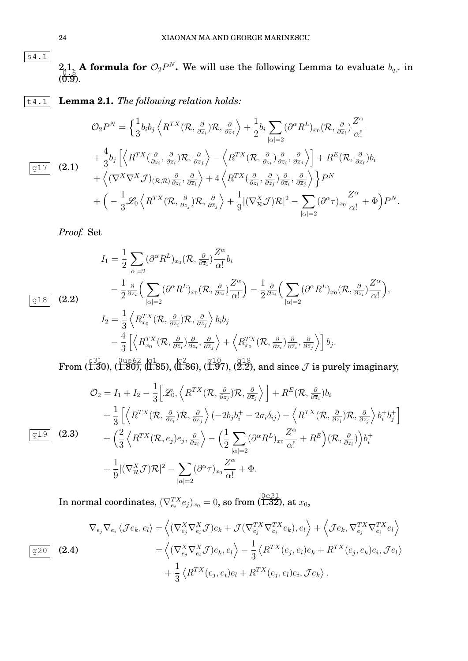$2.1.$  **A formula for**  $\mathcal{O}_2 P^N$ . We will use the following Lemma to evaluate  $b_{q,r}$  in  $\begin{bmatrix} 0.5 & 0.6 \\ 0.9 & 0.8 \end{bmatrix}$ 

t4.1 **Lemma 2.1.** *The following relation holds:*

$$
\mathcal{O}_{2}P^{N} = \left\{ \frac{1}{3}b_{i}b_{j}\left\langle R^{TX}(\mathcal{R},\frac{\partial}{\partial \overline{z}_{i}})\mathcal{R},\frac{\partial}{\partial \overline{z}_{j}}\right\rangle + \frac{1}{2}b_{i}\sum_{|\alpha|=2}(\partial^{\alpha}R^{L})_{x_{0}}(\mathcal{R},\frac{\partial}{\partial \overline{z}_{i}})\frac{Z^{\alpha}}{\alpha!} \right\}
$$
  
+ 
$$
\frac{4}{3}b_{j}\left[\left\langle R^{TX}(\frac{\partial}{\partial z_{i}},\frac{\partial}{\partial \overline{z}_{i}})\mathcal{R},\frac{\partial}{\partial \overline{z}_{j}}\right\rangle - \left\langle R^{TX}(\mathcal{R},\frac{\partial}{\partial z_{i}})\frac{\partial}{\partial \overline{z}_{i}},\frac{\partial}{\partial \overline{z}_{j}}\right\rangle\right] + R^{E}(\mathcal{R},\frac{\partial}{\partial \overline{z}_{i}})b_{i}
$$
  
+ 
$$
\left\langle (\nabla^{X}\nabla^{X}\mathcal{J})_{(\mathcal{R},\mathcal{R})}\frac{\partial}{\partial z_{i}},\frac{\partial}{\partial \overline{z}_{i}}\right\rangle + 4\left\langle R^{TX}(\frac{\partial}{\partial z_{i}},\frac{\partial}{\partial z_{j}})\frac{\partial}{\partial \overline{z}_{i}},\frac{\partial}{\partial \overline{z}_{j}}\right\rangle\right\}P^{N}
$$
  
+ 
$$
\left(-\frac{1}{3}\mathscr{L}_{0}\left\langle R^{TX}(\mathcal{R},\frac{\partial}{\partial z_{j}})\mathcal{R},\frac{\partial}{\partial \overline{z}_{j}}\right\rangle + \frac{1}{9}|(\nabla^{X}_{\mathcal{R}}\mathcal{J})\mathcal{R}|^{2} - \sum_{|\alpha|=2}(\partial^{\alpha}\tau)_{x_{0}}\frac{Z^{\alpha}}{\alpha!} + \Phi\right)P^{N}.
$$

*Proof.* Set

$$
I_{1} = \frac{1}{2} \sum_{|\alpha|=2} (\partial^{\alpha} R^{L})_{x_{0}} (\mathcal{R}, \frac{\partial}{\partial \overline{z}_{i}}) \frac{Z^{\alpha}}{\alpha!} b_{i}
$$
  
\n
$$
- \frac{1}{2} \frac{\partial}{\partial \overline{z}_{i}} \Big( \sum_{|\alpha|=2} (\partial^{\alpha} R^{L})_{x_{0}} (\mathcal{R}, \frac{\partial}{\partial z_{i}}) \frac{Z^{\alpha}}{\alpha!} \Big) - \frac{1}{2} \frac{\partial}{\partial z_{i}} \Big( \sum_{|\alpha|=2} (\partial^{\alpha} R^{L})_{x_{0}} (\mathcal{R}, \frac{\partial}{\partial \overline{z}_{i}}) \frac{Z^{\alpha}}{\alpha!} \Big),
$$
  
\n
$$
I_{2} = \frac{1}{3} \Big\langle R_{x_{0}}^{TX} (\mathcal{R}, \frac{\partial}{\partial \overline{z}_{i}}) \mathcal{R}, \frac{\partial}{\partial \overline{z}_{j}} \Big\rangle b_{i} b_{j}
$$
  
\n
$$
- \frac{4}{3} \Big[ \Big\langle R_{x_{0}}^{TX} (\mathcal{R}, \frac{\partial}{\partial \overline{z}_{i}}) \frac{\partial}{\partial z_{i}}, \frac{\partial}{\partial \overline{z}_{j}} \Big\rangle + \Big\langle R_{x_{0}}^{TX} (\mathcal{R}, \frac{\partial}{\partial z_{i}}) \frac{\partial}{\partial \overline{z}_{i}}, \frac{\partial}{\partial \overline{z}_{j}} \Big\rangle \Big] b_{j}.
$$

 $\text{From } (\stackrel{\text{(3)}}{\text{(1.30)}} , \stackrel{\text{(0ue62)}}{\text{(1.80)}} , \stackrel{\text{(q1)}}{\text{(1.85)}} , \stackrel{\text{(q10)}}{\text{(1.97)}} , \stackrel{\text{(q18)}}{\text{(2.2)}} , \text{and since } \mathcal{J} \text{ is purely imaginary},$ 

$$
\mathcal{O}_{2} = I_{1} + I_{2} - \frac{1}{3} \Big[ \mathcal{L}_{0}, \Big\langle R^{TX}(\mathcal{R}, \frac{\partial}{\partial z_{j}}) \mathcal{R}, \frac{\partial}{\partial \overline{z}_{j}} \Big\rangle \Big] + R^{E}(\mathcal{R}, \frac{\partial}{\partial \overline{z}_{i}}) b_{i}
$$
  
+ 
$$
\frac{1}{3} \Big[ \Big\langle R^{TX}(\mathcal{R}, \frac{\partial}{\partial z_{i}}) \mathcal{R}, \frac{\partial}{\partial \overline{z}_{j}} \Big\rangle (-2b_{j}b_{i}^{+} - 2a_{i}\delta_{ij}) + \Big\langle R^{TX}(\mathcal{R}, \frac{\partial}{\partial z_{i}}) \mathcal{R}, \frac{\partial}{\partial z_{j}} \Big\rangle b_{i}^{+} b_{j}^{+} \Big] + \Big( \frac{2}{3} \Big\langle R^{TX}(\mathcal{R}, e_{j}) e_{j}, \frac{\partial}{\partial z_{i}} \Big\rangle - \Big( \frac{1}{2} \sum_{|\alpha|=2} (\partial^{\alpha} R^{L})_{x_{0}} \frac{Z^{\alpha}}{\alpha!} + R^{E} \Big) (\mathcal{R}, \frac{\partial}{\partial z_{i}}) \Big) b_{i}^{+} + \frac{1}{9} |(\nabla^{X}_{\mathcal{R}} \mathcal{J}) \mathcal{R}|^{2} - \sum_{|\alpha|=2} (\partial^{\alpha} \tau)_{x_{0}} \frac{Z^{\alpha}}{\alpha!} + \Phi.
$$

 $\text{In normal coordinates, } (\nabla^{TX}_{e_i}e_j)_{x_0}=0, \text{ so from } (\stackrel{\text{[0c31]}}{\text{[1.32]}}, \text{at } x_0,$ 

$$
\nabla_{e_j} \nabla_{e_i} \langle \mathcal{J} e_k, e_l \rangle = \left\langle (\nabla_{e_j}^X \nabla_{e_i}^X \mathcal{J}) e_k + \mathcal{J} (\nabla_{e_j}^{TX} \nabla_{e_i}^{TX} e_k), e_l \right\rangle + \left\langle \mathcal{J} e_k, \nabla_{e_j}^{TX} \nabla_{e_i}^{TX} e_l \right\rangle
$$
  
\n
$$
= \left\langle (\nabla_{e_j}^X \nabla_{e_i}^X \mathcal{J}) e_k, e_l \right\rangle - \frac{1}{3} \left\langle R^{TX}(e_j, e_i) e_k + R^{TX}(e_j, e_k) e_i, \mathcal{J} e_l \right\rangle
$$
  
\n
$$
+ \frac{1}{3} \left\langle R^{TX}(e_j, e_i) e_l + R^{TX}(e_j, e_l) e_i, \mathcal{J} e_k \right\rangle.
$$

 $|s4.\overline{1}|$ 

g18 (2.2)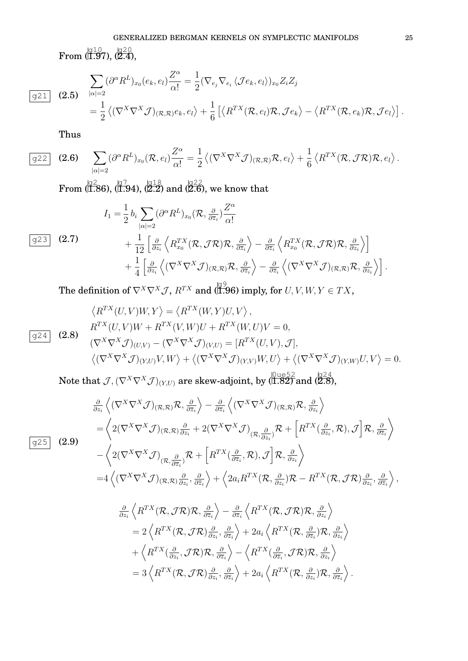# GENERALIZED BERGMAN KERNELS ON SYMPLECTIC MANIFOLDS 25

 $\operatorname{From}\left(\overline{{}^{\text{b10}}_{1.97}}, \overline{{}^{\text{b20}}_{2.4}}, \right)$ 

$$
\frac{\sum_{|\alpha|=2} (\partial^{\alpha} R^{L})_{x_{0}}(e_{k},e_{l}) \frac{Z^{\alpha}}{\alpha!}}{2} = \frac{1}{2} (\nabla_{e_{j}} \nabla_{e_{i}} \langle \mathcal{J} e_{k},e_{l} \rangle)_{x_{0}} Z_{i} Z_{j}
$$
\n
$$
= \frac{1}{2} \langle (\nabla^{X} \nabla^{X} \mathcal{J})_{(\mathcal{R},\mathcal{R})} e_{k},e_{l} \rangle + \frac{1}{6} [\langle R^{TX}(\mathcal{R},e_{l}) \mathcal{R}, \mathcal{J} e_{k} \rangle - \langle R^{TX}(\mathcal{R},e_{k}) \mathcal{R}, \mathcal{J} e_{l} \rangle].
$$

Thus

 $g25$ 

$$
\overline{\text{g22}} \quad \textbf{(2.6)} \quad \sum_{|\alpha|=2} (\partial^{\alpha} R^{L})_{x_{0}}(\mathcal{R}, e_{l}) \frac{Z^{\alpha}}{\alpha!} = \frac{1}{2} \left\langle (\nabla^{X} \nabla^{X} \mathcal{J})_{(\mathcal{R}, \mathcal{R})} \mathcal{R}, e_{l} \right\rangle + \frac{1}{6} \left\langle R^{TX}(\mathcal{R}, \mathcal{J} \mathcal{R}) \mathcal{R}, e_{l} \right\rangle.
$$

From  $\langle \overline{1.86} , \overline{1.94} , \overline{2.2} \rangle$  and  $\langle \overline{2.6} , \overline{6} \rangle$  we know that

$$
I_{1} = \frac{1}{2} b_{i} \sum_{|\alpha|=2} (\partial^{\alpha} R^{L})_{x_{0}} (\mathcal{R}, \frac{\partial}{\partial \bar{z}_{i}}) \frac{Z^{\alpha}}{\alpha!} + \frac{1}{12} \left[ \frac{\partial}{\partial z_{i}} \left\langle R_{x_{0}}^{TX} (\mathcal{R}, \mathcal{J}\mathcal{R}) \mathcal{R}, \frac{\partial}{\partial \bar{z}_{i}} \right\rangle - \frac{\partial}{\partial \bar{z}_{i}} \left\langle R_{x_{0}}^{TX} (\mathcal{R}, \mathcal{J}\mathcal{R}) \mathcal{R}, \frac{\partial}{\partial z_{i}} \right\rangle \right] + \frac{1}{4} \left[ \frac{\partial}{\partial z_{i}} \left\langle (\nabla^{X} \nabla^{X} \mathcal{J})_{(\mathcal{R}, \mathcal{R})} \mathcal{R}, \frac{\partial}{\partial \bar{z}_{i}} \right\rangle - \frac{\partial}{\partial \bar{z}_{i}} \left\langle (\nabla^{X} \nabla^{X} \mathcal{J})_{(\mathcal{R}, \mathcal{R})} \mathcal{R}, \frac{\partial}{\partial z_{i}} \right\rangle \right].
$$

The definition of  $\nabla^X\nabla^X\mathcal{J},$   $R^{TX}$  and (1.96) imply, for  $U,V,W,Y\in TX,$ 

$$
\langle R^{TX}(U,V)W,Y\rangle = \langle R^{TX}(W,Y)U,V\rangle,
$$
  
\n
$$
R^{TX}(U,V)W + R^{TX}(V,W)U + R^{TX}(W,U)V = 0,
$$
  
\n
$$
(\nabla^{X}\nabla^{X}\mathcal{J})_{(U,V)} - (\nabla^{X}\nabla^{X}\mathcal{J})_{(V,U)} = [R^{TX}(U,V),\mathcal{J}],
$$
  
\n
$$
\langle (\nabla^{X}\nabla^{X}\mathcal{J})_{(Y,U)}V,W\rangle + \langle (\nabla^{X}\nabla^{X}\mathcal{J})_{(Y,V)}W,U\rangle + \langle (\nabla^{X}\nabla^{X}\mathcal{J})_{(Y,W)}U,V\rangle = 0.
$$

Note that  $\mathcal{J}, (\nabla^X\nabla^X\mathcal{J})_{(Y,U)}$  are skew-adjoint, by  $(\stackrel{[0\,ue52}{\textbf{1.82}})$  and  $(\stackrel{[q24]}{\textbf{2.8}})$ ,

$$
\frac{\partial}{\partial z_i} \left\langle (\nabla^X \nabla^X \mathcal{J})_{(\mathcal{R},\mathcal{R})} \mathcal{R}, \frac{\partial}{\partial \overline{z}_i} \right\rangle - \frac{\partial}{\partial \overline{z}_i} \left\langle (\nabla^X \nabla^X \mathcal{J})_{(\mathcal{R},\mathcal{R})} \mathcal{R}, \frac{\partial}{\partial z_i} \right\rangle \n= \left\langle 2(\nabla^X \nabla^X \mathcal{J})_{(\mathcal{R},\mathcal{R})} \frac{\partial}{\partial z_i} + 2(\nabla^X \nabla^X \mathcal{J})_{(\mathcal{R},\frac{\partial}{\partial z_i})} \mathcal{R} + \left[ R^{TX}(\frac{\partial}{\partial z_i}, \mathcal{R}), \mathcal{J} \right] \mathcal{R}, \frac{\partial}{\partial z_i} \right\rangle \n- \left\langle 2(\nabla^X \nabla^X \mathcal{J})_{(\mathcal{R},\frac{\partial}{\partial \overline{z}_i})} \mathcal{R} + \left[ R^{TX}(\frac{\partial}{\partial \overline{z}_i}, \mathcal{R}), \mathcal{J} \right] \mathcal{R}, \frac{\partial}{\partial z_i} \right\rangle \n= 4 \left\langle (\nabla^X \nabla^X \mathcal{J})_{(\mathcal{R},\mathcal{R})} \frac{\partial}{\partial z_i}, \frac{\partial}{\partial \overline{z}_i} \right\rangle + \left\langle 2a_i R^{TX}(\mathcal{R}, \frac{\partial}{\partial z_i}) \mathcal{R} - R^{TX}(\mathcal{R}, \mathcal{J}\mathcal{R}) \frac{\partial}{\partial z_i}, \frac{\partial}{\partial \overline{z}_i} \right\rangle,
$$
\n
$$
\frac{\partial}{\partial z_i} \left\langle R^{TX}(\mathcal{R}, \mathcal{J}\mathcal{R}) \mathcal{R}, \frac{\partial}{\partial \overline{z}_i} \right\rangle - \frac{\partial}{\partial \overline{z}_i} \left\langle R^{TX}(\mathcal{R}, \mathcal{J}\mathcal{R}) \mathcal{R}, \frac{\partial}{\partial z_i} \right\rangle
$$

$$
\frac{\partial}{\partial z_i} \left\langle R^{IX}(\mathcal{R}, \mathcal{J}\mathcal{R}) \mathcal{R}, \frac{\partial}{\partial \overline{z}_i} \right\rangle - \frac{\partial}{\partial \overline{z}_i} \left\langle R^{IX}(\mathcal{R}, \mathcal{J}\mathcal{R}) \mathcal{R}, \frac{\partial}{\partial z_i} \right\rangle \n= 2 \left\langle R^{TX}(\mathcal{R}, \mathcal{J}\mathcal{R}) \frac{\partial}{\partial z_i}, \frac{\partial}{\partial \overline{z}_i} \right\rangle + 2a_i \left\langle R^{TX}(\mathcal{R}, \frac{\partial}{\partial \overline{z}_i}) \mathcal{R}, \frac{\partial}{\partial z_i} \right\rangle \n+ \left\langle R^{TX}(\frac{\partial}{\partial z_i}, \mathcal{J}\mathcal{R}) \mathcal{R}, \frac{\partial}{\partial \overline{z}_i} \right\rangle - \left\langle R^{TX}(\frac{\partial}{\partial \overline{z}_i}, \mathcal{J}\mathcal{R}) \mathcal{R}, \frac{\partial}{\partial z_i} \right\rangle \n= 3 \left\langle R^{TX}(\mathcal{R}, \mathcal{J}\mathcal{R}) \frac{\partial}{\partial z_i}, \frac{\partial}{\partial \overline{z}_i} \right\rangle + 2a_i \left\langle R^{TX}(\mathcal{R}, \frac{\partial}{\partial z_i}) \mathcal{R}, \frac{\partial}{\partial \overline{z}_i} \right\rangle.
$$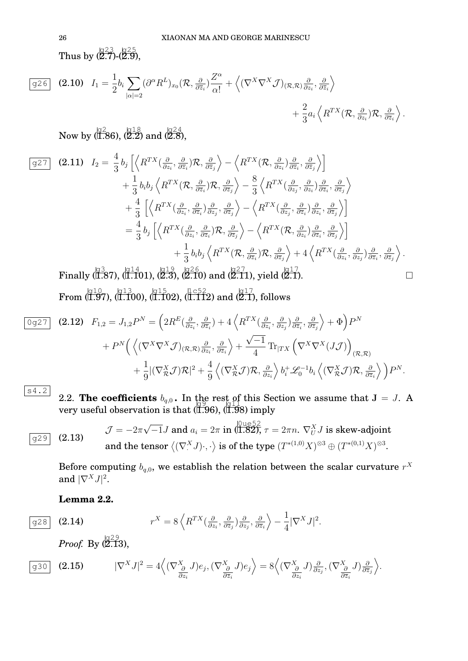Thus by  $\frac{\sqrt{23}}{27}$ - $\frac{\sqrt{25}}{29}$ ,

$$
\boxed{g26} \quad \textbf{(2.10)} \quad I_1 = \frac{1}{2} b_i \sum_{|\alpha|=2} (\partial^{\alpha} R^L)_{x_0} (\mathcal{R}, \frac{\partial}{\partial \bar{z}_i}) \frac{Z^{\alpha}}{\alpha!} + \left\langle (\nabla^X \nabla^X \mathcal{J})_{(\mathcal{R}, \mathcal{R})} \frac{\partial}{\partial z_i}, \frac{\partial}{\partial \bar{z}_i} \right\rangle + \frac{2}{3} a_i \left\langle R^{TX} (\mathcal{R}, \frac{\partial}{\partial z_i}) \mathcal{R}, \frac{\partial}{\partial \bar{z}_i} \right\rangle.
$$

Now by (1.86), (2.2) and (2.8),

$$
\begin{split}\n\boxed{g27} \quad \textbf{(2.11)} \quad I_{2} &= \frac{4}{3} b_{j} \left[ \left\langle R^{TX}(\frac{\partial}{\partial z_{i}}, \frac{\partial}{\partial \overline{z}_{i}}) \mathcal{R}, \frac{\partial}{\partial \overline{z}_{j}} \right\rangle - \left\langle R^{TX}(\mathcal{R}, \frac{\partial}{\partial z_{i}}) \frac{\partial}{\partial \overline{z}_{i}}, \frac{\partial}{\partial \overline{z}_{j}} \right\rangle \right] \\
&+ \frac{1}{3} b_{i} b_{j} \left\langle R^{TX}(\mathcal{R}, \frac{\partial}{\partial \overline{z}_{i}}) \mathcal{R}, \frac{\partial}{\partial \overline{z}_{j}} \right\rangle - \frac{8}{3} \left\langle R^{TX}(\frac{\partial}{\partial z_{j}}, \frac{\partial}{\partial z_{i}}) \frac{\partial}{\partial \overline{z}_{i}}, \frac{\partial}{\partial \overline{z}_{j}} \right\rangle \\
&+ \frac{4}{3} \left[ \left\langle R^{TX}(\frac{\partial}{\partial z_{i}}, \frac{\partial}{\partial \overline{z}_{i}}) \frac{\partial}{\partial z_{j}}, \frac{\partial}{\partial \overline{z}_{j}} \right\rangle - \left\langle R^{TX}(\frac{\partial}{\partial z_{j}}, \frac{\partial}{\partial \overline{z}_{i}}) \frac{\partial}{\partial z_{i}}, \frac{\partial}{\partial \overline{z}_{j}} \right\rangle \right] \\
&= \frac{4}{3} b_{j} \left[ \left\langle R^{TX}(\frac{\partial}{\partial z_{i}}, \frac{\partial}{\partial \overline{z}_{i}}) \mathcal{R}, \frac{\partial}{\partial \overline{z}_{j}} \right\rangle - \left\langle R^{TX}(\mathcal{R}, \frac{\partial}{\partial z_{i}}) \frac{\partial}{\partial \overline{z}_{i}}, \frac{\partial}{\partial \overline{z}_{j}} \right\rangle \right] \\
&+ \frac{1}{3} b_{i} b_{j} \left\langle R^{TX}(\mathcal{R}, \frac{\partial}{\partial \overline{z}_{i}}) \mathcal{R}, \frac{\partial}{\partial \overline{z}_{j}} \right\rangle + 4 \left\langle R^{TX}(\frac{\partial}{\partial z_{i}}, \frac{\partial}{\partial z_{j}}) \frac{\partial}{\partial \overline{z}_{i}}, \frac{\partial}{\partial \overline{z}_{j}} \right\rangle .\n\end{split}
$$

Finally  $\langle 1.87$ ,  $\langle 1.101$ ,  $\langle 2.3 \rangle$ ,  $\langle 2.6 \rangle$  and  $\langle 2.11 \rangle$ , yield  $\langle 2.17 \rangle$ .  $\operatorname{From}\,(\stackrel{\rm{[q10]}}{\overline{1.9}}7),\stackrel{\rm{[q13]}}{\overline{1.100}}),\stackrel{\rm{[q15]}}{\overline{1.102}}),\stackrel{\rm{[1c52]}}{\overline{1.112}}) \text{ and }\stackrel{\rm{[q17]}}{\overline{2.1}},\text{follows}$ 

$$
\frac{\partial g^{27}}{\partial g^{27}} \quad (2.12) \quad F_{1,2} = J_{1,2} P^N = \left( 2R^E(\frac{\partial}{\partial z_i}, \frac{\partial}{\partial \overline{z}_i}) + 4 \left\langle R^{TX}(\frac{\partial}{\partial z_i}, \frac{\partial}{\partial z_j}) \frac{\partial}{\partial \overline{z}_i}, \frac{\partial}{\partial \overline{z}_j} \right\rangle + \Phi \right) P^N \n+ P^N \left( \left\langle (\nabla^X \nabla^X \mathcal{J})_{(\mathcal{R}, \mathcal{R})} \frac{\partial}{\partial z_i}, \frac{\partial}{\partial \overline{z}_i} \right\rangle + \frac{\sqrt{-1}}{4} \text{Tr}_{|TX} \left( \nabla^X \nabla^X (J\mathcal{J}) \right)_{(\mathcal{R}, \mathcal{R})} \n+ \frac{1}{9} |(\nabla^X_{\mathcal{R}} \mathcal{J}) \mathcal{R}|^2 + \frac{4}{9} \left\langle (\nabla^X_{\mathcal{R}} \mathcal{J}) \mathcal{R}, \frac{\partial}{\partial z_i} \right\rangle b_i^+ \mathcal{L}_0^{-1} b_i \left\langle (\nabla^X_{\mathcal{R}} \mathcal{J}) \mathcal{R}, \frac{\partial}{\partial \overline{z}_i} \right\rangle \right) P^N.
$$

s4.2

2.2. **The coefficients** 
$$
b_{q,0}
$$
. In the rest of this Section we assume that  $J = J$ . A very useful observation is that  $(1.96)$ ,  $(1.98)$  imply

(2.13) 
$$
\mathcal{J} = -2\pi\sqrt{-1}J \text{ and } a_i = 2\pi \text{ in } (\stackrel{\text{(11.82)}}{\text{(1.82)}}, \tau = 2\pi n. \nabla_U^X J \text{ is skew-adjoint}
$$
  
and the tensor  $\langle (\nabla^X \, J) \cdot, \cdot \rangle$  is of the type  $(T^{*(1,0)}X)^{\otimes 3} \oplus (T^{*(0,1)}X)^{\otimes 3}$ .

Before computing  $b_{q,0}$ , we establish the relation between the scalar curvature  $r^X$ and  $|\nabla^X J|^2$ .

**Lemma 2.2.**

$$
q28 | (2
$$

$$
\overline{g28} \quad \textbf{(2.14)} \qquad \qquad r^X = 8 \left\langle R^{TX} \left( \frac{\partial}{\partial z_i}, \frac{\partial}{\partial \overline{z}_j} \right) \frac{\partial}{\partial z_j}, \frac{\partial}{\partial \overline{z}_i} \right\rangle - \frac{1}{4} |\nabla^X J|^2.
$$

*Proof.* By  $(\overline{2.13})$ ,

$$
\boxed{\text{g30}} \quad \textbf{(2.15)} \qquad \quad |\nabla^X J|^2 = 4 \Big\langle (\nabla^X_{\frac{\partial}{\partial z_i}} J) e_j, (\nabla^X_{\frac{\partial}{\partial \overline{z}_i}} J) e_j \Big\rangle = 8 \Big\langle (\nabla^X_{\frac{\partial}{\partial z_i}} J) \frac{\partial}{\partial z_j}, (\nabla^X_{\frac{\partial}{\partial \overline{z}_i}} J) \frac{\partial}{\partial \overline{z}_j} \Big\rangle.
$$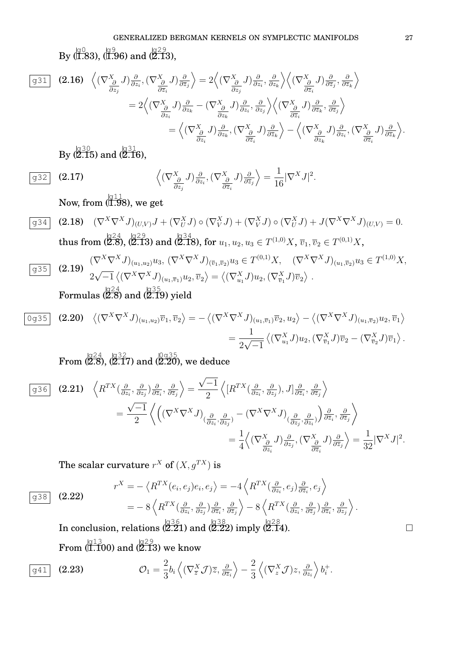By (1.83), (1.96) and (2.13),

$$
\boxed{931} \quad (2.16) \quad \left\langle (\nabla_{\frac{\partial}{\partial z_j}}^X J) \frac{\partial}{\partial z_i}, (\nabla_{\frac{\partial}{\partial \overline{z}_i}}^X J) \frac{\partial}{\partial \overline{z}_j} \right\rangle = 2 \left\langle (\nabla_{\frac{\partial}{\partial z_j}}^X J) \frac{\partial}{\partial z_i}, \frac{\partial}{\partial z_k} \right\rangle \left\langle (\nabla_{\frac{\partial}{\partial \overline{z}_i}}^X J) \frac{\partial}{\partial \overline{z}_i}, \frac{\partial}{\partial \overline{z}_k} \right\rangle
$$
  
\n
$$
= 2 \left\langle (\nabla_{\frac{\partial}{\partial z_i}}^X J) \frac{\partial}{\partial z_k} - (\nabla_{\frac{\partial}{\partial z_k}}^X J) \frac{\partial}{\partial z_i}, \frac{\partial}{\partial z_j} \right\rangle \left\langle (\nabla_{\frac{\partial}{\partial z_i}}^X J) \frac{\partial}{\partial \overline{z}_k}, \frac{\partial}{\partial \overline{z}_j} \right\rangle
$$
  
\n
$$
= \left\langle (\nabla_{\frac{\partial}{\partial z_i}}^X J) \frac{\partial}{\partial z_k}, (\nabla_{\frac{\partial}{\partial \overline{z}_i}}^X J) \frac{\partial}{\partial \overline{z}_k} \right\rangle - \left\langle (\nabla_{\frac{\partial}{\partial z_k}}^X J) \frac{\partial}{\partial z_i}, (\nabla_{\frac{\partial}{\partial \overline{z}_i}}^X J) \frac{\partial}{\partial \overline{z}_i} \right\rangle.
$$

By (2.15) and (2.16),

$$
\boxed{\mathbf{932}} \quad \mathbf{(2.17)} \qquad \left\langle (\nabla^X_{\frac{\partial}{\partial z_j}} J) \frac{\partial}{\partial z_i}, (\nabla^X_{\frac{\partial}{\partial \overline{z}_i}} J) \frac{\partial}{\partial \overline{z}_j} \right\rangle = \frac{1}{16} |\nabla^X J|^2.
$$

Now, from  $(\stackrel{\triangleleft}{\mathrm{1.98}})$ , we get

$$
\frac{\mathbf{Q}^{34}}{4} \quad (2.18) \quad (\nabla^{X} \nabla^{X} J)_{(U,V)} J + (\nabla^{X}_{U} J) \circ (\nabla^{X}_{V} J) + (\nabla^{X}_{V} J) \circ (\nabla^{X}_{U} J) + J(\nabla^{X} \nabla^{X} J)_{(U,V)} = 0.
$$
\n
$$
\text{thus from } (\mathbf{Z}^{24}, \mathbf{Z}^{29}, \mathbf{Z}^{29}) \text{ and } (\mathbf{Z}^{34}, \mathbf{Z}^{38}), \text{ for } u_1, u_2, u_3 \in T^{(1,0)} X, \overline{v}_1, \overline{v}_2 \in T^{(0,1)} X,
$$

$$
\frac{\sigma^{35}}{4} \quad (2.19) \quad \frac{(\nabla^{X} \nabla^{X} J)_{(u_1, u_2)} u_3, \ (\nabla^{X} \nabla^{X} J)_{(\overline{v}_1, \overline{v}_2)} u_3 \in T^{(0,1)} X, \quad (\nabla^{X} \nabla^{X} J)_{(u_1, \overline{v}_2)} u_3 \in T^{(1,0)} X, \n\frac{2\sqrt{-1} \langle (\nabla^{X} \nabla^{X} J)_{(u_1, \overline{v}_1)} u_2, \overline{v}_2 \rangle = \langle (\nabla^{X}_{u_1} J) u_2, (\nabla^{X}_{\overline{v}_1} J) \overline{v}_2 \rangle.
$$

Formulas (2.8) and (2.19) yield

$$
\begin{split} \overline{0g35} \quad \text{(2.20)} \quad & \left\langle (\nabla^X \nabla^X J)_{(u_1, u_2)} \overline{v}_1, \overline{v}_2 \right\rangle = -\left\langle (\nabla^X \nabla^X J)_{(u_1, \overline{v}_1)} \overline{v}_2, u_2 \right\rangle - \left\langle (\nabla^X \nabla^X J)_{(u_1, \overline{v}_2)} u_2, \overline{v}_1 \right\rangle \\ &= \frac{1}{2\sqrt{-1}} \left\langle (\nabla^X_{u_1} J) u_2, (\nabla^X_{\overline{v}_1} J) \overline{v}_2 - (\nabla^X_{\overline{v}_2} J) \overline{v}_1 \right\rangle. \end{split}
$$

 $\mathrm{From}\ (2.8),\ (2.17) \text{ and } (2.20), \text{ we deduce}$ 

$$
\begin{split}\n\boxed{g36} \quad \textbf{(2.21)} \quad & \left\langle R^{TX}(\frac{\partial}{\partial z_i}, \frac{\partial}{\partial z_j}) \frac{\partial}{\partial \overline{z}_i}, \frac{\partial}{\partial \overline{z}_j} \right\rangle = \frac{\sqrt{-1}}{2} \left\langle \left[ R^{TX}(\frac{\partial}{\partial z_i}, \frac{\partial}{\partial z_j}), J \right] \frac{\partial}{\partial \overline{z}_i}, \frac{\partial}{\partial \overline{z}_j} \right\rangle \\
&= \frac{\sqrt{-1}}{2} \left\langle \left( \left( \nabla^X \nabla^X J \right)_{(\frac{\partial}{\partial z_i}, \frac{\partial}{\partial z_j})} - \left( \nabla^X \nabla^X J \right)_{(\frac{\partial}{\partial z_j}, \frac{\partial}{\partial z_i})} \right) \frac{\partial}{\partial \overline{z}_i}, \frac{\partial}{\partial \overline{z}_j} \right\rangle \\
&= \frac{1}{4} \left\langle \left( \nabla^X \frac{\partial}{\partial z_i}, J \right) \frac{\partial}{\partial z_j}, \left( \nabla^X \frac{\partial}{\partial z_i}, J \right) \frac{\partial}{\partial \overline{z}_i} \right\rangle = \frac{1}{32} |\nabla^X J|^2.\n\end{split}
$$

The scalar curvature  $r^X$  of  $(X,g^{TX})$  is

(2.22) 
$$
r^{X} = -\langle R^{TX}(e_i, e_j)e_i, e_j \rangle = -4\langle R^{TX}(\frac{\partial}{\partial z_i}, e_j)\frac{\partial}{\partial \overline{z}_i}, e_j \rangle = -8\langle R^{TX}(\frac{\partial}{\partial z_i}, \frac{\partial}{\partial z_j})\frac{\partial}{\partial \overline{z}_i}, \frac{\partial}{\partial \overline{z}_j} \rangle - 8\langle R^{TX}(\frac{\partial}{\partial z_i}, \frac{\partial}{\partial \overline{z}_j})\frac{\partial}{\partial \overline{z}_i}, \frac{\partial}{\partial z_j} \rangle.
$$

In conclusion, relations  $\langle 2.21 \rangle$  and  $\langle 2.22 \rangle$  imply  $\langle 2.14 \rangle$ .  $\operatorname{From}\left(\Huge \begin{array}{c} \natural & 13 \ 1.100 \end{array}\right)$  and  $\left(\Huge \begin{array}{c} \natural & 29 \ 2.13 \end{array}\right)$  we know

$$
\boxed{g41} \quad \textbf{(2.23)} \qquad \mathcal{O}_1 = \frac{2}{3} b_i \left\langle (\nabla_{\overline{z}}^X \mathcal{J}) \overline{z}, \frac{\partial}{\partial \overline{z}_i} \right\rangle - \frac{2}{3} \left\langle (\nabla_z^X \mathcal{J}) z, \frac{\partial}{\partial z_i} \right\rangle b_i^+.
$$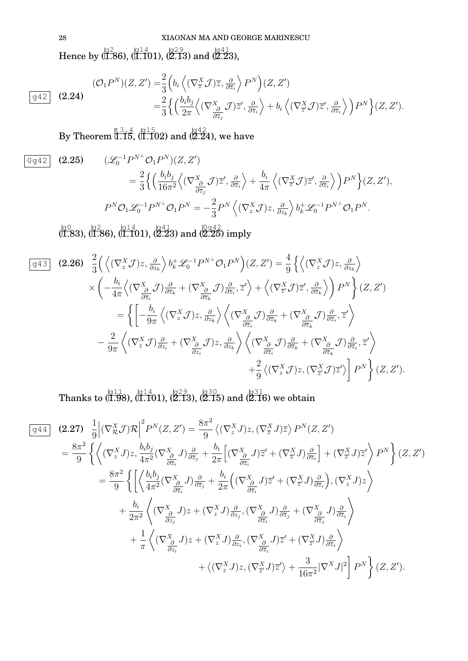28 XIAONAN MA AND GEORGE MARINESCU

Hence by  $\langle 1.86\rangle, \langle 1.1401\rangle, \langle 2.13\rangle$  and  $\langle 2.23\rangle,$ 

$$
\boxed{942} \quad (2.24)
$$
\n
$$
\boxed{942} \quad (2.24)
$$
\n
$$
\boxed{942} \quad (2.25)
$$
\n
$$
= \frac{2}{3} \left\{ \left( \frac{b_i b_j}{2\pi} \left\langle (\nabla_{\overline{z}}^X \mathcal{J}) \overline{z}, \frac{\partial}{\partial \overline{z}_i} \right\rangle P^N \right) (Z, Z')
$$
\n
$$
= \frac{2}{3} \left\{ \left( \frac{b_i b_j}{2\pi} \left\langle (\nabla_{\overline{z}}^X \mathcal{J}) \overline{z}', \frac{\partial}{\partial \overline{z}_i} \right\rangle + b_i \left\langle (\nabla_{\overline{z}}^X \mathcal{J}) \overline{z}', \frac{\partial}{\partial \overline{z}_i} \right\rangle \right) P^N \right\} (Z, Z').
$$

By Theorem  $\overline{1.15}$ , (1.102) and (2.24), we have

$$
\begin{aligned}\n\boxed{0 \triangleleft 42} \quad (2.25) \qquad (\mathcal{L}_0^{-1} P^{N \perp} \mathcal{O}_1 P^N)(Z, Z') \\
&= \frac{2}{3} \left\{ \left( \frac{b_i b_j}{16\pi^2} \left\langle (\nabla_{\frac{\partial}{\partial z_j}}^X \mathcal{J}) \overline{z}', \frac{\partial}{\partial \overline{z}_i} \right\rangle + \frac{b_i}{4\pi} \left\langle (\nabla_{\overline{z}_j}^X \mathcal{J}) \overline{z}', \frac{\partial}{\partial \overline{z}_i} \right\rangle \right) P^N \right\} (Z, Z'), \\
P^N \mathcal{O}_1 \mathcal{L}_0^{-1} P^{N \perp} \mathcal{O}_1 P^N = -\frac{2}{3} P^N \left\langle (\nabla_z^X \mathcal{J}) z, \frac{\partial}{\partial z_k} \right\rangle b_k^+ \mathcal{L}_0^{-1} P^{N \perp} \mathcal{O}_1 P^N.\n\end{aligned}
$$

 $\langle 1.83$ ),  $\langle 1.86$ ),  $\langle 1.14 \overline{1}01 \rangle$ ,  $\langle 2.23 \rangle$  and  $\langle 2.25 \rangle$  imply

$$
\boxed{943} \quad (2.26) \quad \frac{2}{3} \Big( \Big\langle (\nabla_z^X \mathcal{J}) z, \frac{\partial}{\partial z_k} \Big\rangle b_k^+ \mathcal{L}_0^{-1} P^{N^\perp} \mathcal{O}_1 P^N \Big) (Z, Z') = \frac{4}{9} \Big\{ \Big\langle (\nabla_z^X \mathcal{J}) z, \frac{\partial}{\partial z_k} \Big\rangle \times \Big( -\frac{b_i}{4\pi} \Big\langle (\nabla_{\frac{\partial}{\partial z_i}}^X \mathcal{J}) \frac{\partial}{\partial \overline{z}_k} + (\nabla_{\frac{\partial}{\partial \overline{z}_k}}^X \mathcal{J}) \frac{\partial}{\partial \overline{z}_k}, \overline{z}' \Big\rangle + \Big\langle (\nabla_{\overline{z}^i}^X \mathcal{J}) \overline{z}', \frac{\partial}{\partial \overline{z}_k} \Big\rangle \Big\} P^N \Big\} (Z, Z')
$$
\n
$$
= \Big\{ \Big[ -\frac{b_i}{9\pi} \Big\langle (\nabla_z^X \mathcal{J}) z, \frac{\partial}{\partial z_k} \Big\rangle \Big\langle (\nabla_{\frac{\partial}{\partial z_i}}^X \mathcal{J}) \frac{\partial}{\partial \overline{z}_k} + (\nabla_{\frac{\partial}{\partial z_k}}^X \mathcal{J}) \frac{\partial}{\partial \overline{z}_k}, \overline{z}' \Big\rangle -\frac{2}{9\pi} \Big\langle (\nabla_z^X \mathcal{J}) \frac{\partial}{\partial z_i} + (\nabla_{\frac{\partial}{\partial z_i}}^X \mathcal{J}) z, \frac{\partial}{\partial z_k} \Big\rangle \Big\langle (\nabla_{\frac{\partial}{\partial z_i}}^X \mathcal{J}) \frac{\partial}{\partial \overline{z}_k} + (\nabla_{\frac{\partial}{\partial \overline{z}_k}}^X \mathcal{J}) \frac{\partial}{\partial \overline{z}_k}, \overline{z}' \Big\rangle +\frac{2}{9} \Big\langle (\nabla_z^X \mathcal{J}) z, (\nabla_{\overline{z}^i}^X \mathcal{J}) \overline{z}' \Big\rangle \Big\} P^N \Big\} (Z, Z').
$$

Thanks to  $\langle 1.98 \rangle$ ,  $\langle 1.101 \rangle$ ,  $\langle 2.13 \rangle$ ,  $\langle 2.15 \rangle$  and  $\langle 2.16 \rangle$  we obtain

$$
\frac{\sqrt{q+4}}{g+4} \quad (2.27) \quad \frac{1}{9} \left| (\nabla_X^X \mathcal{J}) \mathcal{R} \right|^2 P^N(Z, Z') = \frac{8\pi^2}{9} \left\langle (\nabla_x^X \mathcal{J}) z, (\nabla_x^X \mathcal{J}) \overline{z} \right\rangle P^N(Z, Z')
$$
\n
$$
= \frac{8\pi^2}{9} \left\{ \left\langle (\nabla_x^X \mathcal{J}) z, \frac{b_i b_j}{4\pi^2} (\nabla_{\frac{\partial}{\partial z_i}}^X \mathcal{J}) \frac{\partial}{\partial \overline{z}_j} + \frac{b_i}{2\pi} \left[ (\nabla_{\frac{\partial}{\partial z_i}}^X \mathcal{J}) \overline{z}' + (\nabla_{\overline{z}'}^X \mathcal{J}) \frac{\partial}{\partial \overline{z}_i} \right] + (\nabla_{\overline{z}'}^X \mathcal{J}) \overline{z}' \right\rangle P^N \right\} (Z, Z')
$$
\n
$$
= \frac{8\pi^2}{9} \left\{ \left[ \left\langle \frac{b_i b_j}{4\pi^2} (\nabla_{\frac{\partial}{\partial z_i}}^X \mathcal{J}) \frac{\partial}{\partial z_j} + \frac{b_i}{2\pi} \left( (\nabla_{\frac{\partial}{\partial z_i}}^X \mathcal{J}) \overline{z}' + (\nabla_{\overline{z}'}^X \mathcal{J}) \frac{\partial}{\partial \overline{z}_i} \right), (\nabla_x^X \mathcal{J}) z \right\rangle \right.
$$
\n
$$
+ \frac{b_i}{2\pi^2} \left\langle (\nabla_{\frac{\partial}{\partial z_i}}^X \mathcal{J}) z + (\nabla_x^X \mathcal{J}) \frac{\partial}{\partial z_i}, (\nabla_{\frac{\partial}{\partial \overline{z}_i}}^X \mathcal{J}) \frac{\partial}{\partial \overline{z}_i} + (\nabla_{\overline{z}'}^X \mathcal{J}) \frac{\partial}{\partial \overline{z}_i} \right\rangle \right.
$$
\n
$$
+ \left\langle (\nabla_x^X \mathcal{J}) z, (\nabla_{\overline{z}}^X \mathcal{J}) \overline{z}' \right\rangle + \left\langle (\nabla_x^X \math
$$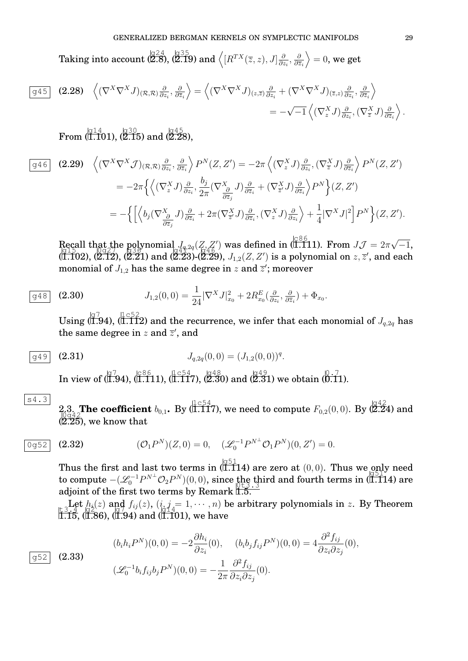Taking into account  $\left(\big[ \begin{smallmatrix} 1 & 2 & 4 \ 2 & 8 \end{smallmatrix} \right], \left(\big[ \begin{smallmatrix} 1 & 2 & 5 \ 2 & 1 & 9 \end{smallmatrix} \right)$  and  $\left\langle \left[ R^{TX}(\overline{z}, z), J \right] \right]_{\partial}^{\partial}$  $\frac{\partial}{\partial z_i}, \frac{\partial}{\partial \overline{z}}$  $\partial \overline{z}_i$  $\rangle = 0$ , we get

$$
\boxed{g45} \quad (2.28) \quad \left\langle (\nabla^X \nabla^X J)_{(\mathcal{R},\mathcal{R})} \frac{\partial}{\partial z_i}, \frac{\partial}{\partial \overline{z}_i} \right\rangle = \left\langle (\nabla^X \nabla^X J)_{(z,\overline{z})} \frac{\partial}{\partial z_i} + (\nabla^X \nabla^X J)_{(\overline{z},z)} \frac{\partial}{\partial z_i}, \frac{\partial}{\partial \overline{z}_i} \right\rangle
$$
  
=  $-\sqrt{-1} \left\langle (\nabla_z^X J) \frac{\partial}{\partial z_i}, (\nabla_{\overline{z}}^X J) \frac{\partial}{\partial \overline{z}_i} \right\rangle.$ 

 $\rm{From}\ (\stackrel{\scriptscriptstyle (q14)}{\scriptstyle 1.101}),\ \stackrel{\scriptscriptstyle (q30)}{\scriptstyle (2.15)}\ \rm{and}\ (\stackrel{\scriptscriptstyle (q45)}{\scriptstyle 2.28}),$ 

$$
\boxed{g46} \quad (2.29) \quad \left\langle (\nabla^X \nabla^X \mathcal{J})_{(\mathcal{R},\mathcal{R})} \frac{\partial}{\partial z_i}, \frac{\partial}{\partial \overline{z}_i} \right\rangle P^N(Z,Z') = -2\pi \left\langle (\nabla_z^X \mathcal{J}) \frac{\partial}{\partial z_i}, (\nabla_{\overline{z}}^X \mathcal{J}) \frac{\partial}{\partial \overline{z}_i} \right\rangle P^N(Z,Z') \n= -2\pi \left\{ \left\langle (\nabla_z^X \mathcal{J}) \frac{\partial}{\partial z_i}, \frac{b_j}{2\pi} (\nabla_{\overline{z}_j}^X \mathcal{J}) \frac{\partial}{\partial \overline{z}_i} + (\nabla_{\overline{z}_j}^X \mathcal{J}) \frac{\partial}{\partial \overline{z}_i} \right\rangle P^N \right\} (Z,Z') \n= -\left\{ \left[ \left\langle b_j (\nabla_{\overline{\partial}_j}^X \mathcal{J}) \frac{\partial}{\partial \overline{z}_i} + 2\pi (\nabla_{\overline{z}_j}^X \mathcal{J}) \frac{\partial}{\partial \overline{z}_i}, (\nabla_{z}^X \mathcal{J}) \frac{\partial}{\partial z_i} \right\rangle + \frac{1}{4} |\nabla^X \mathcal{J}|^2 \right] P^N \right\} (Z,Z').
$$

Recall that the polynomial  $J_{q,2q}(Z, Z')$  was defined in (1.111). From  $J\mathcal{J}=2\pi$ √ Recall that the polynomial  $J_{q,2q}(Z, Z')$  was defined in (ITT1). From  $J\mathcal{J} = 2\pi\sqrt{-1}$ ,  $g_1g_2g_3$  $(\vec{a}.\vec{10}2), (\vec{2}.\vec{12}), (\vec{2}.\vec{21})$  and  $(\vec{2}.\vec{23}).(\vec{2}.\vec{29}),$   $J_{1,2}(Z,Z')$  is a polynomial on  $z,\overline{z}'$ , and each monomial of  $J_{1,2}$  has the same degree in  $z$  and  $\overline{z}^{\prime};$  moreover

$$
\overline{g48} \quad (2.30) \qquad J_{1,2}(0,0) = \frac{1}{24} |\nabla^X J|_{x_0}^2 + 2R_{x_0}^E(\frac{\partial}{\partial z_i}, \frac{\partial}{\partial \overline{z}_i}) + \Phi_{x_0}.
$$

Using  $(\overline{1.9}4), (\overline{1.11}2)$  and the recurrence, we infer that each monomial of  $J_{q,2q}$  has the same degree in z and  $\overline{z}'$ , and

$$
\boxed{g49} \quad \textbf{(2.31)} \qquad \qquad J_{q,2q}(0,0) = (J_{1,2}(0,0))^q.
$$

In view of  $\langle 0.794$ ,  $\langle 0.86611$ ,  $(1.117, 0.8648)$  and  $\langle 2.3091$  we obtain  $\langle 0.7101 \rangle$ .

$$
s4.3
$$

2.3. **The coefficient**  $b_{0,1}$ . By (1.117), we need to compute  $F_{0,2}(0,0)$ . By (2.24) and  $\log_{42}$  $(\overline{2.25})$ , we know that

$$
\overline{0g52} \quad (2.32) \qquad \qquad (\mathcal{O}_1 P^N)(Z,0) = 0, \quad (\mathcal{L}_0^{-1} P^{N^{\perp}} \mathcal{O}_1 P^N)(0,Z') = 0.
$$

Thus the first and last two terms in (1.114) are zero at  $(0,0)$ . Thus we only need to compute  $-(\mathcal{L}_0^{-1}P^{N^{\perp}}\mathcal{O}_2P^N)(0,0)$ , since the third and fourth terms in (1.114) are adjoint of the first two terms by Remark 1.5.

Let  $h_i(z)$  and  $f_{ij}(z)$ ,  $(i, j = 1, \dots, n)$  be arbitrary polynomials in z. By Theorem  $1.15, (1.86), (1.94)$  and (1.101), we have

(2.33) 
$$
(b_i h_i P^N)(0,0) = -2 \frac{\partial h_i}{\partial z_i}(0), \quad (b_i b_j f_{ij} P^N)(0,0) = 4 \frac{\partial^2 f_{ij}}{\partial z_i \partial z_j}(0), (\mathcal{L}_0^{-1} b_i f_{ij} b_j P^N)(0,0) = -\frac{1}{2\pi} \frac{\partial^2 f_{ij}}{\partial z_i \partial z_j}(0).
$$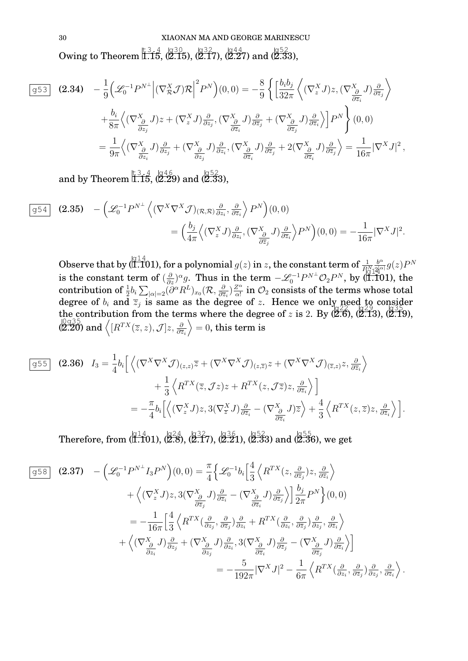30 XIAONAN MA AND GEORGE MARINESCU Owing to Theorem 1.15,  $\langle 2.15 \rangle$ ,  $\langle 2.17 \rangle$ ,  $\langle 2.27 \rangle$  and  $\langle 2.33 \rangle$ ,

$$
\boxed{953} \quad \textbf{(2.34)} \quad -\frac{1}{9} \Big( \mathcal{L}_0^{-1} P^{N\perp} \Big| (\nabla_{\mathcal{R}}^X \mathcal{J}) \mathcal{R} \Big|^2 P^N \Big) (0,0) = -\frac{8}{9} \Big\{ \Big[ \frac{b_i b_j}{32\pi} \Big\langle (\nabla_z^X J) z, (\nabla_{\frac{\partial}{\partial \overline{z}_i}}^X J) \frac{\partial}{\partial \overline{z}_j} \Big\rangle \Big\}
$$
\n
$$
+ \frac{b_i}{8\pi} \Big\langle (\nabla_{\frac{\partial}{\partial z_j}}^X J) z + (\nabla_z^X J) \frac{\partial}{\partial z_j}, (\nabla_{\frac{\partial}{\partial \overline{z}_i}}^X J) \frac{\partial}{\partial \overline{z}_j} + (\nabla_{\frac{\partial}{\partial \overline{z}_j}}^X J) \frac{\partial}{\partial \overline{z}_i} \Big\} P^N \Big\} (0,0)
$$
\n
$$
= \frac{1}{9\pi} \Big\langle (\nabla_{\frac{\partial}{\partial z_i}}^X J) \frac{\partial}{\partial z_j} + (\nabla_{\frac{\partial}{\partial z_j}}^X J) \frac{\partial}{\partial z_i}, (\nabla_{\frac{\partial}{\partial \overline{z}_i}}^X J) \frac{\partial}{\partial \overline{z}_j} + 2 (\nabla_{\frac{\partial}{\partial \overline{z}_i}}^X J) \frac{\partial}{\partial \overline{z}_j} \Big\rangle = \frac{1}{16\pi} |\nabla^X J|^2,
$$

and by Theorem  $\overline{1.15}$ , (2.29) and (2.33),

$$
\boxed{g54} \quad \textbf{(2.35)} \quad -\left(\mathcal{L}_0^{-1}P^{N\perp}\left\langle (\nabla^X\nabla^X \mathcal{J})_{(\mathcal{R},\mathcal{R})}\frac{\partial}{\partial z_i},\frac{\partial}{\partial \overline{z}_i}\right\rangle P^N\right)(0,0) \n= \left(\frac{b_j}{4\pi}\left\langle (\nabla_z^X J)\frac{\partial}{\partial z_i}, (\nabla_{\frac{\partial}{\partial \overline{z}_j}}^X J)\frac{\partial}{\partial \overline{z}_i}\right\rangle P^N\right)(0,0) = -\frac{1}{16\pi}|\nabla^X J|^2.
$$

Observe that by ( $\frac{g_1 1 4}{1.101}$ ), for a polynomial  $g(z)$  in  $z$ , the constant term of  $\frac{1}{P_{\text{tot}}^N}$  $b^{\alpha}$  $\frac{b^\alpha}{2\!{\alpha|}}g(z)P^N$ is the constant term of  $(\frac{\partial}{\partial z})^{\alpha}g$ . Thus in the term  $-\mathscr{L}_0^{-1}P^{N\perp}\mathcal{O}_2P^N$ , by  $(\Pi, \Pi)$ , the <u>ig 14</u> contribution of  $\frac{1}{2}b_i\sum_{|\alpha|=2}(\partial^\alpha R^L)_{x_0}(\mathcal{R},\frac{\partial}{\partial\overline{z}}$  $\frac{\partial}{\partial \overline{z}_i}$ ) $\frac{Z^{\alpha}}{\alpha!}$  $\frac{Z^{\alpha}}{\alpha!}$  in  $\mathcal{O}_2$  consists of the terms whose total degree of  $b_i$  and  $\overline{z}_j$  is same as the degree of z. Hence we only need to consider the contribution from the terms where the degree of z is 2. By  $(2.6)$ ,  $(2.13)$ ,  $(2.19)$ ,  $\sqrt{2.20}$ ) and  $\sqrt{[R^{TX}(\overline{z},z),\mathcal{J}]z,\frac{\partial}{\partial \overline{z}_{i}}}$  $= 0$ , this term is

$$
\overline{g55} \quad \textbf{(2.36)} \quad I_3 = \frac{1}{4} b_i \Big[ \Big\langle (\nabla^X \nabla^X \mathcal{J})_{(z,z)} \overline{z} + (\nabla^X \nabla^X \mathcal{J})_{(z,\overline{z})} z + (\nabla^X \nabla^X \mathcal{J})_{(\overline{z},z)} z, \frac{\partial}{\partial \overline{z}_i} \Big\rangle + \frac{1}{3} \Big\langle R^{TX}(\overline{z}, \mathcal{J}z) z + R^{TX}(z, \mathcal{J}\overline{z}) z, \frac{\partial}{\partial \overline{z}_i} \Big\rangle \Big] \n= -\frac{\pi}{4} b_i \Big[ \Big\langle (\nabla_z^X J) z, 3(\nabla_{\overline{z}}^X J) \frac{\partial}{\partial \overline{z}_i} - (\nabla_{\frac{\partial}{\partial \overline{z}_i}}^X J) \overline{z} \Big\rangle + \frac{4}{3} \Big\langle R^{TX}(z, \overline{z}) z, \frac{\partial}{\partial \overline{z}_i} \Big\rangle \Big].
$$

 $\text{Therefore, from } (\overline{11.101}), (\overline{2.8}), (\overline{2.17}), (\overline{2.21}), (\overline{2.33}) \text{ and } (\overline{2.36}), \text{ we get}$ 

$$
\begin{split}\n\boxed{g58} \quad \textbf{(2.37)} \quad -\left(\mathcal{L}_{0}^{-1}P^{N\perp}I_{3}P^{N}\right)(0,0) &= \frac{\pi}{4}\left\{\mathcal{L}_{0}^{-1}b_{i}\left[\frac{4}{3}\left\langle R^{TX}(z,\frac{\partial}{\partial \overline{z}_{j}})z,\frac{\partial}{\partial \overline{z}_{i}}\right\rangle\right. \\
&\quad \left. +\left\langle(\nabla_{z}^{X}J)z,3(\nabla_{\frac{\partial}{\partial \overline{z}_{j}}}^{X}J)\frac{\partial}{\partial \overline{z}_{i}} - (\nabla_{\frac{\partial}{\partial \overline{z}_{i}}}^{X}J)\frac{\partial}{\partial \overline{z}_{i}}\right\rangle\right]\frac{b_{j}}{2\pi}P^{N}\right\}(0,0) \\
&= -\frac{1}{16\pi}\left[\frac{4}{3}\left\langle R^{TX}(\frac{\partial}{\partial z_{j}},\frac{\partial}{\partial \overline{z}_{j}})\frac{\partial}{\partial z_{i}} + R^{TX}(\frac{\partial}{\partial z_{i}},\frac{\partial}{\partial \overline{z}_{j}})\frac{\partial}{\partial z_{j}},\frac{\partial}{\partial \overline{z}_{i}}\right\rangle\right. \\
&\quad \left. +\left\langle(\nabla_{\frac{\partial}{\partial z_{i}}}^{X}J)\frac{\partial}{\partial z_{j}} + (\nabla_{\frac{\partial}{\partial z_{j}}}^{X}J)\frac{\partial}{\partial z_{i}},3(\nabla_{\frac{\partial}{\partial \overline{z}_{i}}}^{X}J)\frac{\partial}{\partial \overline{z}_{j}} - (\nabla_{\frac{\partial}{\partial \overline{z}_{j}}}^{X}J)\frac{\partial}{\partial \overline{z}_{i}}\right\rangle\right] \\
&= -\frac{5}{192\pi}|\nabla^{X}J|^{2} - \frac{1}{6\pi}\left\langle R^{TX}(\frac{\partial}{\partial z_{i}},\frac{\partial}{\partial \overline{z}_{j}})\frac{\partial}{\partial z_{j}},\frac{\partial}{\partial \overline{z}_{i}}\right\rangle.\n\end{split}
$$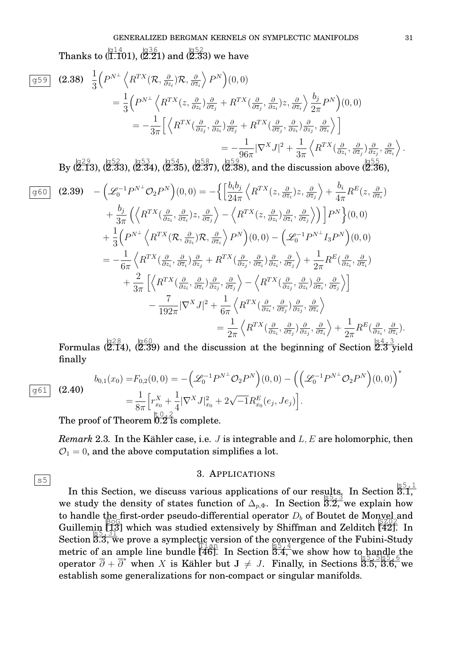Thanks to (1.101), (2.21) and (2.33) we have

$$
\begin{split}\n\boxed{g59} \quad \textbf{(2.38)} \quad & \frac{1}{3} \Big( P^{N\perp} \left\langle R^{TX}(\mathcal{R}, \frac{\partial}{\partial z_i}) \mathcal{R}, \frac{\partial}{\partial \overline{z}_i} \right\rangle P^N \Big) (0, 0) \\
& = \frac{1}{3} \Big( P^{N\perp} \left\langle R^{TX}(z, \frac{\partial}{\partial z_i}) \frac{\partial}{\partial \overline{z}_j} + R^{TX} \left( \frac{\partial}{\partial \overline{z}_j}, \frac{\partial}{\partial z_i} \right) z, \frac{\partial}{\partial \overline{z}_i} \right\rangle \frac{b_j}{2\pi} P^N \Big) (0, 0) \\
& = -\frac{1}{3\pi} \Big[ \left\langle R^{TX} \left( \frac{\partial}{\partial z_j}, \frac{\partial}{\partial z_i} \right) \frac{\partial}{\partial \overline{z}_j} + R^{TX} \left( \frac{\partial}{\partial \overline{z}_j}, \frac{\partial}{\partial z_i} \right) \frac{\partial}{\partial z_j}, \frac{\partial}{\partial \overline{z}_i} \right\rangle \Big] \\
& = -\frac{1}{96\pi} |\nabla^X J|^2 + \frac{1}{3\pi} \left\langle R^{TX} \left( \frac{\partial}{\partial z_i}, \frac{\partial}{\partial \overline{z}_j} \right) \frac{\partial}{\partial z_j}, \frac{\partial}{\partial \overline{z}_i} \right\rangle .\n\end{split}
$$

 $\text{By (}^{\,129}_{\,223}, \, (^{\,152}_{\,233}, \, (^{\,153}_{\,234}, \, (^{\,154}_{\,235}, \, (^{\,158}_{\,237}, \, (^{\,158}_{\,238}), \, \text{and the discussion above (}2.36),$ 

$$
\begin{split}\n\boxed{g60} \quad \textbf{(2.39)} \quad -\left(\mathcal{L}_{0}^{-1}P^{N\perp}\mathcal{O}_{2}P^{N}\right)(0,0) &= -\left\{\left[\frac{b_{i}b_{j}}{24\pi}\left\langle R^{TX}(z,\frac{\partial}{\partial z_{i}})z,\frac{\partial}{\partial \overline{z}_{j}}\right\rangle + \frac{b_{i}}{4\pi}R^{E}(z,\frac{\partial}{\partial z_{i}}) \right. \\
&\quad \left. + \frac{b_{j}}{3\pi}\left(\left\langle R^{TX}(\frac{\partial}{\partial z_{i}},\frac{\partial}{\partial \overline{z}_{i}})z,\frac{\partial}{\partial \overline{z}_{j}}\right\rangle - \left\langle R^{TX}(z,\frac{\partial}{\partial z_{i}})\frac{\partial}{\partial \overline{z}_{i}},\frac{\partial}{\partial \overline{z}_{j}}\right\rangle\right)\right]P^{N}\right\}(0,0) \\
&\quad + \frac{1}{3}\left(P^{N\perp}\left\langle R^{TX}(\mathcal{R},\frac{\partial}{\partial z_{i}})R,\frac{\partial}{\partial \overline{z}_{i}}\right\rangle P^{N}\right)(0,0) - \left(\mathcal{L}_{0}^{-1}P^{N\perp}I_{3}P^{N}\right)(0,0) \\
&= -\frac{1}{6\pi}\left\langle R^{TX}(\frac{\partial}{\partial z_{i}},\frac{\partial}{\partial \overline{z}_{i}})\frac{\partial}{\partial z_{j}} + R^{TX}(\frac{\partial}{\partial z_{j}},\frac{\partial}{\partial \overline{z}_{i}})\frac{\partial}{\partial z_{i}},\frac{\partial}{\partial \overline{z}_{j}}\right\rangle + \frac{1}{2\pi}R^{E}(\frac{\partial}{\partial z_{i}},\frac{\partial}{\partial \overline{z}_{i}}) \\
&\quad + \frac{2}{3\pi}\left[\left\langle R^{TX}(\frac{\partial}{\partial z_{i}},\frac{\partial}{\partial \overline{z}_{i}})\frac{\partial}{\partial z_{j}},\frac{\partial}{\partial \overline{z}_{j}}\right\rangle - \left\langle R^{TX}(\frac{\partial}{\partial z_{i}},\frac{\partial}{\partial z_{i}})\frac{\partial}{\partial z_{i}},\frac{\partial}{\partial \overline{z}_{i}}\right\rangle\right] \\
&\quad - \frac{7}{192\pi}|\nabla^{X}J|^{2} + \frac{1}{6\
$$

Formulas  $\langle 2.14 \rangle$ ,  $\langle 2.39 \rangle$  and the discussion at the beginning of Section  $\frac{184.3}{2.3}$  yield finally

$$
(2.40) \quad b_{0,1}(x_0) = F_{0,2}(0,0) = -\left(\mathcal{L}_0^{-1}P^{N^\perp}\mathcal{O}_2 P^N\right)(0,0) - \left(\left(\mathcal{L}_0^{-1}P^{N^\perp}\mathcal{O}_2 P^N\right)(0,0)\right)^* = \frac{1}{8\pi} \Big[ r_{x_0}^X + \frac{1}{4} |\nabla^X J|_{x_0}^2 + 2\sqrt{-1}R_{x_0}^E(e_j, Je_j) \Big].
$$

The proof of Theorem  $\overline{0.2}$  is complete.

g61

 $|s5|$ 

*Remark* 2.3. In the Kähler case, i.e.  $J$  is integrable and  $L, E$  are holomorphic, then  $\mathcal{O}_1 = 0$ , and the above computation simplifies a lot.

### 3. APPLICATIONS

In this Section, we discuss various applications of our results. In Section  $\frac{1}{3.1}$ , we study the density of states function of  $\Delta_{p,\Phi}$ . In Section  $\overline{3.2,}$  we explain how to handle the first-order pseudo-differential operator  $D_b$  of Boutet de Monvel and<br> $\widetilde{B}$   $\widetilde{B}$   $\widetilde{C}$   $\widetilde{C}$   $\widetilde{B}$   $\widetilde{C}$   $\widetilde{C}$   $\widetilde{D}$   $\widetilde{D}$   $\widetilde{D}$   $\widetilde{D}$   $\widetilde{D}$   $\widetilde{D}$   $\widetilde{D$ Guillemin [13] which was studied extensively by Shiffman and Zelditch [42]. In Section  $\frac{135}{33}$ , we prove a symplectic version of the convergence of the Fubini-Study  $\frac{1}{2}$  metric of an ample line bundle  $\frac{1}{46}$ . In Section  $\frac{1}{3.4}$ , we show how to handle the operator  $\overline{\partial} + \overline{\partial}^*$  when X is Kähler but  $J \neq J$ . Finally, in Sections 3.5, 3.6, we operator  $\overline{\partial} + \overline{\partial}^*$  when X is Kähler but  $J \neq J$ . Finally, in Sections 3.5, 3.6, we establish some generalizations for non-compact or singular manifolds.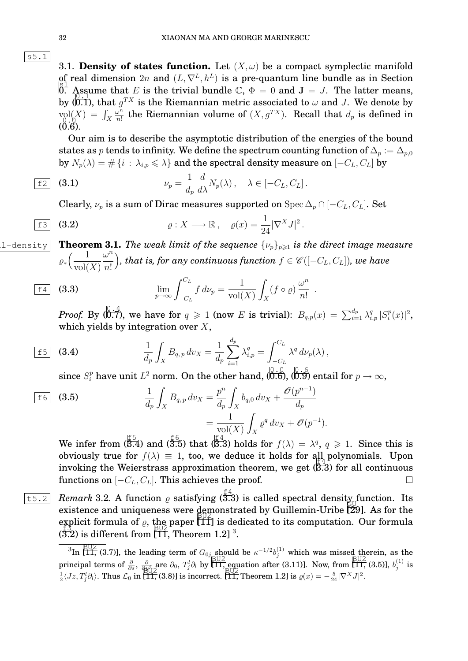

3.1. **Density of states function.** Let  $(X, \omega)$  be a compact symplectic manifold of real dimension  $2n$  and  $(L, \nabla^L, h^L)$  is a pre-quantum line bundle as in Section  $\mathcal{L}$  is 1 can dimension  $\mathbb{Z}_n$  and  $(\mathbb{Z}, \mathbf{v}, \mathbf{w})$  is a pre-quantum line summer as in section.<br>0. Assume that E is the trivial bundle  $\mathbb{C}, \Phi = 0$  and  $\mathbf{J} = J$ . The latter means, by (0.1), that  $g^{TX}$  is the Riemannian metric associated to  $\omega$  and J. We denote by  $\text{vol}_{0,N}(X) = \int_X$  $\omega^n$  $\lim_{x\to 0} f(x) = \int_X \frac{\omega^n}{n!}$  the Riemannian volume of  $(X, g^{TX})$ . Recall that  $d_p$  is defined in  $(0.6).$ 

Our aim is to describe the asymptotic distribution of the energies of the bound states as p tends to infinity. We define the spectrum counting function of  $\Delta_p := \Delta_{p,0}$ by  $N_p(\lambda) = # \{i : \lambda_{i,p} \leq \lambda\}$  and the spectral density measure on  $[-C_L, C_L]$  by

$$
\underline{\mathsf{f2}} \quad \textbf{(3.1)} \qquad \qquad \nu_p = \frac{1}{d_p} \frac{d}{d\lambda} N_p(\lambda) \,, \quad \lambda \in [-C_L, C_L] \,.
$$

Clearly,  $\nu_p$  is a sum of Dirac measures supported on Spec  $\Delta_p \cap [-C_L, C_L]$ . Set

$$
\text{f3} \quad \text{(3.2)} \quad \rho: X \longrightarrow \mathbb{R}, \quad \rho(x) = \frac{1}{24} |\nabla^X J|^2.
$$

 $\overline{S_{11-\text{density}}}$  **Theorem 3.1.** The weak limit of the sequence  $\{\nu_p\}_{p\geq 1}$  is the direct image measure  $\varrho_*\Big(\frac{1}{\cdots 10}\Big)$  $vol(X)$  $\omega^n$ n! *)*, that is, for any continuous function  $f \in \mathscr{C}([-C_L, C_L])$ , we have

$$
\underline{\lim}_{p \to \infty} \int_{-C_L}^{C_L} f \, d\nu_p = \frac{1}{\text{vol}(X)} \int_X (f \circ \varrho) \, \frac{\omega^n}{n!} \; .
$$

*Proof.* By  $(0.7)$ , we have for  $q \ge 1$  (now E is trivial):  $B_{q,p}(x) = \sum_{i=1}^{d_p} \lambda_{i,p}^q | S_i^p$  $\binom{p}{i}(x)|^2$ , which yields by integration over  $X$ ,

$$
\frac{1}{4p} \int_X B_{q,p} \, dv_X = \frac{1}{4p} \sum_{i=1}^{4p} \lambda_{i,p}^q = \int_{-C_L}^{C_L} \lambda^q \, d\nu_p(\lambda) \,,
$$

since  $S_i^p$  have unit  $L^2$  norm. On the other hand,  $(\stackrel{0}{0.6}), (\stackrel{0}{0.9})$  entail for  $p\to\infty,$ 

$$
\frac{1}{d_p} \int_X B_{q,p} dv_X = \frac{p^n}{d_p} \int_X b_{q,0} dv_X + \frac{\mathcal{O}(p^{n-1})}{d_p} \\
= \frac{1}{\text{vol}(X)} \int_X \varrho^q dv_X + \mathcal{O}(p^{-1}).
$$

We infer from  $(\overline{3.4})$  and  $(\overline{3.5})$  that  $(\overline{3.3})$  holds for  $f(\lambda) = \lambda^q$ ,  $q \geq 1$ . Since this is obviously true for  $f(\lambda) \equiv 1$ , too, we deduce it holds for all polynomials. Upon invoking the Weierstrass approximation theorem, we get  $(3.3)$  for all continuous functions on  $[-C_L, C_L]$ . This achieves the proof. □

 $\overline{z}$  *Remark* 3.2. A function  $\varrho$  satisfying  $\langle 3.3 \rangle$  is called spectral densit<u>y</u> function. Its existence and uniqueness were demonstrated by Guillemin-Uribe [29]. As for the explicit formula of  $\varrho$ , the paper  $[\![\tilde{\mathsf{T}}]\!]$  is dedicated to its computation. Our formula  $\frac{1}{2}$  (3.2) is different from  $\frac{1}{2}$ , Theorem 1.2]  $^3$ .

 $\frac{1}{3}$ In [11, (3.7)], the leading term of  $G_{0j}$  should be  $\kappa^{-1/2}b_j^{(1)}$  which was missed therein, as the principal terms of  $\frac{\partial}{\partial s}$ ,  $\frac{\partial}{\partial y \dot{\beta}}$  are  $\partial_0$ ,  $T^i_j \partial_l$  by  $\left[\prod_{n=1}^{\infty}$  equation after (3.11)]. Now, from  $\left[\prod_{n=1}^{\infty}$  (3.5)],  $b_j^{(1)}$  is  $\frac{1}{2}\langle Jz, T_j^l \partial_l \rangle$ . Thus  $\mathcal{L}_0$  in [11, (3.8)] is incorrect. [11, Theorem 1.2] is  $\varrho(x) = -\frac{5}{24} |\nabla^X J|^2$ .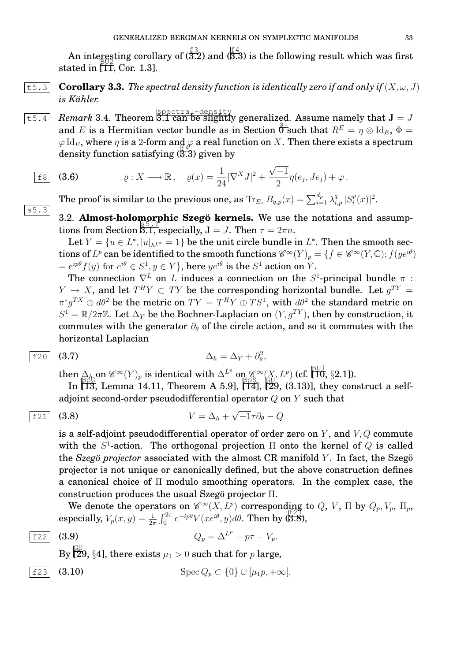An interesting corollary of  $\langle \overline{\overline{5.2}} \rangle$  and  $\langle \overline{\overline{5.3}} \rangle$  is the following result which was first stated in BU2 [11, Cor. 1.3].

 $\overline{t_5.3}$  **Corollary 3.3.** The spectral density function is identically zero if and only if  $(X, \omega, J)$  $i$ s Kähler.

 $\overline{{\tt t}$ 5.4 *Remark* 3.4. Theorem  $\overline{{\tt S}$ .1 can be slightly generalized. Assume namely that  ${\tt J} = J$ and E is a Hermitian vector bundle as in Section  $\overline{0}^{\text{S}}$  such that  $R^E = \eta \otimes \text{Id}_E$ ,  $\Phi =$  $\varphi \, {\rm Id}_E$ , where  $\eta$  is a 2-form and  $\varphi$  a real function on X. Then there exists a spectrum density function satisfying ( 3.3) given by

$$
\text{E8} \quad \text{(3.6)} \quad \rho: X \longrightarrow \mathbb{R}, \quad \rho(x) = \frac{1}{24} |\nabla^X J|^2 + \frac{\sqrt{-1}}{2} \eta(e_j, Je_j) + \varphi.
$$

The proof is similar to the previous one, as  $\text{Tr}_{E_x} \, B_{q,p}(x) = \sum_{i=1}^{d_p} \lambda_{i,p}^q \, | S_i^p \, |$  $_{i}^{p}(x)|^{2}.$ 

3.2. **Almost-holomorphic Szegö kernels.** We use the notations and assumptions from Section 3.1, especially,  $J = J$ . Then  $\tau = 2\pi n$ .

Let  $Y = \{u \in L^*, |u|_{h^{L^*}} = 1\}$  be the unit circle bundle in  $L^*$ . Then the smooth sections of  $L^p$  can be identified to the smooth functions  $\mathscr{C}^{\infty}(Y)_p = \{f \in \mathscr{C}^{\infty}(Y, \mathbb{C}); f(y e^{i\theta})\}$  $e^{ip\theta}f(y)$  for  $e^{i\theta} \in S^1, y \in Y$ }, here  $ye^{i\theta}$  is the  $S^1$  action on  $Y$ .

The connection  $\nabla^L$  on L induces a connection on the  $S^1$ -principal bundle  $\pi$ :  $Y \to X$ , and let  $T^H Y \subset TY$  be the corresponding horizontal bundle. Let  $g^{TY} =$  $\pi^*g^{TX}\oplus d\theta^2$  be the metric on  $TY=T^HY\oplus TS^1,$  with  $d\theta^2$  the standard metric on  $S^1 = \mathbb{R}/2\pi\mathbb{Z}$ . Let  $\Delta_Y$  be the Bochner-Laplacian on  $(Y, g^{TY})$ , then by construction, it commutes with the generator  $\partial_{\theta}$  of the circle action, and so it commutes with the horizontal Laplacian

$$
\boxed{\text{f20}} \quad (3.7) \qquad \Delta_h = \Delta_Y + \partial_\theta^2,
$$

then  $\Delta_h$  on  $\mathscr{C}^{\infty}(Y)_p$  is identical with  $\Delta^{L^p}$  on  $\mathscr{C}^{\infty}(X, L^p)$  (cf. [10, §2.1]).

In  $\left[\overline{13}, \text{ Lemma 14.11}, \text{ Theorem A 5.9}, \left[\overline{14}\right], \left[\overline{29}, (3.13)\right], \text{ they construct a self-} \right]$ adjoint second-order pseudodifferential operator  $Q$  on  $Y$  such that

$$
\boxed{\text{f21}} \quad \textbf{(3.8)} \qquad \qquad V = \Delta_h + \sqrt{-1}\tau \partial_\theta - Q
$$

is a self-adjoint pseudodifferential operator of order zero on  $Y$ , and  $V$ ,  $Q$  commute with the  $S^1$ -action. The orthogonal projection  $\Pi$  onto the kernel of  $Q$  is called the *Szegö projector* associated with the almost CR manifold  $Y$ . In fact, the Szegö projector is not unique or canonically defined, but the above construction defines a canonical choice of Π modulo smoothing operators. In the complex case, the construction produces the usual Szego projector  $\Pi$ .

We denote the operators on  $\mathscr{C}^{\infty}(X, L^p)$  corresponding to  $Q, V$ ,  $\Pi$  by  $Q_p, V_p, \Pi_p$ , especially,  $V_p(x, y) = \frac{1}{2\pi} \int_0^{2\pi} e^{-ip\theta} V(xe^{i\theta}, y) d\theta$ . Then by (3.8),

$$
\begin{array}{|c|c|c|}\n\hline\nf22 & 0\n\end{array}
$$

s5.3

 $\boxed{f22}$  (3.9)  $Q_p = Δ^{L^p} - pτ - V_p$ .

By  $\overline{\begin{matrix} \mathsf{GU} \ \mathsf{Z} \mathsf{9}, \ \S{4} \end{matrix}}$ , there exists  $\mu_1 > 0$  such that for  $p$  large,

$$
\boxed{\text{f23}} \quad \text{(3.10)} \qquad \text{Spec } Q_p \subset \{0\} \cup [\mu_1 p, +\infty[.
$$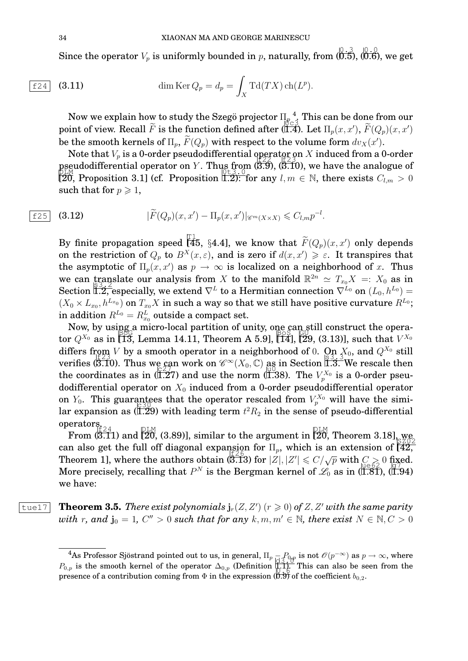Since the operator  $V_p$  is uniformly bounded in  $p$ , naturally, from  $(0.3)$ ,  $(0.6)$ , we get

$$
\boxed{\texttt{f24}} \quad \textbf{(3.11)} \qquad \qquad \text{dim}\,\text{Ker}\,Q_p = d_p = \int_X \text{Td}(TX) \,\text{ch}(L^p).
$$

Now we explain how to study the Szegö projector  $\Pi_{p}^{-4}$  . This can be done from our point of view. Recall  $\tilde{F}$  is the function defined after (1.4). Let  $\Pi_p(x, x')$ ,  $\tilde{F}(Q_p)(x, x')$ be the smooth kernels of  $\Pi_p$ ,  $\tilde{F}(Q_p)$  with respect to the volume form  $dv_X(x')$ .

Note that  $V_p$  is a 0-order pseudodifferential operator on X induced from a 0-order pseudodifferential operator on Y. Thus from  $(3.9)$ ,  $(3.10)$ , we have the analogue of [ $20$ , Proposition 3.1] (cf. Proposition  $\overline{1,2}$ ): for any  $l, m \in \mathbb{N}$ , there exists  $C_{l,m} > 0$ such that for  $p \geq 1$ ,

$$
\boxed{\text{f25}} \quad \textbf{(3.12)} \qquad |\widetilde{F}(Q_p)(x,x') - \Pi_p(x,x')|_{\mathscr{C}^m(X \times X)} \leqslant C_{l,m} p^{-l}.
$$

By finite propagation speed  $\begin{bmatrix} 1 \\ 45 \\ 84.4 \end{bmatrix}$ , we know that  $\widetilde{F}(Q_p)(x, x')$  only depends on the restriction of  $Q_p$  to  $B^X(x,\varepsilon)$ , and is zero if  $d(x,x') \geq \varepsilon$ . It transpires that the asymptotic of  $\Pi_p(x, x')$  as  $p \to \infty$  is localized on a neighborhood of x. Thus we can translate our analysis from X to the manifold  $\mathbb{R}^{2n} \simeq T_{x_0}X =: X_0$  as in Section  $\breve{\mathbb{L}}$  especially, we extend  $\nabla^L$  to a Hermitian connection  $\nabla^{L_0}$  on  $(L_0, h^{L_0}) =$  $(X_0 \times L_{x_0}, h^{L_{x_0}})$  on  $T_{x_0}X$  in such a way so that we still have positive curvature  $R^{L_0};$ in addition  $R^{L_0} = R^L_{x_0}$  outside a compact set.

Now, by using a micro-local partition of unity, one can still construct the operator  $Q^{X_0}$  as in 13, Lemma 14.11, Theorem A 5.9],  $[14]$ ,  $[29, (3.13)]$ , such that  $V^{X_0}$ differs from *V* by a smooth operator in a neighborhood of 0. On  $X_0$ , and  $Q^{X_0}$  still verifies  $(\overline{5.10})$ . Thus we can work on  $\mathscr{C}^{\infty}(X_0, \mathbb{C})$  as in Section  $\overline{1.3.}$  We rescale then the coordinates as in ( $\widehat{11.27}$ ) and use the norm ( $\widehat{11.38}$ ). The  $V_p^{X_0}$  is a 0-order pseudodifferential operator on  $X_0$  induced from a 0-order pseudodifferential operator on  $Y_0$ . This guarantees that the operator rescaled from  $V_p^{X_0}$  will have the similar expansion as (I.29) with leading term  $t^2 R_2$  in the sense of pseudo-differential operators. f24

From  $(\overline{{\bf 3.11}})$  and  $(\overline{{\bf 20}},$  (3.89)], similar to the argument in  $(\overline{{\bf 20}},$  Theorem 3.18], we can also get the full off diagonal expansion for  $\Pi_p$ , which is an extension of  $\begin{bmatrix} 42 \\ 42 \end{bmatrix}$ Theorem 1], where the authors obtain  $(3.13)$  for  $|Z|, |Z'| \le C/\sqrt{p}$  with  $C \ge 0$  fixed. More precisely, recalling that  $P^N$  is the Bergman kernel of  $\mathcal{L}_0$  as in (1.81), (1.94) we have:

 $\overline{\text{true17}}$  **Theorem 3.5.** There exist polynomials  $\mathbf{j}_r(Z, Z')$  ( $r \geq 0$ ) of Z, Z' with the same parity  $with r, and j<sub>0</sub> = 1, C'' > 0 such that for any k, m, m' \in \mathbb{N}, there exist N \in \mathbb{N}, C > 0$ 

<sup>&</sup>lt;sup>4</sup>As Professor Sjöstrand pointed out to us, in general,  $\Pi_p$   $\to P_{0,p}$  is not  $\mathscr{O}(p^{-\infty})$  as  $p\to\infty$ , where As I folessor Sjostrand pointed out to us, in general,  $\lim_{p \to \infty} \frac{1}{p} \int_{0}^{p} \frac{d}{dp}$  is not  $\nu(p)$  as  $p \to \infty$ , where  $P_{0,p}$  is the smooth kernel of the operator  $\Delta_{0,p}$  (Definition  $\prod_{p=0}^{n} \frac{1}{p}$ ). This can a presence of a contribution coming from  $\Phi$  in the expression (0.9) of the coefficient  $b_{0,2}$ .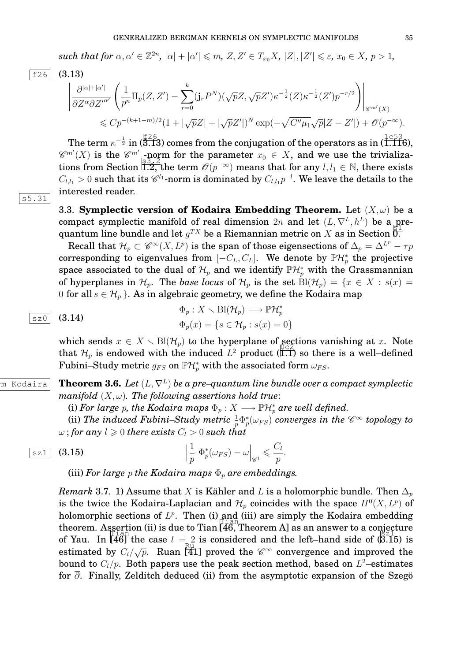$\textit{such that for } \alpha, \alpha' \in \mathbb{Z}^{2n}, |\alpha| + |\alpha'| \leqslant m, Z, Z' \in T_{x_0}X, |Z|, |Z'| \leqslant \varepsilon, x_0 \in X, p > 1,$ 

f26 (3.13)

$$
\left| \frac{\partial^{|\alpha|+|\alpha'|}}{\partial Z^{\alpha} \partial Z'^{\alpha'}} \left( \frac{1}{p^n} \Pi_p(Z, Z') - \sum_{r=0}^k (j_r P^N) (\sqrt{p} Z, \sqrt{p} Z') \kappa^{-\frac{1}{2}} (Z) \kappa^{-\frac{1}{2}} (Z') p^{-r/2} \right) \right|_{\mathscr{C}^{m'}(X)} \leq C p^{-(k+1-m)/2} (1 + |\sqrt{p} Z| + |\sqrt{p} Z'|)^N \exp(-\sqrt{C'' \mu_1} \sqrt{p} |Z - Z'|) + \mathcal{O}(p^{-\infty}).
$$

The term  $\kappa^{-\frac{1}{2}}$  in (3.13) comes from the conjugation of the operators as in (1.116),  $\mathscr{C}^{m'}(X)$  is the  $\mathscr{C}^{m'}$ -norm for the parameter  $x_0 \in X$ , and we use the trivializations from Section  $\frac{3.32 \text{ m}}{1.2}$ , the term  $\mathcal{O}(p^{-\infty})$  means that for any  $l, l_1 \in \mathbb{N}$ , there exists  $C_{l,l_1}>0$  such that its  $\mathscr{C}^{l_1}$ -norm is dominated by  $C_{l,l_1}p^{-l}.$  We leave the details to the interested reader.

s5.31

3.3. **Symplectic version of Kodaira Embedding Theorem.** Let  $(X, \omega)$  be a compact symplectic manifold of real dimension 2n and let  $(L, \nabla^L, h^L)$  be a prequantum line bundle and let  $g^{TX}$  be a Riemannian metric on X as in Section 0.

Recall that  $\mathcal{H}_p\subset \mathscr{C}^\infty(X,L^p)$  is the span of those eigensections of  $\Delta_p=\Delta^{L^p}-\tau p$ corresponding to eigenvalues from  $[-C_L, C_L]$ . We denote by  $\mathbb{P}\mathcal{H}_p^*$  the projective space associated to the dual of  $\mathcal{H}_p$  and we identify  $\mathbb{P}\mathcal{H}_p^*$  with the Grassmannian of hyperplanes in  $\mathcal{H}_p$ . The *base locus* of  $\mathcal{H}_p$  is the set  $\text{Bl}(\mathcal{H}_p) = \{x \in X : s(x) =$ 0 for all  $s \in \mathcal{H}_p$ . As in algebraic geometry, we define the Kodaira map

$$
\begin{array}{ll}\n\boxed{\text{sz0}} & (3.14) \\
\hline\n\Phi_p: X \setminus \text{Bl}(\mathcal{H}_p) \longrightarrow \mathbb{P}\mathcal{H}_p^* \\
\Phi_p(x) = \{s \in \mathcal{H}_p : s(x) = 0\}\n\end{array}
$$

which sends  $x \in X \setminus \text{Bl}(\mathcal{H}_p)$  to the hyperplane of sections vanishing at x. Note that  $\mathcal{H}_p$  is endowed with the induced  $L^2$  product (III) so there is a well-defined Fubini–Study metric  $g_{FS}$  on  $\mathbb{P}\mathcal{H}^*_p$  with the associated form  $\omega_{FS}$ .

 $\begin{array}{|l|} \hline \text{m-Kodaira} & \textbf{Theorem 3.6.} \, \, Let \, (L, \nabla^L) \, be \, a \, pre-quantum \, line \, bundle \, over \, a \, compact \, symplectic \, \end{array}$ *manifold*  $(X, \omega)$ *. The following assertions hold true:* 

(i) For large  $p$ , the Kodaira maps  $\Phi_p:X\longrightarrow \mathbb{P}\mathcal{H}_p^*$  are well defined.

(ii) The induced Fubini–Study metric  $\frac{1}{p}\Phi_p^*(\omega_{FS})$  converges in the  $\mathscr{C}^\infty$  topology to  $\omega$ ; for any  $l \geq 0$  there exists  $C_l > 0$  such that

$$
\begin{array}{ll}\n\boxed{\text{sz1}} & \text{(3.15)} \\
\frac{1}{p} \Phi_p^*(\omega_{FS}) - \omega \big|_{\mathscr{C}^l} \leq \frac{C_l}{p}.\n\end{array}
$$

(iii) For large  $p$  the Kodaira maps  $\Phi_p$  are embeddings.

*Remark* 3.7. 1) Assume that X is Kähler and L is a holomorphic bundle. Then  $\Delta_p$ is the twice the Kodaira-Laplacian and  $\mathcal{H}_p$  coincides with the space  $H^0(X, L^p)$  of holomorphic sections of  $L^p$ . Then (i) and (iii) are simply the Kodaira embedding theorem. Assertion (ii) is due to Tian [46, Theorem A] as an answer to a conjecture of Yau. In  $\begin{bmatrix} 1 & 0 & 0 \\ 0 & 1 & 0 \\ 0 & 0 & 1 \end{bmatrix}$  the case  $l = 2$  is considered and the left-hand side of (3.15) is estimated by  $C_l/\sqrt{p}$ . Ruan [41] proved the  $\mathscr{C}^{\infty}$  convergence and improved the bound to  $C_l/p.$  Both papers use the peak section method, based on  $L^2$ –estimates for  $\overline{\partial}$ . Finally, Zelditch deduced (ii) from the asymptotic expansion of the Szego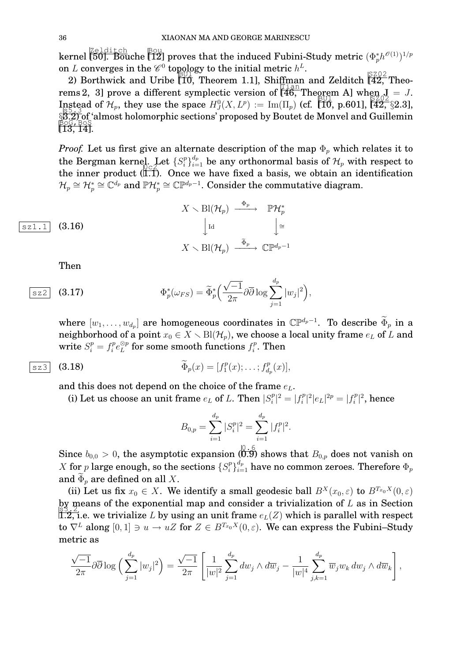kernel  $\overline{{\rm [50]}}$ . Bouche  $\overline{{\rm [12]}}$  proves that the induced Fubini-Study metric  $(\Phi^{*}_{p}h^{\mathscr{O}(1)})^{1/p}$ on L converges in the  $\mathscr{C}^0$  topology to the initial metric  $h^L$ .

2) Borthwick and Uribe  $\begin{bmatrix} 10 \\ 10 \end{bmatrix}$ , Theorem 1.1], Shiffman and Zelditch  $\begin{bmatrix} 8202 \\ 42 \end{bmatrix}$  Theorems 2, 3] prove a different symplectic version of  $[46,$  Theorem A] when  $J = J$ . Instead of  $\mathcal{H}_p$ , they use the space  $H_J^0(X, L^p) := \text{Im}(\Pi_p)$  (cf. [10, p.601], [42, §2.3],<br> $\mathbb{R}^{5.33}_{2.3}$  s(c), which is the space in the space in the space in the space in the space in the space in the space in th §3.2) of 'almost holomorphic sections' proposed by Boutet de Monvel and Guillemin<br>BoG, BoS  $[13, 14]$ .

*Proof.* Let us first give an alternate description of the map  $\Phi_p$  which relates it to the Bergman kernel. Let  $\{S_i^p\}$ delays are  $\{S_i^p\}_{i=1}^{d_p}$  be any orthonormal basis of  $\mathcal{H}_p$  with respect to the inner product  $(\tilde{I},\tilde{I})$ . Once we have fixed a basis, we obtain an identification  $\mathcal{H}_p\cong \mathcal{H}_p^*\cong \mathbb{C}^{{d_p}}$  and  $\mathbb{P}\mathcal{H}_p^*\cong \mathbb{C}\mathbb{P}^{d_p-1}.$  Consider the commutative diagram.

$$
\begin{array}{ccc}\n & X \setminus \text{Bl}(\mathcal{H}_p) \xrightarrow{\Phi_p} & \mathbb{P}\mathcal{H}_p^* \\
\downarrow^{\text{Id}} & & \downarrow^{\text{d}} \\
 & X \setminus \text{Bl}(\mathcal{H}_p) \xrightarrow{\ \tilde{\Phi}_p} & \mathbb{C}\mathbb{P}^{d_p-1}\n\end{array}
$$

Then

$$
\boxed{\text{sz2}} \quad \text{(3.17)} \qquad \qquad \Phi_p^*(\omega_{FS}) = \widetilde{\Phi}_p^*\Big(\frac{\sqrt{-1}}{2\pi}\partial\overline{\partial}\log\sum_{j=1}^{d_p}|w_j|^2\Big),
$$

where  $[w_1, \ldots, w_{d_p}]$  are homogeneous coordinates in  $\mathbb{CP}^{d_p-1}$ . To describe  $\widetilde{\Phi}_p$  in a neighborhood of a point  $x_0 \in X \setminus Bl(H_p)$ , we choose a local unity frame  $e_L$  of L and write  $S_i^p = f_i^p$  $\cdot_{i}^{p}e_{L}^{\otimes p}$  $_L^{\otimes p}$  for some smooth functions  $f_i^p$  $\mathbb{F}_i^p$ . Then

$$
\widetilde{\Phi}_p(x) = [f_1^p(x); \ldots; f_{d_p}^p(x)],
$$

and this does not depend on the choice of the frame  $e<sub>L</sub>$ .

(i) Let us choose an unit frame  $e_L$  of L. Then  $|S_i^p|$  $|j_i^p|^2 = |f_i^p|$  $\binom{p}{i}^2 |e_L|^{2p} = |f_i^p|$  $\hat{c}^{p}|^{2},$  hence

$$
B_{0,p} = \sum_{i=1}^{d_p} |S_i^p|^2 = \sum_{i=1}^{d_p} |f_i^p|^2.
$$

Since  $b_{0,0} > 0$ , the asymptotic expansion  $\langle \overline{0.9} \rangle^0$  shows that  $B_{0,p}$  does not vanish on X for p large enough, so the sections  $\{S_i^p\}$  $\frac{p}{i}\}_{i=1}^{d_p}$  have no common zeroes. Therefore  $\Phi_p$ and  $\Phi_p$  are defined on all X.

(ii) Let us fix  $x_0 \in X$ . We identify a small geodesic ball  $B^X(x_0, \varepsilon)$  to  $B^{T_{x_0}X}(0, \varepsilon)$ by means of the exponential map and consider a trivialization of  $L$  as in Section  $\frac{12}{1.2}$ , i.e. we trivialize L by using an unit frame  $e_L(Z)$  which is parallel with respect to  $\nabla^L$  along  $[0, 1] \ni u \to uZ$  for  $Z \in B^{T_{x_0}X}(0, \varepsilon)$ . We can express the Fubini–Study metric as

$$
\frac{\sqrt{-1}}{2\pi}\partial\overline{\partial}\log\Big(\sum_{j=1}^{d_p}|w_j|^2\Big)=\frac{\sqrt{-1}}{2\pi}\left[\frac{1}{|w|^2}\sum_{j=1}^{d_p}dw_j\wedge d\overline{w}_j-\frac{1}{|w|^4}\sum_{j,k=1}^{d_p}\overline{w}_jw_k\,dw_j\wedge d\overline{w}_k\right],
$$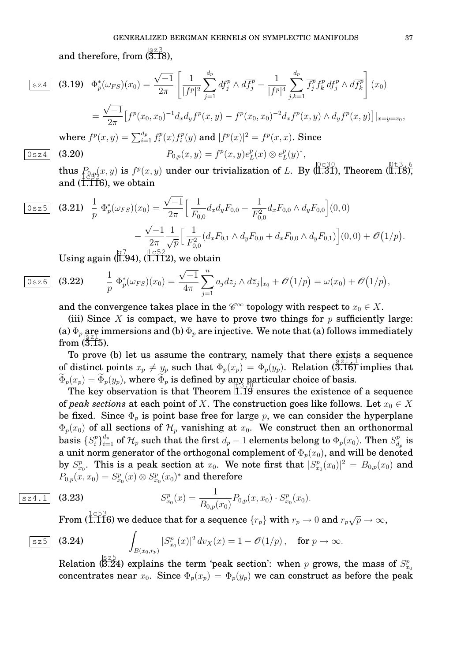and therefore, from  $(\stackrel{{\scriptscriptstyle [} \times 2}{\scriptscriptstyle 3} \stackrel{{\scriptscriptstyle 3}}{\scriptscriptstyle 3} R),$ 

$$
\begin{aligned}\n\boxed{\text{sz4}} \quad \text{(3.19)} \quad & \Phi_p^*(\omega_{FS})(x_0) = \frac{\sqrt{-1}}{2\pi} \left[ \frac{1}{|f^p|^2} \sum_{j=1}^{d_p} df_j^p \wedge d\overline{f_j^p} - \frac{1}{|f^p|^4} \sum_{j,k=1}^{d_p} \overline{f_j^p} f_k^p \, df_j^p \wedge d\overline{f_k^p} \right] (x_0) \\
&= \frac{\sqrt{-1}}{2\pi} \left[ f^p(x_0, x_0)^{-1} d_x d_y f^p(x, y) - f^p(x_0, x_0)^{-2} d_x f^p(x, y) \wedge d_y f^p(x, y) \right] |_{x=y=x_0}, \\
\text{where } f^p(x, y) = \sum_{i=1}^{d_p} f_i^p(x) \overline{f_i^p}(y) \text{ and } |f^p(x)|^2 = f^p(x, x). \text{ Since}\n\end{aligned}
$$

$$
\boxed{0 \text{ s z 4}} \quad \textbf{(3.20)} \qquad \qquad P_{0,p}(x,y) = f^p(x,y)e_f^p
$$

 $\overline{\phantom{a}}$ 

thus  $P_{0,p}(x, y)$  is  $f^p(x, y)$  under our trivialization of L. By  $\sqrt{\frac{0.030}{1.31}}$ , Theorem  $\sqrt{\frac{0.135}{1.18}}$ , and  $(\overline{1.116})$ , we obtain

 $L^p(L) \otimes e_I^p$ 

 $_{L}^{p}(y)^{*},$ 

$$
\begin{aligned}\n\boxed{0 \text{ s z 5}} \quad \textbf{(3.21)} \quad & \frac{1}{p} \ \Phi_p^*(\omega_{FS})(x_0) = \frac{\sqrt{-1}}{2\pi} \Big[ \frac{1}{F_{0,0}} d_x d_y F_{0,0} - \frac{1}{F_{0,0}^2} d_x F_{0,0} \wedge d_y F_{0,0} \Big] (0,0) \\
&\quad - \frac{\sqrt{-1}}{2\pi} \frac{1}{\sqrt{p}} \Big[ \frac{1}{F_{0,0}^2} (d_x F_{0,1} \wedge d_y F_{0,0} + d_x F_{0,0} \wedge d_y F_{0,1}) \Big] (0,0) + \mathcal{O} \Big( 1/p \Big).\n\end{aligned}
$$

Using again  $\left(\overline{1.94}\right), \left(\overline{1.112}\right),$  we obtain

$$
\boxed{0 \text{ sz} \text{ 6}} \quad (3.22) \qquad \frac{1}{p} \Phi_p^*(\omega_{FS})(x_0) = \frac{\sqrt{-1}}{4\pi} \sum_{j=1}^n a_j dz_j \wedge d\overline{z}_j|_{x_0} + \mathcal{O}(1/p) = \omega(x_0) + \mathcal{O}(1/p),
$$

and the convergence takes place in the  $\mathscr{C}^{\infty}$  topology with respect to  $x_0 \in X$ .

(iii) Since X is compact, we have to prove two things for  $p$  sufficiently large: (a)  $\Phi_p$  are immersions and (b)  $\Phi_p$  are injective. We note that (a) follows immediately from  $(\overline{3.15})$ .

To prove (b) let us assume the contrary, namely that there exists a sequence of distinct points  $x_p \neq y_p$  such that  $\Phi_p(x_p) = \Phi_p(y_p)$ . Relation (5.16) implies that  $\Phi_p(x_p) = \Phi_p(y_p)$ , where  $\Phi_p$  is defined by any particular choice of basis.

The key observation is that Theorem LIP ensures the existence of a sequence of *peak sections* at each point of X. The construction goes like follows. Let  $x_0 \in X$ be fixed. Since  $\Phi_p$  is point base free for large p, we can consider the hyperplane  $\Phi_p(x_0)$  of all sections of  $\mathcal{H}_p$  vanishing at  $x_0$ . We construct then an orthonormal basis  $\{S_i^p\}$  $\Phi_i^{(p)}\big\}_{i=1}^{d_p}$  of  $\mathcal{H}_p$  such that the first  $d_p-1$  elements belong to  $\Phi_p(x_0).$  Then  $S_d^p$  $\frac{p}{d_p}$  is a unit norm generator of the orthogonal complement of  $\Phi_p(x_0)$ , and will be denoted by  $S_{x_0}^p$ . This is a peak section at  $x_0$ . We note first that  $|S_{x_0}^p(x_0)|^2 = B_{0,p}(x_0)$  and  $P_{0,p}(x,x_0)=S^p_{x_0}(x)\otimes S^p_{x_0}(x_0)^*$  and therefore

$$
\overline{S_{x_0}^{p}(x)} = \frac{1}{B_{0,p}(x_0)} P_{0,p}(x, x_0) \cdot S_{x_0}^{p}(x_0).
$$

 $\operatorname{From} \mathcal{F}(\dfrac{1}{1.116})$  we deduce that for a sequence  $\{r_p\}$  with  $r_p \to 0$  and  $r_p\sqrt{p} \to \infty,$ 

$$
\begin{array}{ll}\n\text{S25} & (3.24) \\
\int_{B(x_0,r_p)} |S^p_{x_0}(x)|^2 \, dv_X(x) = 1 - \mathcal{O}(1/p), & \text{for } p \to \infty.\n\end{array}
$$

Relation (3.24) explains the term 'peak section': when p grows, the mass of  $S_{x_0}^p$ concentrates near  $x_0$ . Since  $\Phi_p(x_p) = \Phi_p(y_p)$  we can construct as before the peak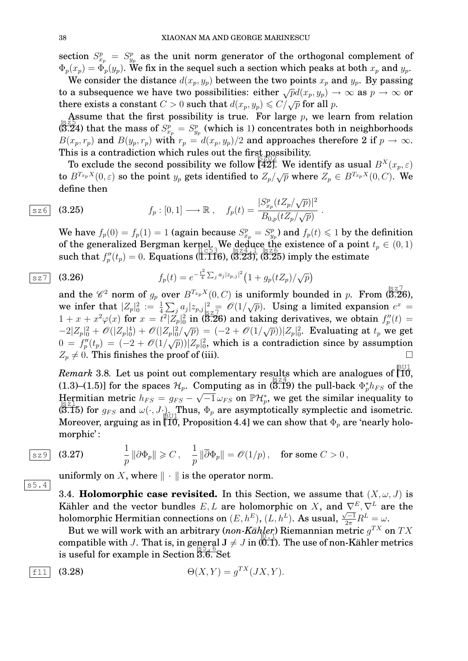section  $S_{x_p}^p = S_{y_p}^p$  as the unit norm generator of the orthogonal complement of  $\Phi_p(x_p) = \Phi_p(y_p)$ . We fix in the sequel such a section which peaks at both  $x_p$  and  $y_p$ .

We consider the distance  $d(x_p, y_p)$  between the two points  $x_p$  and  $y_p$ . By passing to a subsequence we have two possibilities: either  $\sqrt{p}d(x_p, y_p) \to \infty$  as  $p \to \infty$  or there exists a constant  $C > 0$  such that  $d(x_p, y_p) \leq C/\sqrt{p}$  for all p.

Assume that the first possibility is true. For large  $p$ , we learn from relation  $\sqrt{\frac{255}{(3.24)}}$  that the mass of  $S_{x_p}^p = S_{y_p}^p$  (which is 1) concentrates both in neighborhoods  $B(x_p, r_p)$  and  $B(y_p, r_p)$  with  $r_p = d(x_p, y_p)/2$  and approaches therefore 2 if  $p \to \infty$ . This is a contradiction which rules out the first possibility.

To exclude the second possibility we follow  $\begin{bmatrix} 42 \end{bmatrix}$ . We identify as usual  $B^X(x_p, \varepsilon)$ to B $T_{x_p}$  $X(0, \varepsilon)$  so the point  $y_p$  gets identified to  $Z_p/\sqrt{p}$  where  $Z_p \in B^{T_{x_p}X}(0, C)$ . We define then

.

$$
\begin{array}{lll}\n\boxed{\text{sz6}} & \textbf{(3.25)} & \qquad f_p: [0,1] \longrightarrow \mathbb{R} \ , & f_p(t) = \frac{|S_{x_p}^p(tZ_p/\sqrt{p})|^2}{B_{0,p}(tZ_p/\sqrt{p})}\n\end{array}
$$

We have  $f_p(0) = f_p(1) = 1$  (again because  $S_{x_p}^p = S_{y_p}^p$ ) and  $f_p(t) \leq 1$  by the definition of the generalized Bergman kernel. We deduce the existence of a point  $t_p \in (0,1)$ such that  $f_p''(t_p) = 0$ . Equations (1.116), (3.23), (3.25) imply the estimate

$$
\textbf{(3.26)} \quad f_p(t) = e^{-\frac{t^2}{4} \sum_j a_j |z_{p,j}|^2} \left(1 + g_p(t Z_p) / \sqrt{p}\right)
$$

and the  $\mathscr{C}^2$  norm of  $g_p$  over  $B^{T_{x_p}X}(0, C)$  is uniformly bounded in p. From (3.26), we infer that  $|Z_p|^2 = \frac{1}{4} \sum_j a_j |z_{p,j}|^2 = O(1/\sqrt{p})$ . Using a limited expansion  $e^x =$  $1+x+x^2\varphi(x)$  for  $x=t^2|Z_p|^2_0$  in (3.26) and taking derivatives, we obtain  $f_p''(t)=$  $-2|Z_p|^2_0 + \mathcal{O}(|Z_p|^4_0) + \mathcal{O}(|Z_p|^2(\sqrt{p})) = (-2 + \mathcal{O}(1/\sqrt{p}))|Z_p|^2_0$ . Evaluating at  $t_p$  we get  $0 = f_p''(t_p) = (-2 + \mathcal{O}(1/\sqrt{p}))|Z_p|_0^2$ , which is a contradiction since by assumption  $Z_p \neq 0$ . This finishes the proof of (iii).

*Remark* 3.8. Let us point out complementary results which are analogues of  $\begin{bmatrix} 10 \\ 10 \end{bmatrix}$ (1.3)–(1.5)] for the spaces  $\mathcal{H}_p$ . Computing as in  $\left(\overline{5.19}\right)$  the pull-back  $\Phi_p^* h_{FS}$  of the Hermitian metric  $h_{FS} = g_{FS} - \sqrt{-1} \omega_{FS}$  on  $\mathbb{P} \mathcal{H}_{p}^{*}$ , we get the similar inequality to (3.15) for  $g_{FS}$  and  $\omega(\cdot, J \cdot)$ . Thus,  $\Phi_p$  are asymptotically symplectic and isometric. Moreover, arguing as in [T0̄, Proposition 4.4] we can show that  $\Phi_p$  are 'nearly holomorphic' :

$$
\begin{array}{|c|c|c|}\n\hline\n\text{sz9} & (3.27) & \quad \mathbf{1}\n\end{array}
$$

$$
\frac{1}{p}\left\|\partial \Phi_p\right\| \geqslant C\,,\quad \frac{1}{p}\left\|\overline{\partial} \Phi_p\right\| = \mathscr{O}(1/p)\,,\quad \text{for some $C>0$}\,,
$$

uniformly on X, where  $\|\cdot\|$  is the operator norm.

3.4. **Holomorphic case revisited.** In this Section, we assume that  $(X, \omega, J)$  is Kähler and the vector bundles  $E, L$  are holomorphic on X, and  $\nabla^{E}, \nabla^{L}$  are the holomorphic Hermitian connections on  $(E,h^E),$   $(L,h^L)$ . As usual,  $\frac{\sqrt{-1}}{2\pi}R^L = \omega$ .

But we will work with an arbitrary  $(non-Kähler)$  Riemannian metric  $g^{TX}$  on  $TX$ compatible with J. That is, in general J  $\neq$  J in (0.1). The use of non-Kähler metrics  $\frac{1}{2}$  is useful for example in Section 3.6. Set

$$
\overline{f11} \quad (3.28) \qquad \Theta(X,Y) = g^{TX}(JX,Y).
$$

$$
f_{\rm{max}}
$$

s5.4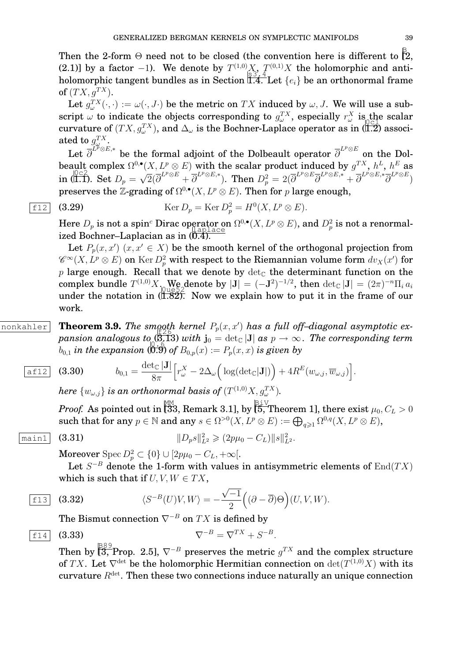Then the 2-form  $\Theta$  need not to be closed (the convention here is different to  $\overset{\mathbb{B}}{[}2,$ (2.1)] by a factor -1). We denote by  $T^{(1,0)}X$ ,  $T^{(0,1)}X$  the holomorphic and antiholomorphic tangent bundles as in Section  $\widehat{\mathbb{I}.4.}$  Let  $\{e_i\}$  be an orthonormal frame of  $(T X, g^{T X})$ .

Let  $g_{\omega}^{TX}(\cdot,\cdot):=\omega(\cdot,J\cdot)$  be the metric on  $TX$  induced by  $\omega,J.$  We will use a subscript  $\omega$  to indicate the objects corresponding to  $g_{\omega}^{TX}$ , especially  $r_{\omega}^{X}$  is the scalar curvature of  $(T X, g_{\omega}^{TX})$ , and  $\Delta_{\omega}$  is the Bochner-Laplace operator as in (1.2) associated to  $g^{TX}_{\omega}$ .

Let  $\overline{\partial}^{L^p\otimes E,*}$  be the formal adjoint of the Dolbeault operator  $\overline{\partial}^{L^p\otimes E}$  on the Dolbeault complex  $\Omega^{0,\bullet}(X,L^p\otimes E)$  with the scalar product induced by  $g^{TX},\,h^L,\,h^E$  as in  $\sqrt{\frac{0}{2}}$ . Set  $D_p =$ √  $\overline{2}(\overline{\partial}^{L^p\otimes E}+\overline{\partial}^{L^p\otimes E,*}). \ \ \text{Then} \ \ D_p^2=2(\overline{\partial}^{L^p\otimes E}\overline{\partial}^{L^p\otimes E,*}+\overline{\partial}^{L^p\otimes E,*}\overline{\partial}^{L^p\otimes E})$ preserves the Z-grading of  $\Omega^{0,\bullet}(X,L^p\otimes E)$ . Then for p large enough,

$$
\text{[12]} \quad \text{(3.29)} \qquad \text{Ker } D_p = \text{Ker } D_p^2 = H^0(X, L^p \otimes E).
$$

Here  $D_p$  is not a spin<sup>c</sup> Dirac operator on  $\Omega^{0,\bullet}(X,L^p\otimes E)$ , and  $D_p^2$  is not a renormalized Bochner–Laplacian as in (0.4).

Let  $P_p(x, x')$   $(x, x' \in X)$  be the smooth kernel of the orthogonal projection from  $\mathscr{C}^\infty(X, L^p\otimes E)$  on  $\operatorname{Ker} D^2_p$  with respect to the Riemannian volume form  $dv_X(x')$  for p large enough. Recall that we denote by  $\det_{\mathbb{C}}$  the determinant function on the complex bundle  $T^{(1,0)}X$ , We denote by  $|\mathbf{J}| = (-\mathbf{J}^2)^{-1/2}$ , then  $\det_{\mathbb{C}}|\mathbf{J}| = (2\pi)^{-n}\Pi_i a_i$ under the notation in  $(\tilde{I}.\tilde{S2})$ . Now we explain how to put it in the frame of our work.

 $\overline{\text{nonkahler}}$  **Theorem 3.9.** The smooth kernel  $P_p(x, x')$  has a full off-diagonal asymptotic ex $pansion$  analogous to  $(3.13)$  with  $\mathbf{j}_0 = \det_{\mathbb{C}}|\mathbf{J}|$  as  $p \to \infty$  . The corresponding term  $b_{0,1}$  *in the expansion*  $\overline{(0.9)}$  *of*  $B_{0,p}(x) := P_p(x, x)$  *is given by* 

$$
\overline{\text{aff12}} \quad \textbf{(3.30)} \qquad \quad b_{0,1} = \frac{\det_{\mathbb{C}} |\mathbf{J}|}{8\pi} \Big[ r_{\omega}^X - 2\Delta_{\omega} \Big( \log(\det_{\mathbb{C}} |\mathbf{J}|) \Big) + 4R^E(w_{\omega,j}, \overline{w}_{\omega,j}) \Big].
$$

here  $\{w_{\omega,j}\}$  is an orthonormal basis of  $(T^{(1,0)}X,g_\omega^{TX}).$ 

*Proof.* As pointed out in  $\overset{\mathbb{M}\mathbb{M}}{\text{33}},$  Remark 3.1], by  $\overset{\mathbb{B} \dot{\text{i}}\text{V}}{\text{5}},$  Theorem 1], there exist  $\mu_0, C_L > 0$ such that for any  $p \in \mathbb{N}$  and any  $s \in \Omega^{>0}(X,L^p \otimes E) := \bigoplus_{q \geqslant 1} \Omega^{0,q}(X,L^p \otimes E),$ 

$$
\overline{\text{main1}} \quad (3.31) \quad \|D_p s\|_{L^2}^2 \geq (2p\mu_0 - C_L) \|s\|_{L^2}^2.
$$

Moreover Spec  $D_p^2 \subset \{0\} \cup [2p\mu_0 - C_L, +\infty[$ .

Let  $S^{-B}$  denote the 1-form with values in antisymmetric elements of  $End(TX)$ which is such that if  $U, V, W \in TX$ , √

$$
\boxed{\text{f13}} \quad \textbf{(3.32)} \qquad \qquad \langle S^{-B}(U)V, W \rangle = -\frac{\sqrt{-1}}{2} \Big( (\partial - \overline{\partial}) \Theta \Big) (U, V, W).
$$

The Bismut connection  $\nabla^{-B}$  on  $TX$  is defined by

$$
\overline{\mathbf{f14}} \quad (3.33) \qquad \qquad \nabla^{-B} = \nabla^{TX} + S^{-B}.
$$

Then by  $\hat{\text{[3, Prop. 2.5]}}, \, \nabla^{-B}$  preserves the metric  $g^{TX}$  and the complex structure of TX. Let  $\nabla^{\text{det}}$  be the holomorphic Hermitian connection on  $\det(T^{(1,0)}X)$  with its curvature  $R^{\text{det}}$ . Then these two connections induce naturally an unique connection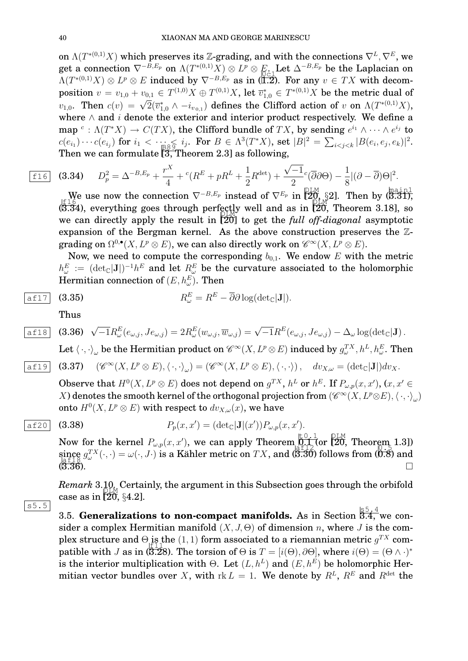on  $\Lambda(T^{*(0,1)}X)$  which preserves its Z-grading, and with the connections  $\nabla^L, \nabla^E$ , we get a connection  $\nabla^{-B,E_p}$  on  $\Lambda(T^{*(0,1)}X)\otimes L^p\otimes E_{\bullet}$ . Let  $\Delta^{-B,E_p}$  be the Laplacian on  $\Lambda(T^{*(0,1)}X) \otimes L^p \otimes E$  induced by  $\nabla^{-B,E_p}$  as in (1.2). For any  $v \in TX$  with decomposition  $v=v_{1,0}+v_{0,1}\in T^{(1,0)}X\oplus T^{(0,1)}X,$  let  $\overline{v}^*_{1,0}\in T^{*(0,1)}X$  be the metric dual of position  $v = v_{1,0} + v_{0,1} \in T \cup X \oplus T \cup X$ , let  $v_{1,0} \in T \cup X$  be the lifted action of v on  $\Lambda(T^{*(0,1)}X)$ ,<br>  $v_{1,0}$ . Then  $c(v) = \sqrt{2}(\overline{v}_{1,0}^* \wedge -i_{v_{0,1}})$  defines the Clifford action of v on  $\Lambda(T^{*(0,1)}X)$ , where  $\wedge$  and i denote the exterior and interior product respectively. We define a map  $c: \Lambda(T^*X) \to C(TX)$ , the Clifford bundle of  $TX$ , by sending  $e^{i_1} \wedge \cdots \wedge e^{i_j}$  to  $c(e_{i_1}) \cdots c(e_{i_j})$  for  $i_1 < \cdots \leq i_j$ . For  $B \in \Lambda^3(T^*X)$ , set  $|B|^2 = \sum_{i < j < k} |B(e_i, e_j, e_k)|^2$ . Then we can formulate  $\tilde{[3,1]}$ heorem 2.3] as following,

$$
\text{15} \quad \text{(3.34)} \quad D_p^2 = \Delta^{-B,E_p} + \frac{r^X}{4} + \,^c(R^E + pR^L + \frac{1}{2}R^{\text{det}}) + \frac{\sqrt{-1}}{2} \,^c(\overline{\partial}\partial\Theta) - \frac{1}{8} |(\partial - \overline{\partial})\Theta|^2.
$$

We use now the connection  $\nabla^{-B,E_p}$  instead of  $\nabla^{E_p}$  in  $\overline{\mathcal{Q}_{\mathcal{Q},\ S}^{\text{PLM}}}$  (3.31), (3.34), everything goes through perfectly well and as in  $[20,$  Theorem 3.18], so<br>(3.34), everything goes through perfectly well and as in  $[20,$  Theorem 3.18], so we can directly apply the result in [20] to get the *full off-diagonal* asymptotic expansion of the Bergman kernel. As the above construction preserves the Zgrading on  $\Omega^{0,\bullet}(X,L^p\otimes E),$  we can also directly work on  $\mathscr{C}^\infty(X,L^p\otimes E).$ 

Now, we need to compute the corresponding  $b_{0,1}$ . We endow E with the metric  $h^E_\omega\ :=\ (\text{det}_\mathbb{C}[\mathbf{J}])^{-1}h^E$  and let  $R^E_\omega$  be the curvature associated to the holomorphic Hermitian connection of  $(E,h_\omega^E).$  Then

$$
R_{\omega}^{E} = R^{E} - \overline{\partial} \partial \log(\det_{\mathbb{C}}|\mathbf{J}|).
$$

Thus

$$
\boxed{\text{a} \pm 18} \quad \text{(3.36)} \quad \sqrt{-1} R^E_\omega(e_{\omega,j},Je_{\omega,j}) = 2 R^E_\omega(w_{\omega,j},\overline{w}_{\omega,j}) = \sqrt{-1} R^E(e_{\omega,j},Je_{\omega,j}) - \Delta_\omega \log(\det_{\mathbb{C}}|\mathbf{J}).
$$

Let  $\langle\,\cdot,\cdot\rangle_\omega$  be the Hermitian product on  $\mathscr{C}^\infty(X,L^p\otimes E)$  induced by  $g^{TX}_\omega,h^L,h^E_\omega.$  Then

$$
\boxed{\text{aff19}} \quad \textbf{(3.37)} \quad (\mathscr{C}^\infty(X, L^p\otimes E), \langle \cdot, \cdot \rangle_\omega) = (\mathscr{C}^\infty(X, L^p\otimes E), \langle \cdot, \cdot \rangle) \,, \quad dv_{X,\omega} = (\text{det}_{\mathbb{C}}|\mathbf{J}|) dv_X.
$$

Observe that  $H^0(X, L^p \otimes E)$  does not depend on  $g^{TX}$ ,  $h^L$  or  $h^E$ . If  $P_{\omega, p}(x, x'),$   $(x, x' \in E)$ X) denotes the smooth kernel of the orthogonal projection from  $(\mathscr{C}^{\infty}(X, L^p\otimes E),\langle\,\cdot\,,\cdot\rangle_{\omega})$ onto  $H^0(X, L^p\otimes E)$  with respect to  $dv_{X,\omega}(x),$  we have

$$
\overline{\text{af20}} \quad \textbf{(3.38)} \qquad P_p(x, x') = (\text{det}_{\mathbb{C}}|\mathbf{J}|(x')) P_{\omega, p}(x, x').
$$

Now for the kernel  $P_{\omega,p}(x,x')$ , we can apply Theorem  $\mathbb{R}^{0.1}_{++}$  (or  $\mathbb{Z}^{0.1}_{0.0}$  Theorem 1.3]) since  $g_{\omega}^{TX}(\cdot,\cdot) = \omega(\cdot,J\cdot)$  is a Kähler metric on  $TX$ , and  $(\overline{3.30})$  follows from  $(\overline{0.8})$  and  $(\overline{3.36})$ .  $(\overline{3.36})$ .

*Remark* 3.10*.* Certainly, the argument in this Subsection goes through the orbifold case as in  $\left[20, \frac{64.2}{64.2}\right]$ .

3.5. **Generalizations to non-compact manifolds.** As in Section  $\overline{3.4}$ , we consider a complex Hermitian manifold  $(X, J, \Theta)$  of dimension n, where J is the complex structure and  $\Theta$  is the  $(1, 1)$  form associated to a riemannian metric  $g^{TX}$  compatible with J as in (3.28). The torsion of  $\Theta$  is  $T=[i(\Theta),\partial\Theta],$  where  $i(\Theta)=(\Theta\wedge\cdot)^*$ is the interior multiplication with  $\Theta$ . Let  $(L, h^L)$  and  $(E, h^E)$  be holomorphic Hermitian vector bundles over X, with  $\text{rk } L = 1$ . We denote by  $R^L$ ,  $R^E$  and  $R^{\text{det}}$  the

$$
\mathcal{L}(\mathcal{A})
$$

s5.5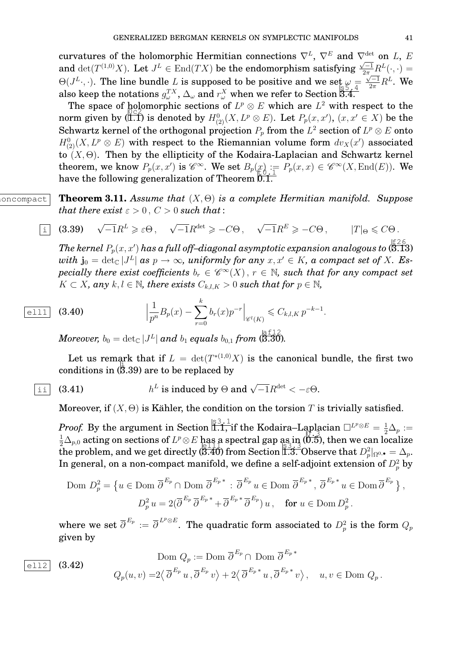curvatures of the holomorphic Hermitian connections  $\nabla^L$ ,  $\nabla^E$  and  $\nabla^{\text{det}}_{\overline{C}}$  on L, E and  $\det(T^{(1,0)}X)$ . Let  $J^L \in \text{End}(TX)$  be the endomorphism satisfying  $\frac{\sqrt{-1}}{2\pi}R^L(\cdot, \cdot)$  =  $\Theta(J^L,\cdot)$ . The line bundle L is supposed to be positive and we set  $\omega =$  $\frac{\sqrt{-1}}{2\pi}R^L$ . We also keep the notations  $g_{\omega}^{TX}$ ,  $\Delta_{\omega}$  and  $r_{\omega}^{X}$  when we refer to Section 3.4.

The space of holomorphic sections of  $L^p \otimes E$  which are  $L^2$  with respect to the norm given by (I.1) is denoted by  $H^0_{(2)}(X, L^p \otimes E)$ . Let  $P_p(x, x')$ ,  $(x, x' \in X)$  be the Schwartz kernel of the orthogonal projection  $P_p$  from the  $L^2$  section of  $L^p\otimes E$  onto  $H^0_{(2)}(X,L^p\otimes E)$  with respect to the Riemannian volume form  $dv_X(x')$  associated to  $(X, \Theta)$ . Then by the ellipticity of the Kodaira-Laplacian and Schwartz kernel theorem, we know  $P_p(x, x')$  is  $\mathscr{C}^{\infty}$ . We set  $B_p(x) := P_p(x, x) \in \mathscr{C}^{\infty}(X, \text{End}(E))$ . We have the following generalization of Theorem  $\overline{0.1}$ .

 $\overline{\text{concompact}}$  **Theorem 3.11.** *Assume that*  $(X, \Theta)$  *is a complete Hermitian manifold. Suppose that there exist*  $\varepsilon > 0$ ,  $C > 0$  *such that*:

$$
\text{i} \quad (3.39) \quad \sqrt{-1}R^L \geq \varepsilon \Theta \,, \quad \sqrt{-1}R^{\det} \geq -C\Theta \,, \quad \sqrt{-1}R^E \geq -C\Theta \,, \qquad |T|_{\Theta} \leq C\Theta \,.
$$

 $\emph{The kernel $P_p(x,x)$ has a full off-diagonal asymptotic expansion analogous to $(\overline{\bf 3}.{\bf 13})$}$  $with\,\, {\bf j}_0=\det_{\mathbb C} |J^L|\,\, {\rm as}\,\, p\to\infty,\,\, uniformly\,\, for\,\,any\,\, x,x'\in K,\, a\,\,compact\,\,set\,\, of\,\, X.\,\, Es\cdot$  $\emph{pecially there exist coefficients} \ b_r \in \mathscr{C}^\infty(X) \, , \, r \, \in \, \mathbb{N}, \, \text{such that for any compact set}$  $K \subset X$ , any  $k, l \in \mathbb{N}$ , there exists  $C_{k,l,K} > 0$  such that for  $p \in \mathbb{N}$ ,

$$
\boxed{\text{ell11}} \quad \textbf{(3.40)} \qquad \qquad \Big| \frac{1}{p^n} B_p(x) - \sum_{r=0}^k b_r(x) p^{-r} \Big|_{\mathscr{C}^l(K)} \leqslant C_{k,l,K} p^{-k-1}.
$$

 $Moreover, \ b_0=\det_\mathbb C|J^L|$  and  $b_1$  equals  $b_{0,1}$  from  $(\stackrel{\text{def12}}{\text{3.30}})$ .

Let us remark that if  $L = det(T^{*(1,0)}X)$  is the canonical bundle, the first two conditions in  $(\overline{3}.39)$  are to be replaced by

$$
\text{ii} \quad \text{(3.41)} \qquad \qquad h^L \text{ is induced by } \Theta \text{ and } \sqrt{-1} R^{\text{det}} < -\varepsilon \Theta.
$$

Moreover, if  $(X, \Theta)$  is Kähler, the condition on the torsion T is trivially satisfied.

*Proof.* By the argument in Section  $\left| \prod_{i=1}^{S_3} \prod_{j=1}^{S_4}$  if the Kodaira–Laplacian  $\square^{L^p \otimes E} = \frac{1}{2} \Delta_p :=$  $\frac12\Delta_{p,0}$  acting on sections of  $L^p\otimes E$  has a spectral gap as in  $(\breve{\eth}. \breve{\eth})$ , then we can localize  $\frac{1}{2}$   $\frac{1}{2}$  p,0 acting on sections of  $E$   $\otimes E$  having spectral gap assists (8.3), then we can ideallize In general, on a non-compact manifold, we define a self-adjoint extension of  $D_p^2$  by

$$
\text{Dom } D_p^2 = \left\{ u \in \text{Dom } \overline{\partial}^{E_p} \cap \text{Dom } \overline{\partial}^{E_p}^* : \overline{\partial}^{E_p} u \in \text{Dom } \overline{\partial}^{E_p}^*, \overline{\partial}^{E_p}^* u \in \text{Dom } \overline{\partial}^{E_p} \right\},\
$$
\n
$$
D_p^2 u = 2(\overline{\partial}^{E_p} \overline{\partial}^{E_p}^* + \overline{\partial}^{E_p}^* \overline{\partial}^{E_p}) u, \quad \text{for } u \in \text{Dom } D_p^2.
$$

where we set  $\overline{\partial}^{E_p}:=\overline{\partial}^{\, L^p\otimes E}.$  The quadratic form associated to  $D^2_p$  is the form  $Q_p$ given by

$$
\text{Dom } Q_p := \text{Dom } \overline{\partial}^{E_p} \cap \text{ Dom } \overline{\partial}^{E_p}^*
$$
\n
$$
\text{(3.42)} \qquad Q_p(u, v) = 2 \langle \overline{\partial}^{E_p} u, \overline{\partial}^{E_p} v \rangle + 2 \langle \overline{\partial}^{E_p}^* u, \overline{\partial}^{E_p}^* v \rangle, \quad u, v \in \text{Dom } Q_p.
$$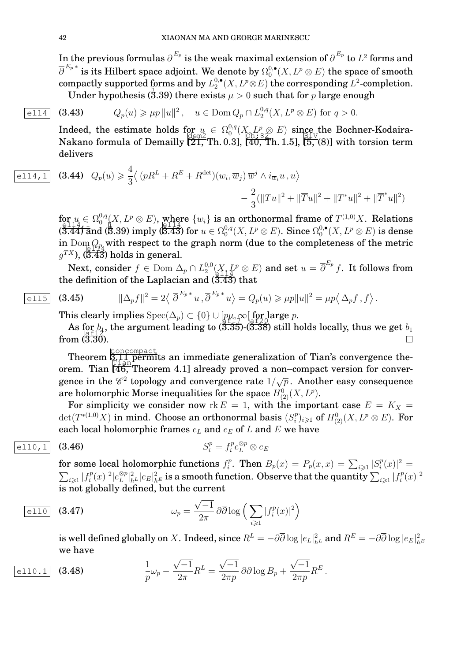In the previous formulas  $\overline{\partial}^{\, E_{p}}$  is the weak maximal extension of  $\overline{\partial}^{\, E_{p}}$  to  $L^2$  forms and  $\overline{\partial}^{\,E_{p}\,*}$  is its Hilbert space adjoint. We denote by  $\Omega_{0}^{0,\bullet}$  $_{0}^{0,\bullet}(X,L^{p}\otimes E)$  the space of smooth compactly supported forms and by  $L_2^{0,\bullet}$ forms and by  $L_2^{0,\bullet}(X,L^p\otimes E)$  the corresponding  $L^2$ -completion. Under hypothesis (5.39) there exists  $\mu>0$  such that for  $p$  large enough

$$
\boxed{\text{ell14}} \quad (3.43) \quad Q_p(u) \ge \mu p \|u\|^2 \,, \quad u \in \text{Dom}\, Q_p \cap L_2^{0,q}(X, L^p \otimes E) \text{ for } q > 0.
$$

Indeed, the estimate holds for  $u_{\alpha} \in \Omega_0^{0,q}$  $\int_0^{0,q}(X_{\Omega},L^p_{\otimes}\otimes E)$  since the Bochner-Kodaira-Makano formula of Demailly  $\left[\frac{100}{21}, \text{Th. 0.3}\right]$ ,  $\left[\frac{40}{40}, \text{Th. 1.5}\right]$ ,  $\left[\frac{1}{5}, \text{(8)}\right]$  with torsion term delivers

$$
\overline{e114,1} \quad (3.44) \quad Q_p(u) \geq \frac{4}{3} \langle (pR^L + R^E + R^{\text{det}})(w_i, \overline{w}_j) \, \overline{w}^j \wedge i_{\overline{w}_i} u \, , u \rangle
$$

$$
- \frac{2}{3} (\|Tu\|^2 + \|\overline{T}u\|^2 + \|T^*u\|^2 + \|\overline{T}^*u\|^2)
$$

for  $u \in \Omega_0^{0,q}$  $\int_0^{0,q} (X, L^p \otimes E),$  where  $\{w_i\}$  is an orthonormal frame of  $T^{(1,0)}X$ . Relations  $\frac{12}{14}$ ,  $\frac{1}{2}$ ,  $\frac{1}{2}$ ,  $\frac{1}{2}$ ,  $\frac{1}{2}$ ,  $\frac{1}{2}$ ,  $\frac{1}{2}$ ,  $\frac{1}{2}$ ,  $\frac{1}{2}$ ,  $\frac{1}{2}$ ,  $\frac{1}{2}$ ,  $\frac{1}{2}$ ,  $\frac{1}{2}$ ,  $\frac{1}{2}$ ,  $\frac{1}{2}$ ,  $\frac{1}{2}$ ,  $\frac{1}{2}$ ,  $\frac{1}{2}$ ,  $\frac{1}{2}$ ,  $\frac{1}{2}$ ,  $_0^{0,q}(X,L^p\otimes E).$  Since  $\Omega_0^{0,\bullet}$  $_0^{0,\bullet}(X,L^p\otimes E)$  is dense in Dom  $Q_{p_1}$  with respect to the graph norm (due to the completeness of the metric  $g^{TX}$ ), (3.43) holds in general.

Next, consider  $f \in {\rm Dom} \; \Delta_p \cap L_2^{0,0}$  $\partial_2^{0,0}(X, L^p \otimes E)$  and set  $u = \overline{\partial}^{E_p} f$ . It follows from the definition of the Laplacian and  $(\overline{3.43})$  that

$$
|e115|
$$

$$
\text{ell 15} \quad \text{(3.45)} \qquad \|\Delta_p f\|^2 = 2 \langle \overline{\partial}^{E_p * u}, \overline{\partial}^{E_p * u} \rangle = Q_p(u) \geqslant \mu p \|u\|^2 = \mu p \langle \Delta_p f, f \rangle.
$$

This clearly implies  $Spec(\Delta_p) \subset \{0\} \cup \left[\begin{subarray}{c} p\mu, \infty \\ \frac{p+1}{2} \end{subarray} \right]$  for large p.

As for  $b_1$ , the argument leading to (3.35)-(3.38) still holds locally, thus we get  $b_1$  $\lim_{\substack{a \text{if } 12 \text{if } a \leq 12 \text{if } a \leq 16}}$  $\frac{3.36}{3.30}$ .

**Theorem a**<sub>n</sub>oncompact an immediate generalization of Tian's convergence theorem. Tian [46, Theorem 4.1] already proved a non–compact version for convergence in the  $\mathscr{C}^2$  topology and convergence rate  $1/\sqrt{p}$ . Another easy consequence are holomorphic Morse inequalities for the space  $H^0_{(2)}(X,L^p).$ 

For simplicity we consider now rk  $E = 1$ , with the important case  $E = K_X =$  $\det(T^{*(1,0)}X)$  in mind. Choose an orthonormal basis  $(S_i^p)$  $(\mathop{i}\limits^p)_{i\geqslant 1}$  of  $H^0_{(2)}(X,L^p\otimes E).$  For each local holomorphic frames  $e_L$  and  $e_E$  of  $L$  and  $E$  we have

$$
\boxed{e110,1} \quad (3.46) \qquad \qquad S_i^p = f_i^p e_L^{\otimes p} \otimes e_E
$$

for some local holomorphic functions  $f_i^p$  $E_i^p$ . Then  $B_p(x) = P_p(x, x) = \sum_{i \geq 1} |S_i^p|$  $\binom{p}{i}(x)|^2 =$  $\sum_{i\geqslant 1} |f_i^p$  $\binom{p}{i}(x)|^2 \geq e^{\otimes p}$  $\|L^{(2)}\|_{h^L}|e_E|^2_{h^E}$  is a smooth function. Observe that the quantity  $\sum_{i\geqslant 1}|f^p_i\rangle$  $\binom{p}{i}(x)|^2$ is not globally defined, but the current

$$
\boxed{\text{ell 10}} \quad \text{(3.47)} \qquad \qquad \omega_p = \frac{\sqrt{-1}}{2\pi} \,\partial \overline{\partial} \log \Big( \sum_{i \geqslant 1} |f_i^p(x)|^2 \Big)
$$

is well defined globally on  $X.$  Indeed, since  $R^L=-\partial\overline{\partial}\log|e_L|^2_{h^L}$  and  $R^E=-\partial\overline{\partial}\log|e_E|^2_{h^E}$ we have √ √ √

$$
\frac{1}{p}\omega_p - \frac{\sqrt{-1}}{2\pi}R^L = \frac{\sqrt{-1}}{2\pi p}\partial\overline{\partial}\log B_p + \frac{\sqrt{-1}}{2\pi p}R^E.
$$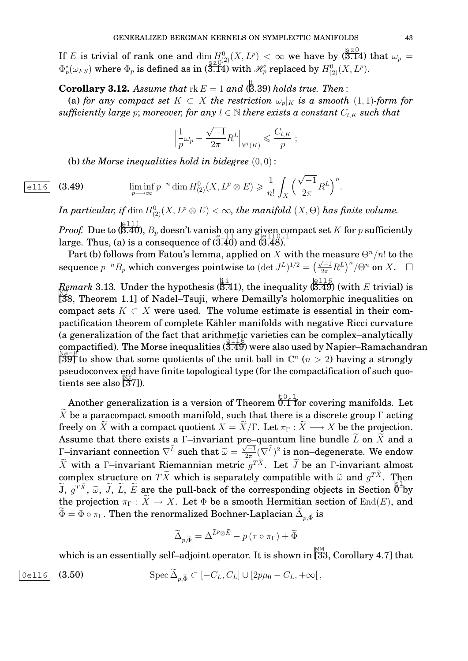If E is trivial of rank one and  $\dim_{\mathbb{R}^2} H^0_{(2)}(X, L^p) < \infty$  we have by  $\bigotimes_{S=1}^{\infty} (3.14)$  that  $\omega_p =$  $\Phi_p^*(\omega_{FS})$  where  $\Phi_p$  is defined as in (3.14) with  $\mathcal{H}_p$  replaced by  $H^0_{(2)}(X, L^p)$ .

**Corollary 3.12.** Assume that  $\text{rk } E = 1$  and  $(\stackrel{\text{i}}{\mathbf{8}}.39)$  holds true. Then :

(a) *for any compact set*  $K \subset X$  *the restriction*  $\omega_p|_K$  *is a smooth* (1, 1)*-form for sufficiently large* p; *moreover, for any*  $l \in \mathbb{N}$  *there exists a constant*  $C_{l,K}$  *such that* 

$$
\left|\frac{1}{p}\omega_p - \frac{\sqrt{-1}}{2\pi}R^L\right|_{\mathscr{C}^l(K)} \leqslant \frac{C_{l,K}}{p} ;
$$

(b) *the Morse inequalities hold in bidegree*  $(0,0)$ :

$$
\text{ell 6} \quad \text{(3.49)} \qquad \liminf_{p \longrightarrow \infty} p^{-n} \dim H_{(2)}^0(X, L^p \otimes E) \geq \frac{1}{n!} \int_X \left(\frac{\sqrt{-1}}{2\pi} R^L\right)^n.
$$

 $I$ n particular, if  $\dim H_{(2)}^{0}(X, L^{p}\otimes E)<\infty$ , the manifold  $(X,\Theta)$  has finite volume.

*Proof.* Due to  $(\overline{3.40})$ ,  $B_p$  doesn't vanish on any given compact set K for p sufficiently large. Thus, (a) is a consequence of  $(\overline{3.40})$  and  $(\overline{3.48})$ .

Part (b) follows from Fatou's lemma, applied on X with the measure  $\Theta^n/n!$  to the sequence  $p^{-n}B_p$  which converges pointwise to  $(\det J^L)^{1/2} = \left(\frac{\sqrt{-1}}{2\pi}R^L\right)^n/\Theta^n$  on X.  $\square$ 

*Remark* 3.13. Under the hypothesis  $(\overline{3.41})$ , the inequality  $(\overline{3.49})$  (with E trivial) is [38, Theorem 1.1] of Nadel–Tsuji, where Demailly's holomorphic inequalities on compact sets  $K \subset X$  were used. The volume estimate is essential in their compactification theorem of complete Kähler manifolds with negative Ricci curvature (a generalization of the fact that arithmetic varieties can be complex–analytically compactified). The Morse inequalities  $(\overline{3.49})$  were also used by Napier–Ramachandran  $\mathbb{R}^{2\times K}$ .  $\sqrt{39}$  to show that some quotients of the unit ball in  $\mathbb{C}^n$  ( $n > 2$ ) having a strongly pseudoconvex end have finite topological type (for the compactification of such quo- $\frac{M_Y}{N}$  tients see also  $\frac{M_Y}{N}$ .

Another generalization is a version of Theorem  $\stackrel{\verb|E[0,1]}{0.1}$  for covering manifolds. Let X be a paracompact smooth manifold, such that there is a discrete group  $\Gamma$  acting freely on  $\tilde{X}$  with a compact quotient  $X = \tilde{X}/\Gamma$ . Let  $\pi_{\Gamma}: \tilde{X} \longrightarrow X$  be the projection. Assume that there exists a  $\Gamma$ –invariant pre–quantum line bundle  $\tilde{L}$  on  $\tilde{X}$  and a Γ–invariant connection  $\nabla^L$  such that  $\widetilde{\omega} = \widetilde{\widetilde{\omega}}$  $\sqrt{-1}$  $\frac{\sqrt{-1}}{2\pi}(\nabla^L)^2$  is non–degenerate. We endow X with a Γ–invariant Riemannian metric  $g^{TX}$ . Let J be an Γ-invariant almost complex structure on  $TX$  which is separately compatible with  $\tilde{\omega}$  and  $g^{TX}$ . Then<br> $\tilde{L}e^{T\tilde{X}}\tilde{\omega}\tilde{\omega}\tilde{L}$ ,  $\tilde{L}e^{T\tilde{X}}$  are the pull heck of the corresponding chiests in Section  $\widetilde{J}$ ,  $g^{T\widetilde{X}}$ ,  $\widetilde{\omega}$ ,  $\widetilde{J}$ ,  $\widetilde{L}$ ,  $\widetilde{E}$  are the pull-back of the corresponding objects in Section  $\overline{0}$  by<br>the presistion  $\overline{\sigma}$  of  $\widetilde{X}$  of  $X$ , Let  $\overline{\phi}$  be a smooth Hermitian sec the projection  $\pi_{\Gamma}: \widetilde{X} \to X$ . Let  $\Phi$  be a smooth Hermitian section of End(E), and  $\Phi = \Phi \circ \pi_{\Gamma}.$  Then the renormalized Bochner-Laplacian  $\Delta_{p, \widetilde{\Phi}}$  is

$$
\widetilde{\Delta}_{p,\widetilde{\Phi}} = \Delta^{\widetilde{L}^p \otimes \widetilde{E}} - p(\tau \circ \pi_{\Gamma}) + \widetilde{\Phi}
$$

which is an essentially self–adjoint operator. It is shown in  $\hat{\mathbb{I}}_{33}^\mathbb{M}$ , Corollary 4.7] that

$$
\text{Oe116} \quad \textbf{(3.50)} \qquad \qquad \text{Spec } \widetilde{\Delta}_{p,\widetilde{\Phi}} \subset [-C_L, C_L] \cup [2p\mu_0 - C_L, +\infty[,
$$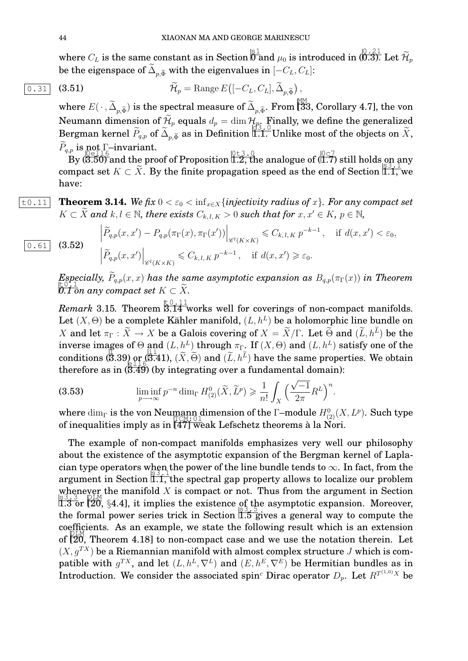where  $C_L$  is the same constant as in Section  $\overline{\overset{{\rm S1}}{\text{0}}}$  and  $\mu_0$  is introduced in ( $\overline{\overset{{\rm S2.1}}{\text{0.3}}}$  Let  $\widetilde{\mathcal{H}}_p$ be the eigenspace of  $\Delta_{p, \widetilde{\Phi}}$  with the eigenvalues in  $[-C_L, C_L]$ :

$$
\widetilde{\mathcal{H}}_p = \text{Range } E\big([-C_L, C_L], \widetilde{\Delta}_{p, \widetilde{\Phi}}\big),
$$

where  $E(\,\cdot\,,\widetilde{\Delta}_{p,\widetilde{\Phi}})$  is the spectral measure of  $\widetilde{\Delta}_{p,\widetilde{\Phi}}.$  From [33, Corollary 4.7], the von Neumann dimension of  $\mathcal{H}_p$  equals  $d_p = \dim \mathcal{H}_p$ . Finally, we define the generalized Bergman kernel  $P_{q,p}$  of  $\Delta_{p,\widetilde{\Phi}}$  as in Definition  $\widetilde{\mathbb{I}.\mathbf{1.}}$  Unlike most of the objects on  $X,$  $\widetilde{P}_{q,p}$  is not Γ–invariant.

 $\mathcal{B}$  is  $\mathcal{O}^{11}_{\mathbf{C}}$  invariant.<br>By (3.50) and the proof of Proposition 1.2, the analogue of (1.7) still holds on any compact set  $K \subset \tilde{X}$ . By the finite propagation speed as the end of Section 1.1, we have:

# $\boxed{\text{t0.11}}$  **Theorem 3.14.** *We fix* 0 <  $\varepsilon_0$  < inf<sub>*x*∈X</sub> {*injectivity radius of x*}. *For any compact set*  $K \subset \tilde{X}$  and  $k, l \in \mathbb{N}$ , there exists  $C_{k,l,K} > 0$  such that for  $x, x' \in K$ ,  $p \in \mathbb{N}$ ,

 $\overline{0.61}$  (3.52)

$$
\left| \widetilde{P}_{q,p}(x,x') - P_{q,p}(\pi_{\Gamma}(x), \pi_{\Gamma}(x')) \right|_{\mathscr{C}^l(K \times K)} \leq C_{k,l,K} p^{-k-1}, \quad \text{if } d(x,x') < \varepsilon_0,
$$
  

$$
\left| \widetilde{P}_{q,p}(x,x') \right|_{\mathscr{C}^l(K \times K)} \leq C_{k,l,K} p^{-k-1}, \quad \text{if } d(x,x') \geq \varepsilon_0.
$$

*Especially,*  $\widetilde{P}_{q,p}(x, x)$  *has the same asymptotic expansion as*  $B_{q,p}(\pi_{\Gamma}(x))$  *in Theorem*  $\overline{t}$ <sup>0.1</sup>  $\overline{t}$  on any compact set  $K \subset \widetilde{X}$ .

 $Remark$  3.15. Theorem  $\overset{\text{t}{0}\cdot 11}\over{3.14}$  works well for coverings of non-compact manifolds. Let  $(X, \Theta)$  be a complete Kähler manifold,  $(L, h^L)$  be a holomorphic line bundle on X and let  $\pi_{\Gamma}: X \to X$  be a Galois covering of  $X = X/\Gamma$ . Let  $\Theta$  and  $(L, h^L)$  be the inverse images of  $\Theta$  and  $(L,h^L)$  through  $\pi_\Gamma.$  If  $(X,\Theta)$  and  $(L,h^L)$  satisfy one of the conditions (3.39) or (3.41),  $(\tilde{X}, \tilde{\Theta})$  and  $(\tilde{L}, h^{\tilde{L}})$  have the same properties. We obtain therefore as in  $(3.49)$  (by integrating over a fundamental domain):

(3.53) 
$$
\liminf_{p \to \infty} p^{-n} \dim_{\Gamma} H_{(2)}^0(\widetilde{X}, \widetilde{L}^p) \geq \frac{1}{n!} \int_X \left(\frac{\sqrt{-1}}{2\pi} R^L\right)^n.
$$

where  $\dim_{\Gamma}$  is the von Neumann dimension of the Γ–module  $H^0_{(2)}(X, L^p)$ . Such type of inequalities imply as in  $[47]$  weak Lefschetz theorems à la Nori.

The example of non-compact manifolds emphasizes very well our philosophy about the existence of the asymptotic expansion of the Bergman kernel of Laplacian type operators when the power of the line bundle tends to  $\infty$ . In fact, from the argument in Section  $\overline{1,1}$ , the spectral gap property allows to localize our problem whenever the manifold X is compact or not. Thus from the argument in Section  $\tilde{1.3}$  or  $\tilde{20}$ , §4.4], it implies the existence of the asymptotic expansion. Moreover, the formal power series trick in Section  $\frac{13}{1.5}$  gives a general way to compute the coefficients. As an example, we state the following result which is an extension of  $[20,$  Theorem 4.18] to non-compact case and we use the notation therein. Let  $(X, g^{TX})$  be a Riemannian manifold with almost complex structure J which is compatible with  $g^{TX}$ , and let  $(L, h^L, \nabla^L)$  and  $(E, h^E, \nabla^E)$  be Hermitian bundles as in Introduction. We consider the associated spin<sup>c</sup> Dirac operator  $D_p$ . Let  $R^{T^{(1,0)}X}$  be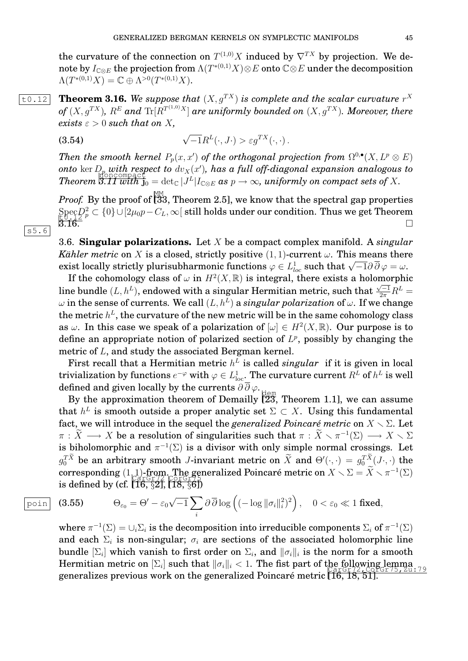the curvature of the connection on  $T^{(1,0)}X$  induced by  $\nabla^{TX}$  by projection. We denote by  $I_{\mathbb{C}\otimes E}$  the projection from  $\Lambda(T^{*(0,1)}X)\otimes E$  onto  $\mathbb{C}\otimes E$  under the decomposition  $\Lambda(T^{*(0,1)}X) = \mathbb{C} \oplus \Lambda^{>0}(T^{*(0,1)}X).$ 

 $\overline{t\!0.12}$  **Theorem 3.16.** We suppose that  $(X, g^{TX})$  is complete and the scalar curvature  $r^X$ of  $(X,g^{TX})$ ,  $R^E$  and  $\mathrm{Tr}[R^{T^{(1,0)}X}]$  are uniformly bounded on  $(X,g^{TX})$ . Moreover, there *exists*  $\varepsilon > 0$  *such that on* X,

(3.54) 
$$
\sqrt{-1}R^{L}(\cdot, J\cdot) > \varepsilon g^{TX}(\cdot, \cdot).
$$

Then the smooth kernel  $P_p(x,x')$  of the orthogonal projection from  $\Omega^{0,\bullet}(X,L^p\otimes E)$ onto  $\ker D_p$  with respect to  $dv_X(x')$ , has a full off-diagonal expansion analogous to *Theorem*  $\overline{3.11}$  with  $\overline{j_0}$  = det<sub>C</sub> |J<sup>L</sup>|I<sub>C⊗E</sub> as  $p \to \infty$ , uniformly on compact sets of X.

*Proof*. By the proof of  $\hat{\mathbb{S}}^{33}$ , Theorem 2.5], we know that the spectral gap properties  $\operatorname{Spec} D^2_p \subset \{0\} \cup [2\mu_0 p - C_L, \infty[$  still holds under our condition. Thus we get Theorem  $\frac{1}{3.16}$ .

3.6. **Singular polarizations.** Let X be a compact complex manifold. A *singular Kähler metric* on X is a closed, strictly positive  $(1, 1)$ -current  $\omega$ . This means there Exist locally strictly plurisubharmonic functions  $\varphi \in L^1_{loc}$  such that  $\sqrt{-1}\partial\overline{\partial} \varphi = \omega$ .

If the cohomology class of  $\omega$  in  $H^2(X,\mathbb{R})$  is integral, there exists a holomorphic line bundle  $(L, h^L)$ , endowed with a singular Hermitian metric, such that  $\frac{\sqrt{-1}}{2\pi}R^L=$  $\omega$  in the sense of currents. We call  $(L,h^L)$  a  $singular\ polarization$  of  $\omega.$  If we change the metric  $h^L$ , the curvature of the new metric will be in the same cohomology class as  $\omega$ . In this case we speak of a polarization of  $[\omega] \in H^2(X,\mathbb{R})$ . Our purpose is to define an appropriate notion of polarized section of  $L^p$ , possibly by changing the metric of L, and study the associated Bergman kernel.

First recall that a Hermitian metric  $h^L$  is called *singular* if it is given in local trivialization by functions  $e^{-\varphi}$  with  $\varphi\in L^1_{\rm loc}.$  The curvature current  $R^L$  of  $h^L$  is well defined and given locally by the currents  $\partial \overline{\partial} \varphi$ .

By the approximation theorem of Demailly  $\left[23, 23\right]$  Theorem 1.1, we can assume that  $h^L$  is smooth outside a proper analytic set  $\Sigma \subset X$ . Using this fundamental fact, we will introduce in the sequel the *generalized Poincaré metric* on  $X \setminus \Sigma$ . Let  $\pi : \widetilde{X} \longrightarrow X$  be a resolution of singularities such that  $\pi : \widetilde{X} \smallsetminus \pi^{-1}(\Sigma) \longrightarrow X \smallsetminus \Sigma$ is biholomorphic and  $\pi^{-1}(\Sigma)$  is a divisor with only simple normal crossings. Let  $g_0^{TX}$  be an arbitrary smooth *J*-invariant metric on  $\tilde{X}$  and  $\Theta'(\cdot, \cdot) = g_0^{TX}(J \cdot, \cdot)$  the corresponding  $(1,1)$ -from. The generalized Poincaré metric on  $X \setminus \Sigma = \widetilde{X} \setminus \pi^{-1}(\Sigma)$ is defined by (cf.  $\left[ \widehat{16}, \widehat{52} \right]$ ,  $\left[ \widehat{18}, \widehat{56} \right]$ )

 $|$  poin  $|$  (3.5)

 $|s5.6|$ 

$$
\Theta_{\varepsilon_0} = \Theta' - \varepsilon_0 \sqrt{-1} \sum_i \partial \overline{\partial} \log \left( (-\log \|\sigma_i\|_i^2)^2 \right), \quad 0 < \varepsilon_0 \ll 1 \text{ fixed},
$$

where  $\pi^{-1}(\Sigma)=\cup_i\Sigma_i$  is the decomposition into irreducible components  $\Sigma_i$  of  $\pi^{-1}(\Sigma)$ and each  $\Sigma_i$  is non-singular;  $\sigma_i$  are sections of the associated holomorphic line bundle  $[\Sigma_i]$  which vanish to first order on  $\Sigma_i$ , and  $\|\sigma_i\|_i$  is the norm for a smooth Hermitian metric on  $[\Sigma_i]$  such that  $\|\sigma_i\|_i < 1$ . The fist part of the following lemma<br>  $\sum_i \text{Cone}(\text{Cone}(\text{Cone}(\text{Cone}(\text{Cone}(\text{Cone}(\text{Cone}(\text{Cone}(\text{Cone}(\text{Cone}(\text{Cone}(\text{Cone}(\text{Cone}(\text{Cone}(\text{Cone}(\text{Cone}(\text{Cone}(\text{Cone}(\text{Cone}(\text{Cone}(\text{Cone}(\$ generalizes previous work on the generalized Poincaré metric  $[\![\tilde{16},\tilde{18},\tilde{51}]\!]$ .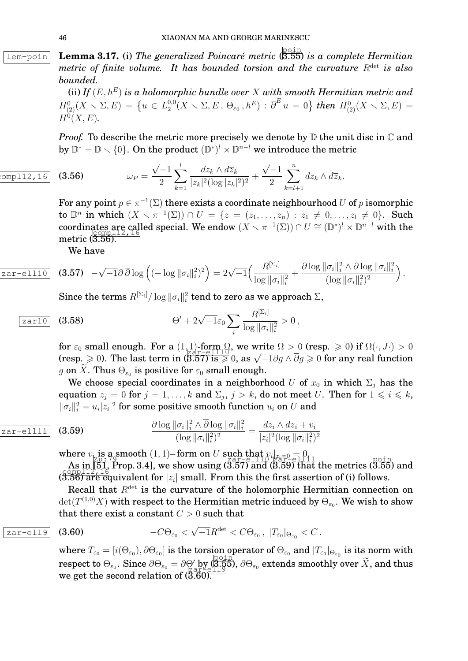**Lem-poin Lemma 3.17.** (i) The generalized Poincaré metric (3.55) is a complete Hermitian *metric of finite volume. It has bounded torsion and the curvature*  $R^{\text{det}}$  *is also bounded.*

> (ii) *If*  $(E, h^E)$  *is a holomorphic bundle over* X *with smooth Hermitian metric and*  $H^0_{(2)}(X \setminus \Sigma, E) = \{u \in L_2^{0,0}\}$  $\overline{\partial}_2^{0,0}(X\smallsetminus\Sigma,E\,,\,\Theta_{\varepsilon_0}\,,h^E)$  :  $\overline{\partial}^E\,u\,=\,0\big\}$  then  $H^0_{(2)}(X\smallsetminus\Sigma,E)\,=\,0$  $H^{0}(X, E)$ .

> *Proof.* To describe the metric more precisely we denote by  $D$  the unit disc in  $C$  and by  $\mathbb{D}^* = \mathbb{D} \setminus \{0\}$ . On the product  $(\mathbb{D}^*)^l \times \mathbb{D}^{n-l}$  we introduce the metric

(3.56) 
$$
\omega_P = \frac{\sqrt{-1}}{2} \sum_{k=1}^l \frac{dz_k \wedge d\overline{z}_k}{|z_k|^2 (\log |z_k|^2)^2} + \frac{\sqrt{-1}}{2} \sum_{k=l+1}^n dz_k \wedge d\overline{z}_k.
$$

For any point  $p \in \pi^{-1}(\Sigma)$  there exists a coordinate neighbourhood  $U$  of  $p$  isomorphic to  $\mathbb{D}^n$  in which  $(X \setminus \pi^{-1}(\Sigma)) \cap U = \{z = (z_1, \ldots, z_n) : z_1 \neq 0, \ldots, z_l \neq 0\}.$  Such coordinates are called special. We endow  $(X \setminus \pi^{-1}(\Sigma)) \cap U \cong (\mathbb{D}^*)^l \times \mathbb{D}^{n-l}$  with the metric ( 3.56).

We have

$$
\overline{\text{zar-ell110}} \quad \textbf{(3.57)} \quad -\sqrt{-1}\partial \overline{\partial} \log \left( (-\log \|\sigma_i\|_i^2)^2 \right) = 2\sqrt{-1} \Big( \frac{R^{[\Sigma_i]}}{\log \|\sigma_i\|_i^2} + \frac{\partial \log \|\sigma_i\|_i^2 \wedge \overline{\partial} \log \|\sigma_i\|_i^2}{(\log \|\sigma_i\|_i^2)^2} \Big) \, .
$$

Since the terms  $R^{[\Sigma_i]}/\log\|\sigma_i\|_i^2$  tend to zero as we approach  $\Sigma,$ 

$$
\boxed{\text{zart0}} \quad \textbf{(3.58)} \qquad \qquad \Theta' + 2\sqrt{-1}\varepsilon_0 \sum_i \frac{R^{[\Sigma_i]}}{\log \|\sigma_i\|_i^2} > 0 \,,
$$

for  $\varepsilon_0$  small enough. For a  $(1,1)$ -form  $\Omega$ , we write  $\Omega > 0$  (resp.  $\geq 0$ ) if  $\Omega(\cdot, J \cdot) > 0$ For  $\varepsilon_0$  small enough. For a  $(1,1)$ -lofth  $\Omega$ , we write  $\Omega > 0$  (resp.  $\geq 0$ ) if  $\Omega(\cdot, \nu) > 0$ <br>(resp.  $\geq 0$ ). The last term in (3.57) is  $\geq 0$ , as  $\sqrt{-1}\partial g \wedge \overline{\partial} g \geq 0$  for any real function g on X. Thus  $\Theta_{\varepsilon_0}$  is positive for  $\varepsilon_0$  small enough.

We choose special coordinates in a neighborhood U of  $x_0$  in which  $\Sigma_i$  has the equation  $z_j = 0$  for  $j = 1, ..., k$  and  $\Sigma_j$ ,  $j > k$ , do not meet U. Then for  $1 \leqslant i \leqslant k$ ,  $\|\sigma_i\|_i^2 = u_i |z_i|^2$  for some positive smooth function  $u_i$  on  $U$  and

$$
\frac{\partial \log \|\sigma_i\|_i^2 \wedge \overline{\partial} \log \|\sigma_i\|_i^2}{(\log \|\sigma_i\|_i^2)^2} = \frac{dz_i \wedge d\overline{z}_i + v_i}{|z_i|^2 (\log \|\sigma_i\|_i^2)^2}
$$

where  $v_i$  is a smooth  $(1,1)$ – form on U such that  $v_i|_{z_i=0} = 0$ ,<br> $z_i = -e1110$   $z_i = -e1111$ 

As in [51, Point of the show using  $(3.57)$  and  $(3.59)$  that the metrics  $(3.55)$  and  $\text{comp112}, 16$  $(3.56)$  are equivalent for  $|z_i|$  small. From this the first assertion of (i) follows.

Recall that  $R^{\text{det}}$  is the curvature of the holomorphic Hermitian connection on  $\det(T^{(1,0)}X)$  with respect to the Hermitian metric induced by  $\Theta_{\varepsilon_0}.$  We wish to show that there exist a constant  $C > 0$  such that

$$
\boxed{\text{zar-ell9}} \quad \textbf{(3.60)} \qquad \qquad -C\Theta_{\varepsilon_0} < \sqrt{-1}R^{\text{det}} < C\Theta_{\varepsilon_0}, \ |T_{\varepsilon_0}|_{\Theta_{\varepsilon_0}} < C.
$$

 $\text{where }T_{\varepsilon_0}=[i(\Theta_{\varepsilon_0}),\partial\Theta_{\varepsilon_0}] \text{ is the torsion operator of }\Theta_{\varepsilon_0} \text{ and } |T_{\varepsilon_0}|_{\Theta_{\varepsilon_0}} \text{ is its norm with }$ respect to  $\Theta_{\varepsilon_0}$ . Since  $\partial \Theta_{\varepsilon_0} = \partial \Theta'$  by  $(\overline{3.55})$ ,  $\partial \Theta_{\varepsilon_0}$  extends smoothly over  $\widetilde{X}$ , and thus we get the second relation of  $(\overline{3.60)}$ .

 $comp112,16$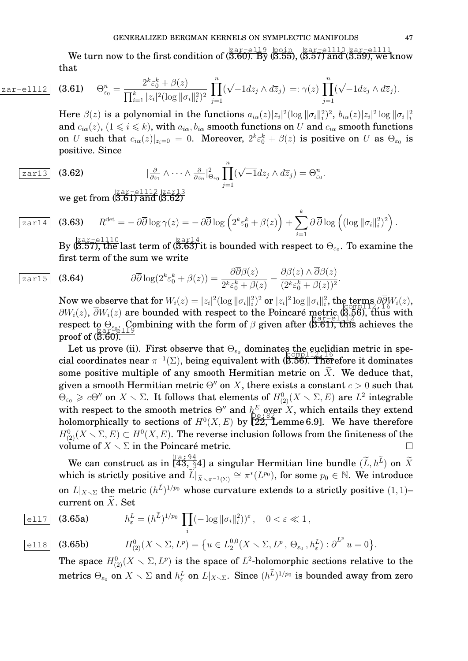We turn now to the first condition of  $\langle \frac{\text{Zar}-\text{e119}}{\text{3.60}} \rangle$ . By (3.55),  $\langle \frac{\text{Zar}-\text{e1110}}{\text{3.57}} \rangle$  and (3.59), we know that

zar-ell1

2 (3.61) 
$$
\Theta_{\varepsilon_0}^n = \frac{2^k \varepsilon_0^k + \beta(z)}{\prod_{i=1}^k |z_i|^2 (\log \|\sigma_i\|_i^2)^2} \prod_{j=1}^n (\sqrt{-1} dz_j \wedge d\overline{z}_j) =: \gamma(z) \prod_{j=1}^n (\sqrt{-1} dz_j \wedge d\overline{z}_j).
$$

Here  $\beta(z)$  is a polynomial in the functions  $a_{i\alpha}(z)|z_i|^2(\log\|\sigma_i\|_i^2)^2$ ,  $b_{i\alpha}(z)|z_i|^2\log\|\sigma_i\|_i^2$ and  $c_{i\alpha}(z)$ ,  $(1 \leq i \leq k)$ , with  $a_{i\alpha}, b_{i\alpha}$  smooth functions on U and  $c_{i\alpha}$  smooth functions on U such that  $c_{i\alpha}(z)|_{z_i=0} = 0$ . Moreover,  $2^k \varepsilon_0^k + \beta(z)$  is positive on U as  $\Theta_{\varepsilon_0}$  is positive. Since

$$
\boxed{\text{zar13}} \quad (3.62)
$$

zar14

$$
|\frac{\partial}{\partial z_1} \wedge \cdots \wedge \frac{\partial}{\partial z_n}|_{\Theta_{\varepsilon_0}}^2 \prod_{j=1}^n (\sqrt{-1} dz_j \wedge d\overline{z}_j) = \Theta_{\varepsilon_0}^n.
$$

we get from  $(\stackrel{\text{zar}-\text{ell12}}{3.61})$  and  $(\stackrel{\text{zar13}}{3.62})$ 

$$
\int (3.63) \quad R^{\text{det}} = -\partial \overline{\partial} \log \gamma(z) = -\partial \overline{\partial} \log \left(2^k \varepsilon_0^k + \beta(z)\right) + \sum_{i=1}^k \partial \overline{\partial} \log \left( (\log \|\sigma_i\|_i^2)^2 \right).
$$

By  $(3.57)$ , the last term of  $(3.63)$  it is bounded with respect to  $\Theta_{\varepsilon_0}$ . To examine the first term of the sum we write

$$
\boxed{\text{zar15}} \quad (3.64) \qquad \qquad \partial \overline{\partial} \log(2^k \varepsilon_0^k + \beta(z)) = \frac{\partial \overline{\partial} \beta(z)}{2^k \varepsilon_0^k + \beta(z)} - \frac{\partial \beta(z) \wedge \overline{\partial} \beta(z)}{(2^k \varepsilon_0^k + \beta(z))^2}.
$$

Now we observe that for  $W_i(z) = |z_i|^2 (\log \|\sigma_i\|_i^2)^2$  or  $|z_i|^2 \log \|\sigma_i\|_i^2$ , the terms  $\partial \overline{\partial} W_i(z)$ ,  $\frac{\partial W_i(z)}{\partial W_i(z)}$ ,  $\frac{\partial W_i(z)}{\partial z}$  are bounded with respect to the Poincaré metric (3.56), thus with respect to  $\Theta_{\varepsilon_{0}}$ . Combining with the form of  $\beta$  given after (5.61), this achieves the proof of ( 3.60).

Let us prove (ii). First observe that  $\Theta_{\varepsilon_0}$  dominates the euclidian metric in special coordinates near  $\pi^{-1}(\Sigma)$ , being equivalent with (3.56). Therefore it dominates some positive multiple of any smooth Hermitian metric on  $X$ . We deduce that, given a smooth Hermitian metric  $\Theta''$  on X, there exists a constant  $c > 0$  such that  $\Theta_{\varepsilon_0}\geqslant c\Theta''$  on  $X\smallsetminus\Sigma$ . It follows that elements of  $H^0_{(2)}(X\smallsetminus\Sigma,E)$  are  $L^2$  integrable with respect to the smooth metrics  $\Theta''$  and  $h^E$  over X, which entails they extend holomorphically to sections of  $H^0(X, E)$  by  $\left[\sum_{i=1}^{\infty} \mathbb{Z}_i\right]$  are therefore  $H^0_{(2)}(X\smallsetminus\Sigma,E)\subset H^0(X,E).$  The reverse inclusion follows from the finiteness of the volume of  $X \setminus \Sigma$  in the Poincaré metric.

We can construct as in  $\begin{bmatrix} \mathbb{T}^a & \mathbb{S}^4 \\ \mathbb{H}^a & \mathbb{S}^4 \end{bmatrix}$  a singular Hermitian line bundle  $(\widetilde{L}, h^{\widetilde{L}})$  on  $\widetilde{X}$ which is strictly positive and  $\widetilde{L}|_{\widetilde{X}\smallsetminus\pi^{-1}(\Sigma)}\cong \pi^*(L^{p_0}),$  for some  $p_0\in\mathbb{N}.$  We introduce on  $L|_{X \times \Sigma}$  the metric  $(h^L)^{1/p_0}$  whose curvature extends to a strictly positive  $(1,1)$ – current on  $\widetilde{X}$ . Set

$$
\begin{aligned}\n\overline{\text{ell17}} \quad \text{(3.65a)} \qquad \qquad h_{\varepsilon}^L &= (h^{\widetilde{L}})^{1/p_0} \prod_i (-\log \|\sigma_i\|_i^2) )^{\varepsilon} \,, \quad 0 < \varepsilon \ll 1 \,, \\
&\overline{\text{ell8}} \quad \text{(3.65b)} \qquad \qquad H_{(2)}^0(X \smallsetminus \Sigma, L^p) &= \{ u \in L_2^{0,0}(X \smallsetminus \Sigma, L^p, \Theta_{\varepsilon_0}, h_{\varepsilon}^L) : \overline{\partial}^{L^p} u = 0 \}.\n\end{aligned}
$$

The space  $H^0_{(2)}(X \times \Sigma, L^p)$  is the space of  $L^2$ -holomorphic sections relative to the metrics  $\Theta_{\varepsilon_0}$  on  $X\smallsetminus\Sigma$  and  $h^L_\varepsilon$  on  $L|_{X\smallsetminus\Sigma}.$  Since  $(h^{\widetilde L})^{1/p_0}$  is bounded away from zero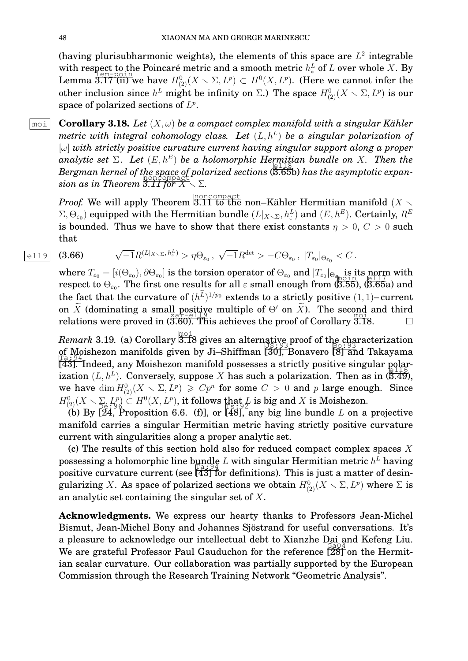(having plurisubharmonic weights), the elements of this space are  $L^2$  integrable with respect to the Poincaré metric and a smooth metric  $h_*^L$  of L over whole X. By Lemma  $\overline{3.17}$  (ii) we have  $H^0_{(2)}(X \setminus \Sigma, L^p) \subset H^0(X, L^p)$ . (Here we cannot infer the other inclusion since  $h^L$  might be infinity on  $\Sigma$ .) The space  $H^0_{(2)}(X \smallsetminus \Sigma, L^p)$  is our space of polarized sections of  $L^p$ .

 $\boxed{\text{moi}}$  **Corollary 3.18.** Let  $(X, \omega)$  be a compact complex manifold with a singular Kähler *metric with integral cohomology class. Let*  $(L, h^L)$  *be a singular polarization of* [ω] *with strictly positive curvature current having singular support along a proper analytic set*  $\Sigma$ . Let  $(E, h^E)$  be a holomorphic Hermitian bundle on X. Then the *Bergman kernel of the space of polarized sections* (3.65b) *has the asymptotic expan-*<br>
in the asymptotic expan- $\sin$  as in Theorem  $\overline{3.11}$  for  $X \setminus \Sigma$ .

*Proof.* We will apply Theorem  $\overline{{}^{5.11}_{3.11}}$  to the non–Kähler Hermitian manifold  $(X\smallsetminus$  $(\Sigma,\Theta_{\varepsilon_0})$  equipped with the Hermitian bundle  $(L|_{X\smallsetminus\Sigma},h_{\varepsilon}^L)$  and  $(E,h^E).$  Certainly,  $R^E$ is bounded. Thus we have to show that there exist constants  $\eta > 0$ ,  $C > 0$  such that

$$
\text{ell 9 (3.66)} \quad \sqrt{-1}R^{(L|_{X \setminus \Sigma}, h_{\varepsilon}^L)} > \eta \Theta_{\varepsilon_0}, \ \sqrt{-1}R^{\det} > -C\Theta_{\varepsilon_0}, \ |T_{\varepsilon_0}|_{\Theta_{\varepsilon_0}} < C \, .
$$

 $\text{where } T_{\varepsilon_0} = [i(\Theta_{\varepsilon_0}), \partial \Theta_{\varepsilon_0}] \text{ is the torsion operator of } \Theta_{\varepsilon_0} \text{ and } |T_{\varepsilon_0}|_{\Theta_{\varepsilon_0} \to 0} \text{ is its norm with}$ respect to  $\Theta_{\varepsilon_0}.$  The first one results for all  $\varepsilon$  small enough from (3.55), (3.65a) and the fact that the curvature of  $(h^L)^{1/p_0}$  extends to a strictly positive  $(1, 1)$ –current on  $\tilde{X}$  (dominating a small positive multiple of  $\Theta'$  on  $\tilde{X}$ ). The second and third relations were proved in (3.60). This achieves the proof of Corollary 3.18. vir  $\Lambda$  (dominating a single  $\frac{1}{2}$  are equipped in  $\frac{1}{2}$  or  $\frac{1}{2}$ . The second and all  $\frac{1}{2}$  are relations were proved in (3.60). This achieves the proof of Corollary 3.18.

*Remark* 3.19*.* (a) Corollary moi 3.18 gives an alternative proof of the characterization of Moishezon manifolds given by Ji–Shiffman [30], Bonavero [8] and Takayama [43]. Indeed, any Moishezon manifold possesses a strictly positive singular polarization  $(L, h^L)$ . Conversely, suppose X has such a polarization. Then as in  $(3.49)$ , we have  $\dim H^0_{(2)}(X \setminus \Sigma, L^p) \geqslant Cp^n$  for some  $C > 0$  and p large enough. Since  $H^0_{(2)}(X \setminus \sum_{\Box} L^p_{\Theta} ) \subset H^0(X, L^p),$  it follows that L is big and X is Moishezon.

(b) By  $\begin{bmatrix} 64.76 & H & 14.6 \\ 20.76 & H & 14.6 \\ 24.7 & H & 24.7 \end{bmatrix}$ , or  $\begin{bmatrix} 48 \\ 148 \\ 148 \end{bmatrix}$ , any big line bundle L on a projective manifold carries a singular Hermitian metric having strictly positive curvature current with singularities along a proper analytic set.

(c) The results of this section hold also for reduced compact complex spaces X possessing a holomorphic line bundle  $L$  with singular Hermitian metric  $h^L$  having possessing a notative pine the supersy  $E$  with singular frequencies  $\kappa$  incring positive curvature current (see  $\sqrt{43}$  for definitions). This is just a matter of desingularizing X. As space of polarized sections we obtain  $H^0_{(2)}(X \times \Sigma, L^p)$  where  $\Sigma$  is an analytic set containing the singular set of  $X$ .

**Acknowledgments.** We express our hearty thanks to Professors Jean-Michel Bismut, Jean-Michel Bony and Johannes Sjöstrand for useful conversations. It's a pleasure to acknowledge our intellectual debt to Xianzhe Dai and Kefeng Liu. We are grateful Professor Paul Gauduchon for the reference Ga04 [28] on the Hermitian scalar curvature. Our collaboration was partially supported by the European Commission through the Research Training Network "Geometric Analysis".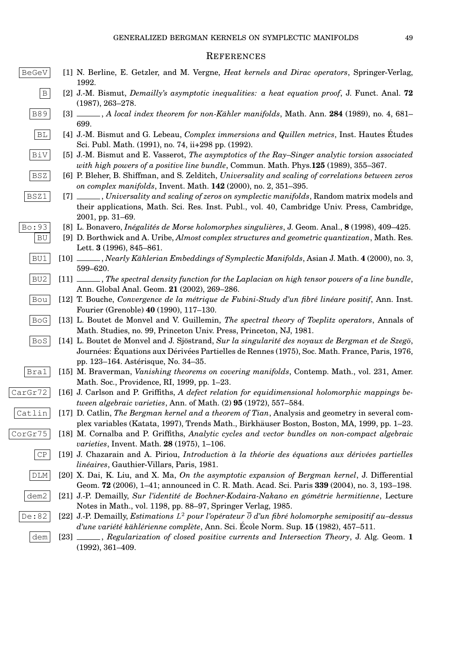#### **REFERENCES**

- BeGeV [1] N. Berline, E. Getzler, and M. Vergne, *Heat kernels and Dirac operators*, Springer-Verlag, 1992.
	- B [2] J.-M. Bismut, *Demailly's asymptotic inequalities: a heat equation proof*, J. Funct. Anal. **72** (1987), 263–278.
	- B89 [3]  $\qquad$ , *A local index theorem for non-Kähler manifolds*, Math. Ann. **284** (1989), no. 4, 681– 699.
	- BL [4] J.-M. Bismut and G. Lebeau, *Complex immersions and Quillen metrics*, Inst. Hautes Etudes ´ Sci. Publ. Math. (1991), no. 74, ii+298 pp. (1992).
	- BiV [5] J.-M. Bismut and E. Vasserot, *The asymptotics of the Ray–Singer analytic torsion associated with high powers of a positive line bundle*, Commun. Math. Phys.**125** (1989), 355–367.
	- BSZ [6] P. Bleher, B. Shiffman, and S. Zelditch, *Universality and scaling of correlations between zeros on complex manifolds*, Invent. Math. **142** (2000), no. 2, 351–395.
	- BSZ1 [7] , *Universality and scaling of zeros on symplectic manifolds*, Random matrix models and their applications, Math. Sci. Res. Inst. Publ., vol. 40, Cambridge Univ. Press, Cambridge, 2001, pp. 31–69.
- Bo:93 [8] L. Bonavero, *Inégalités de Morse holomorphes singulières*, J. Geom. Anal., **8** (1998), 409–425.
	- BU [9] D. Borthwick and A. Uribe, *Almost complex structures and geometric quantization*, Math. Res. Lett. **3** (1996), 845–861.
	- BU1 [10]  $\qquad \qquad$ , *Nearly Kählerian Embeddings of Symplectic Manifolds*, Asian J. Math. **4** (2000), no. 3, 599–620.
	- BU2 [11]  $\ldots$ , *The spectral density function for the Laplacian on high tensor powers of a line bundle*, Ann. Global Anal. Geom. **21** (2002), 269–286.
	- Bou [12] T. Bouche, *Convergence de la métrique de Fubini-Study d'un fibré linéare positif*, Ann. Inst. Fourier (Grenoble) **40** (1990), 117–130.
	- BoG [13] L. Boutet de Monvel and V. Guillemin, *The spectral theory of Toeplitz operators*, Annals of Math. Studies, no. 99, Princeton Univ. Press, Princeton, NJ, 1981.
	- BoS [14] L. Boutet de Monvel and J. Sjöstrand, *Sur la singularité des noyaux de Bergman et de Szegö*, Journées: Équations aux Dérivées Partielles de Rennes (1975), Soc. Math. France, Paris, 1976, pp. 123–164. Asterisque, No. 34–35. ´
	- Bra1 [15] M. Braverman, *Vanishing theorems on covering manifolds*, Contemp. Math., vol. 231, Amer. Math. Soc., Providence, RI, 1999, pp. 1–23.
- CarGr72 [16] J. Carlson and P. Griffiths, A defect relation for equidimensional holomorphic mappings be*tween algebraic varieties*, Ann. of Math. (2) **95** (1972), 557–584.
- Catlin [17] D. Catlin, *The Bergman kernel and a theorem of Tian*, Analysis and geometry in several complex variables (Katata, 1997), Trends Math., Birkhauser Boston, Boston, MA, 1999, pp. 1–23. ¨
- CorGr75 [18] M. Cornalba and P. Griffiths, *Analytic cycles and vector bundles on non-compact algebraic varieties*, Invent. Math. **28** (1975), 1–106.
	- $\begin{bmatrix} \mathbb{CP} \\ \end{bmatrix}$  [19] J. Chazarain and A. Piriou, *Introduction à la théorie des équations aux dérivées partielles lin´eaires*, Gauthier-Villars, Paris, 1981.
	- DLM [20] X. Dai, K. Liu, and X. Ma, *On the asymptotic expansion of Bergman kernel*, J. Differential Geom. **72** (2006), 1–41; announced in C. R. Math. Acad. Sci. Paris **339** (2004), no. 3, 193–198.
	- dem2 <sup>[21]</sup> J.-P. Demailly, *Sur l'identité de Bochner-Kodaira-Nakano en gómétrie hermitienne*, Lecture Notes in Math., vol. 1198, pp. 88–97, Springer Verlag, 1985.
	- De **:** 82  $\vert$   $\vert$  [22] J.-P. Demailly, *Estimations L* $^2$  *pour l'opérateur*  $\overline{\partial}$  *d'un fibré holomorphe semipositif au–dessus d'une variété kählérienne complète*, Ann. Sci. École Norm. Sup. 15 (1982), 457–511.
		- dem [23] , *Regularization of closed positive currents and Intersection Theory*, J. Alg. Geom. **1** (1992), 361–409.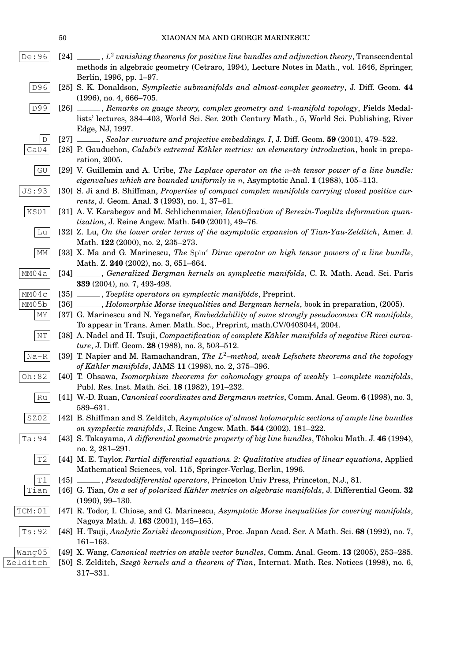- De $:$  96  $[$   $[$   $[24]$   $\_\_$  ,  $L^2$  vanishing theorems for positive line bundles and adjunction theory, Transcendental methods in algebraic geometry (Cetraro, 1994), Lecture Notes in Math., vol. 1646, Springer, Berlin, 1996, pp. 1–97.
	- D96 [25] S. K. Donaldson, *Symplectic submanifolds and almost-complex geometry*, J. Diff. Geom. **44** (1996), no. 4, 666–705.
	- D99 [26] , *Remarks on gauge theory, complex geometry and* 4*-manifold topology*, Fields Medallists' lectures, 384–403, World Sci. Ser. 20th Century Math., 5, World Sci. Publishing, River Edge, NJ, 1997.
		- D [27] , *Scalar curvature and projective embeddings. I*, J. Diff. Geom. **59** (2001), 479–522.
- Ga04 [28] P. Gauduchon, *Calabi's extremal Kähler metrics: an elementary introduction*, book in preparation, 2005.
	- $|GU|$  [29] V. Guillemin and A. Uribe, *The Laplace operator on the*  $n$ –th tensor power of a line bundle: *eigenvalues which are bounded uniformly in* n, Asymptotic Anal. **1** (1988), 105–113.
- JS:93 [30] S. Ji and B. Shiffman, *Properties of compact complex manifolds carrying closed positive currents*, J. Geom. Anal. **3** (1993), no. 1, 37–61.
- KS01 [31] A. V. Karabegov and M. Schlichenmaier, *Identification of Berezin-Toeplitz deformation quantization*, J. Reine Angew. Math. **540** (2001), 49–76.
	- Lu [32] Z. Lu, *On the lower order terms of the asymptotic expansion of Tian-Yau-Zelditch*, Amer. J. Math. **122** (2000), no. 2, 235–273.
	- $\boxed{MM}$  [33] X. Ma and G. Marinescu, *The* Spin<sup>c</sup> Dirac operator on high tensor powers of a line bundle, Math. Z. **240** (2002), no. 3, 651–664.
- MM04a [34] , *Generalized Bergman kernels on symplectic manifolds*, C. R. Math. Acad. Sci. Paris **339** (2004), no. 7, 493-498.
- MM04c [35]  $\ldots$ , *Toeplitz operators on symplectic manifolds*, Preprint.
- MM05b [36] , *Holomorphic Morse inequalities and Bergman kernels*, book in preparation, (2005).
	- $\vert$  MY  $\vert$  [37] G. Marinescu and N. Yeganefar, *Embeddability of some strongly pseudoconvex CR manifolds*, To appear in Trans. Amer. Math. Soc., Preprint, math.CV/0403044, 2004.
	- $\vert$  NT  $\vert$  [38] A. Nadel and H. Tsuji, *Compactification of complete Kähler manifolds of negative Ricci curvature*, J. Diff. Geom. **28** (1988), no. 3, 503–512.
	- Na-R [39] T. Napier and M. Ramachandran, *The* L <sup>2</sup>*–method, weak Lefschetz theorems and the topology of K ¨ahler manifolds*, JAMS **11** (1998), no. 2, 375–396.
- Oh:82 [40] T. Ohsawa, *Isomorphism theorems for cohomology groups of weakly* 1*–complete manifolds*, Publ. Res. Inst. Math. Sci. **18** (1982), 191–232.
	- Ru [41] W.-D. Ruan, *Canonical coordinates and Bergmann metrics*, Comm. Anal. Geom. **6** (1998), no. 3, 589–631.
	- SZ02 [42] B. Shiffman and S. Zelditch, *Asymptotics of almost holomorphic sections of ample line bundles on symplectic manifolds*, J. Reine Angew. Math. **544** (2002), 181–222.
- Ta:94 [43] S. Takayama, *A differential geometric property of big line bundles*, Tôhoku Math. J. 46 (1994), no. 2, 281–291.
	- T2 [44] M. E. Taylor, *Partial differential equations. 2: Qualitative studies of linear equations*, Applied Mathematical Sciences, vol. 115, Springer-Verlag, Berlin, 1996.
	- T1 [45] , *Pseudodifferential operators*, Princeton Univ Press, Princeton, N.J., 81.
	- Tian [46] G. Tian, *On a set of polarized Kähler metrics on algebraic manifolds*, J. Differential Geom. **32** (1990), 99–130.
- TCM:01 [47] R. Todor, I. Chiose, and G. Marinescu, *Asymptotic Morse inequalities for covering manifolds*, Nagoya Math. J. **163** (2001), 145–165.
	- Ts:92 [48] H. Tsuji, *Analytic Zariski decomposition*, Proc. Japan Acad. Ser. A Math. Sci. **68** (1992), no. 7, 161–163.
- Wang05 [49] X. Wang, *Canonical metrics on stable vector bundles*, Comm. Anal. Geom. **13** (2005), 253–285.
- Zelditch [50] S. Zelditch, *Szegö kernels and a theorem of Tian*, Internat. Math. Res. Notices (1998), no. 6, 317–331.